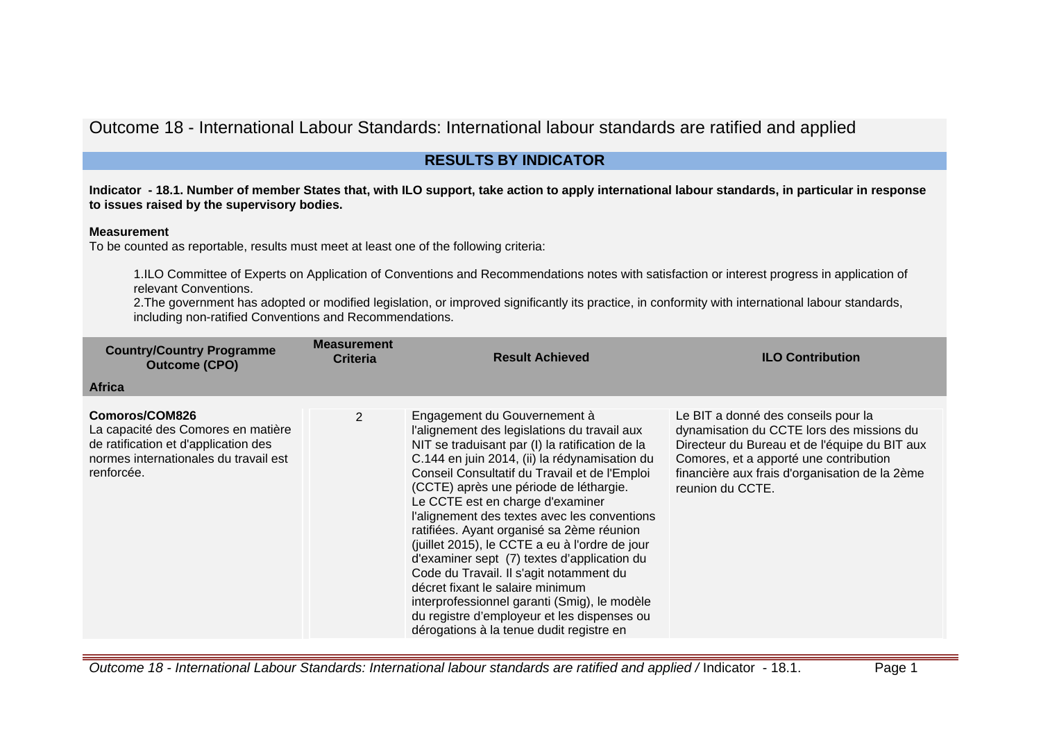Outcome 18 - International Labour Standards: International labour standards are ratified and applied

## **RESULTS BY INDICATOR**

**Indicator - 18.1. Number of member States that, with ILO support, take action to apply international labour standards, in particular in response to issues raised by the supervisory bodies.**

## **Measurement**

To be counted as reportable, results must meet at least one of the following criteria:

1.ILO Committee of Experts on Application of Conventions and Recommendations notes with satisfaction or interest progress in application of relevant Conventions.

2.The government has adopted or modified legislation, or improved significantly its practice, in conformity with international labour standards, including non-ratified Conventions and Recommendations.

| <b>Country/Country Programme</b><br><b>Outcome (CPO)</b>                                                                                            | <b>Measurement</b><br><b>Criteria</b> | <b>Result Achieved</b>                                                                                                                                                                                                                                                                                                                                                                                                                                                                                                                                                                                                                                                                                                                  | <b>ILO Contribution</b>                                                                                                                                                                                                                           |
|-----------------------------------------------------------------------------------------------------------------------------------------------------|---------------------------------------|-----------------------------------------------------------------------------------------------------------------------------------------------------------------------------------------------------------------------------------------------------------------------------------------------------------------------------------------------------------------------------------------------------------------------------------------------------------------------------------------------------------------------------------------------------------------------------------------------------------------------------------------------------------------------------------------------------------------------------------------|---------------------------------------------------------------------------------------------------------------------------------------------------------------------------------------------------------------------------------------------------|
| <b>Africa</b>                                                                                                                                       |                                       |                                                                                                                                                                                                                                                                                                                                                                                                                                                                                                                                                                                                                                                                                                                                         |                                                                                                                                                                                                                                                   |
| Comoros/COM826<br>La capacité des Comores en matière<br>de ratification et d'application des<br>normes internationales du travail est<br>renforcée. | $\overline{2}$                        | Engagement du Gouvernement à<br>l'alignement des legislations du travail aux<br>NIT se traduisant par (I) la ratification de la<br>C.144 en juin 2014, (ii) la rédynamisation du<br>Conseil Consultatif du Travail et de l'Emploi<br>(CCTE) après une période de léthargie.<br>Le CCTE est en charge d'examiner<br>l'alignement des textes avec les conventions<br>ratifiées. Ayant organisé sa 2ème réunion<br>(juillet 2015), le CCTE a eu à l'ordre de jour<br>d'examiner sept (7) textes d'application du<br>Code du Travail. Il s'agit notamment du<br>décret fixant le salaire minimum<br>interprofessionnel garanti (Smig), le modèle<br>du registre d'employeur et les dispenses ou<br>dérogations à la tenue dudit registre en | Le BIT a donné des conseils pour la<br>dynamisation du CCTE lors des missions du<br>Directeur du Bureau et de l'équipe du BIT aux<br>Comores, et a apporté une contribution<br>financière aux frais d'organisation de la 2ème<br>reunion du CCTE. |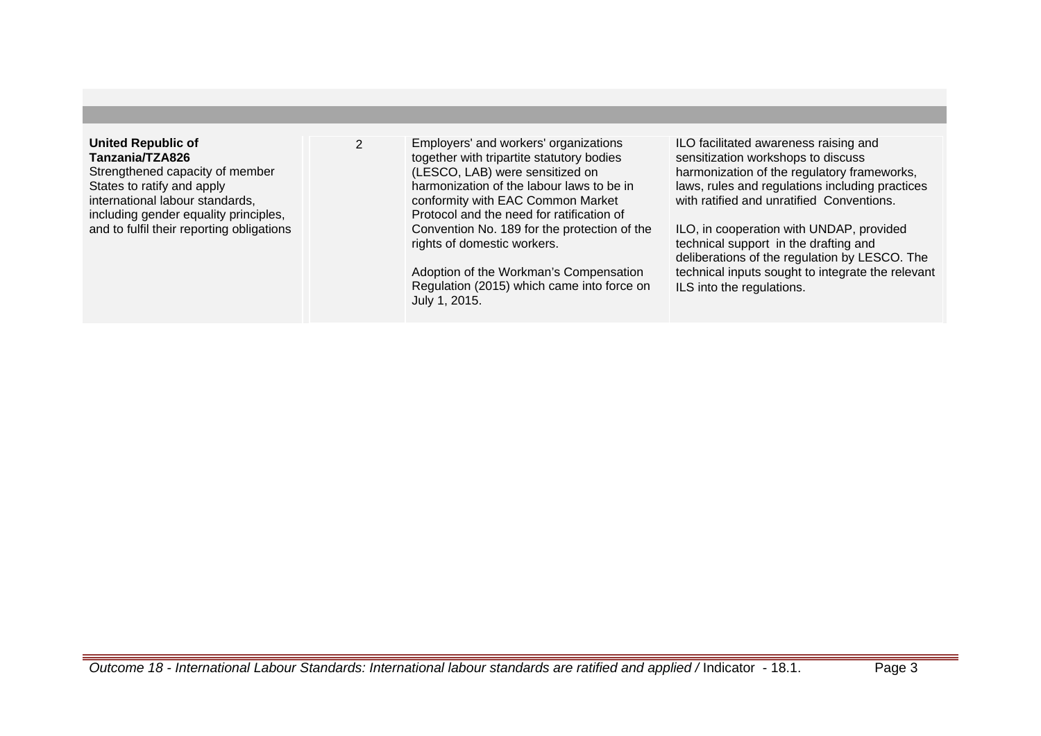## **United Republic of Tanzania/TZA826**

Strengthened capacity of member States to ratify and apply international labour standards, including gender equality principles, and to fulfil their reporting obligations 2 Employers' and workers' organizations together with tripartite statutory bodies (LESCO, LAB) were sensitized on harmonization of the labour laws to be in conformity with EAC Common Market Protocol and the need for ratification of Convention No. 189 for the protection of the rights of domestic workers.

> Adoption of the Workman's Compensation Regulation (2015) which came into force on July 1, 2015.

ILO facilitated awareness raising and sensitization workshops to discuss harmonization of the regulatory frameworks, laws, rules and regulations including practices with ratified and unratified Conventions

ILO, in cooperation with UNDAP, provided technical support in the drafting and deliberations of the regulation by LESCO. The technical inputs sought to integrate the relevant ILS into the regulations.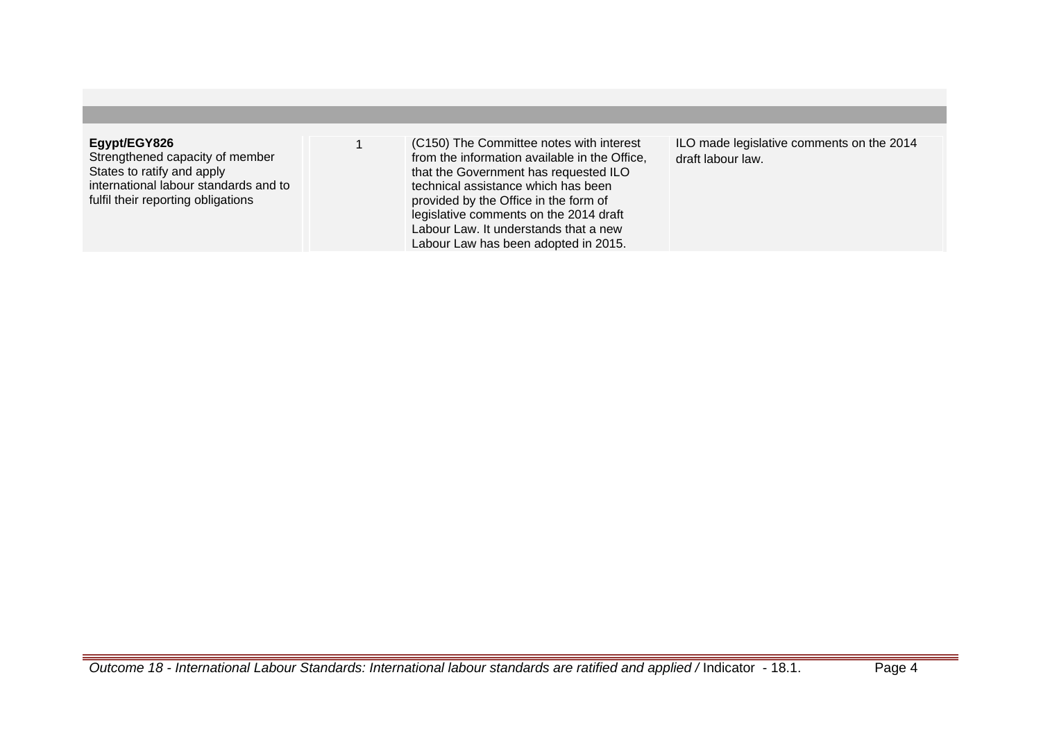## **Egypt/EGY826**

Strengthened capacity of member States to ratify and apply international labour standards and to fulfil their reporting obligations

1 (C150) The Committee notes with interest from the information available in the Office, that the Government has requested ILO technical assistance which has been provided by the Office in the form of legislative comments on the 2014 draft Labour Law. It understands that a new Labour Law has been adopted in 2015.

ILO made legislative comments on the 2014 draft labour law.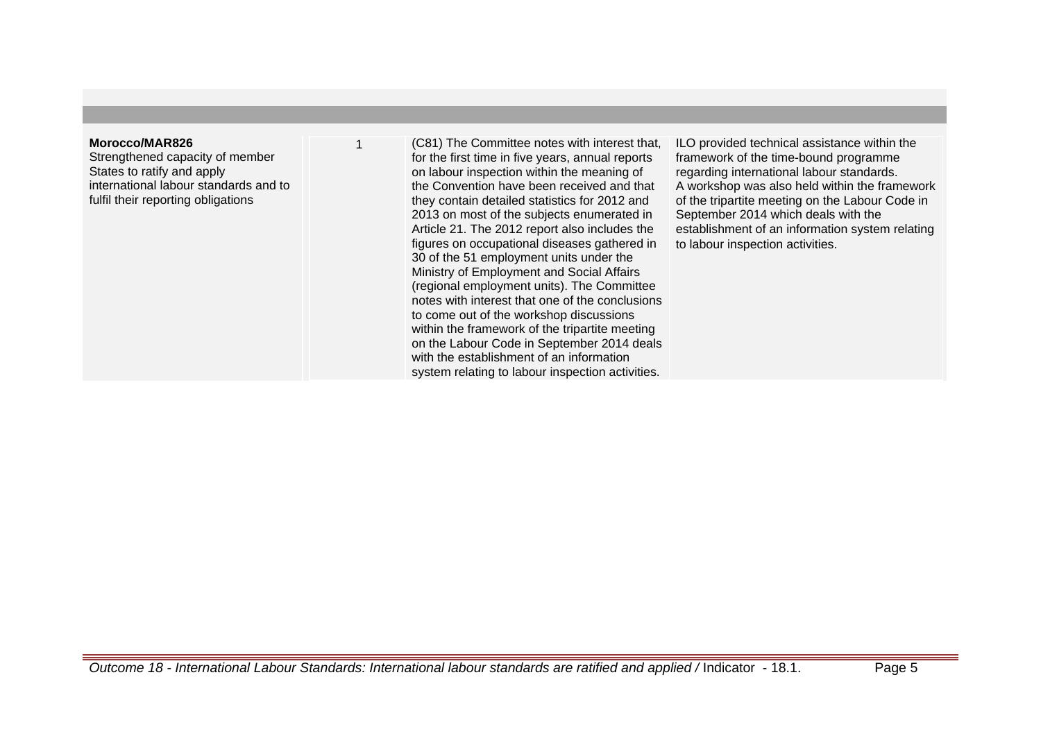#### **Morocco/MAR826**

Strengthened capacity of member States to ratify and apply international labour standards and to fulfil their reporting obligations

(C81) The Committee notes with interest that, for the first time in five years, annual reports on labour inspection within the meaning of the Convention have been received and that they contain detailed statistics for 2012 and 2013 on most of the subjects enumerated in Article 21. The 2012 report also includes the figures on occupational diseases gathered in 30 of the 51 employment units under the Ministry of Employment and Social Affairs (regional employment units). The Committee notes with interest that one of the conclusions to come out of the workshop discussions within the framework of the tripartite meeting on the Labour Code in September 2014 deals with the establishment of an information system relating to labour inspection activities.

ILO provided technical assistance within the framework of the time-bound programme regarding international labour standards. A workshop was also held within the framework of the tripartite meeting on the Labour Code in September 2014 which deals with the establishment of an information system relating to labour inspection activities.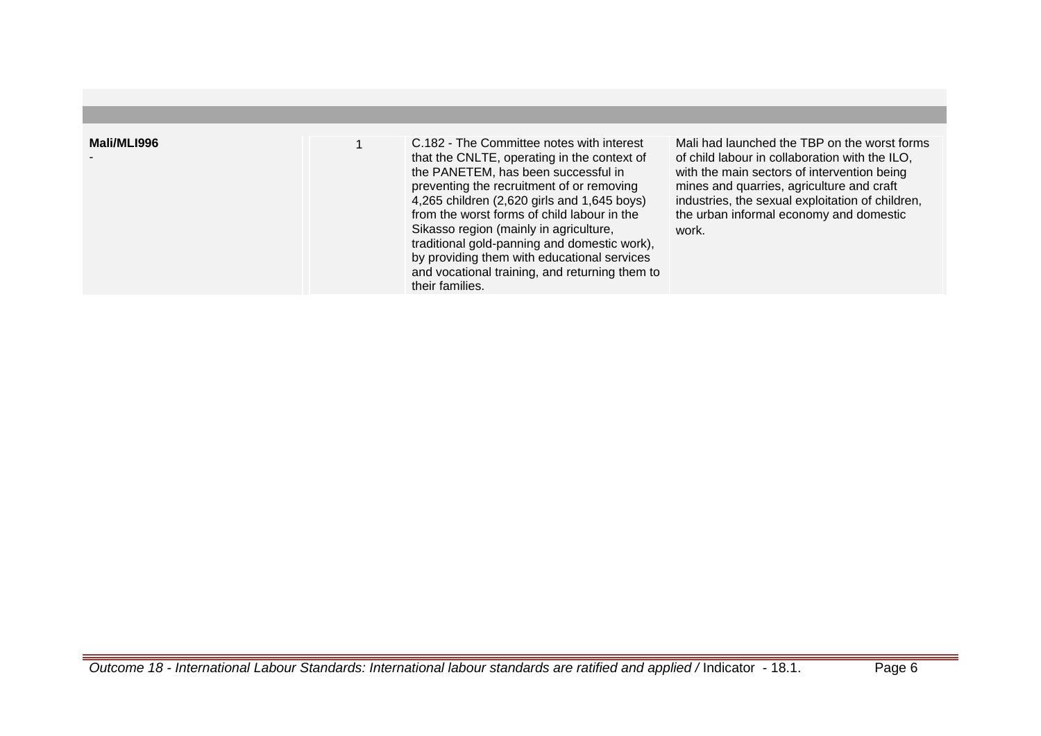| Mali/MLI996 | C.182 - The Committee notes with interest<br>that the CNLTE, operating in the context of<br>the PANETEM, has been successful in<br>preventing the recruitment of or removing<br>4,265 children (2,620 girls and 1,645 boys)<br>from the worst forms of child labour in the<br>Sikasso region (mainly in agriculture,<br>traditional gold-panning and domestic work),<br>by providing them with educational services<br>and vocational training, and returning them to<br>their families. | Mali had launched the TBP on the worst forms<br>of child labour in collaboration with the ILO,<br>with the main sectors of intervention being<br>mines and quarries, agriculture and craft<br>industries, the sexual exploitation of children,<br>the urban informal economy and domestic<br>work. |
|-------------|------------------------------------------------------------------------------------------------------------------------------------------------------------------------------------------------------------------------------------------------------------------------------------------------------------------------------------------------------------------------------------------------------------------------------------------------------------------------------------------|----------------------------------------------------------------------------------------------------------------------------------------------------------------------------------------------------------------------------------------------------------------------------------------------------|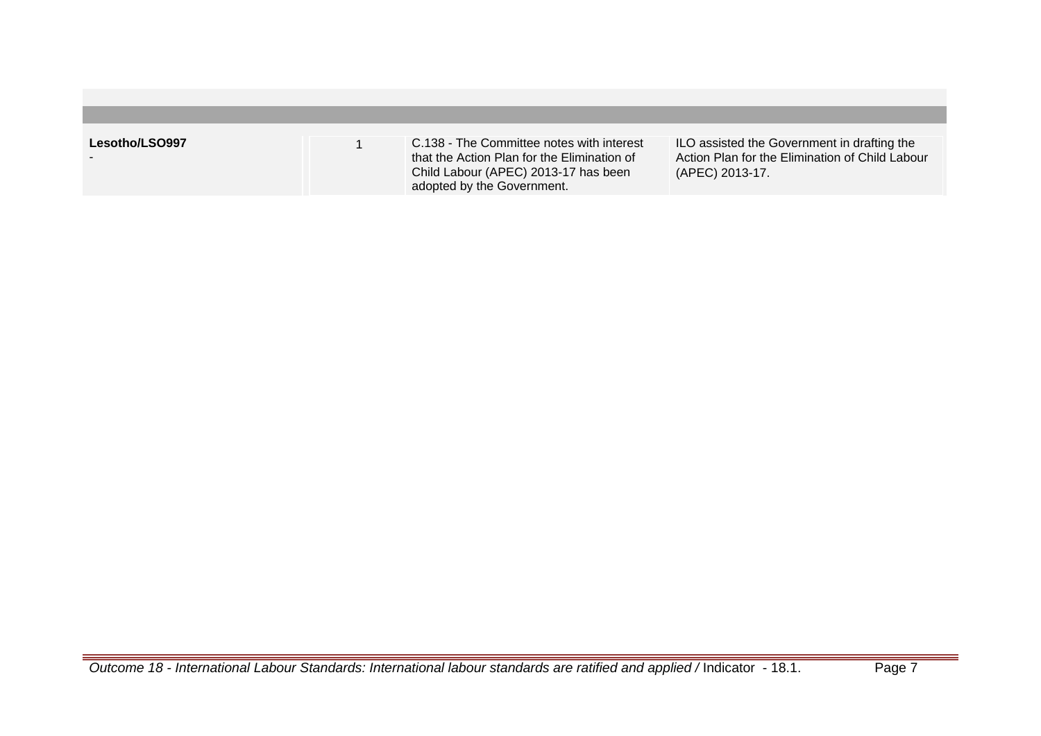| Lesotho/LSO997 | C.138 - The Committee notes with interest<br>that the Action Plan for the Elimination of<br>Child Labour (APEC) 2013-17 has been<br>adopted by the Government. | ILO assisted the Government in drafting the<br>Action Plan for the Elimination of Child Labour<br>(APEC) 2013-17. |
|----------------|----------------------------------------------------------------------------------------------------------------------------------------------------------------|-------------------------------------------------------------------------------------------------------------------|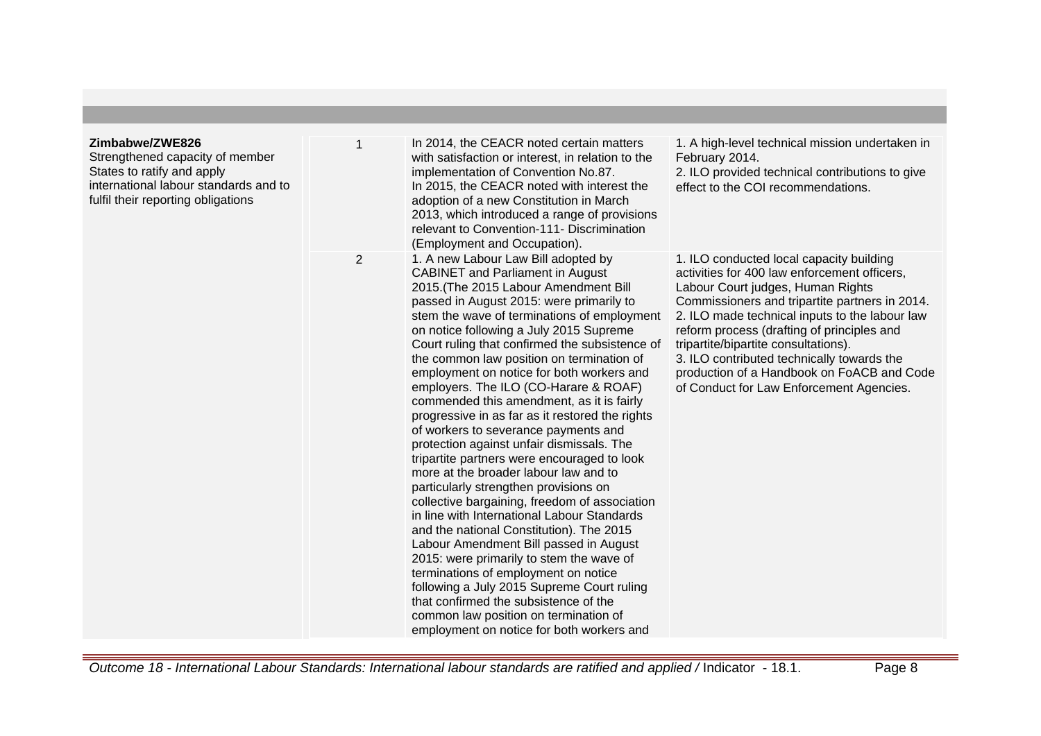| Zimbabwe/ZWE826<br>Strengthened capacity of member<br>States to ratify and apply<br>international labour standards and to<br>fulfil their reporting obligations |   | In 2014, the CEACR noted certain matters<br>with satisfaction or interest, in relation to the<br>implementation of Convention No.87.<br>In 2015, the CEACR noted with interest the<br>adoption of a new Constitution in March<br>2013, which introduced a range of provisions<br>relevant to Convention-111- Discrimination<br>(Employment and Occupation).                                                                                                                                                                                                                                                                                                                                                                                                                                                                                                                                                                                                                                                                                                                                                                                                                                                                     | 1. A high-level technical mission undertaken in<br>February 2014.<br>2. ILO provided technical contributions to give<br>effect to the COI recommendations.                                                                                                                                                                                                                                                                                                      |
|-----------------------------------------------------------------------------------------------------------------------------------------------------------------|---|---------------------------------------------------------------------------------------------------------------------------------------------------------------------------------------------------------------------------------------------------------------------------------------------------------------------------------------------------------------------------------------------------------------------------------------------------------------------------------------------------------------------------------------------------------------------------------------------------------------------------------------------------------------------------------------------------------------------------------------------------------------------------------------------------------------------------------------------------------------------------------------------------------------------------------------------------------------------------------------------------------------------------------------------------------------------------------------------------------------------------------------------------------------------------------------------------------------------------------|-----------------------------------------------------------------------------------------------------------------------------------------------------------------------------------------------------------------------------------------------------------------------------------------------------------------------------------------------------------------------------------------------------------------------------------------------------------------|
|                                                                                                                                                                 | 2 | 1. A new Labour Law Bill adopted by<br><b>CABINET</b> and Parliament in August<br>2015. (The 2015 Labour Amendment Bill<br>passed in August 2015: were primarily to<br>stem the wave of terminations of employment<br>on notice following a July 2015 Supreme<br>Court ruling that confirmed the subsistence of<br>the common law position on termination of<br>employment on notice for both workers and<br>employers. The ILO (CO-Harare & ROAF)<br>commended this amendment, as it is fairly<br>progressive in as far as it restored the rights<br>of workers to severance payments and<br>protection against unfair dismissals. The<br>tripartite partners were encouraged to look<br>more at the broader labour law and to<br>particularly strengthen provisions on<br>collective bargaining, freedom of association<br>in line with International Labour Standards<br>and the national Constitution). The 2015<br>Labour Amendment Bill passed in August<br>2015: were primarily to stem the wave of<br>terminations of employment on notice<br>following a July 2015 Supreme Court ruling<br>that confirmed the subsistence of the<br>common law position on termination of<br>employment on notice for both workers and | 1. ILO conducted local capacity building<br>activities for 400 law enforcement officers.<br>Labour Court judges, Human Rights<br>Commissioners and tripartite partners in 2014.<br>2. ILO made technical inputs to the labour law<br>reform process (drafting of principles and<br>tripartite/bipartite consultations).<br>3. ILO contributed technically towards the<br>production of a Handbook on FoACB and Code<br>of Conduct for Law Enforcement Agencies. |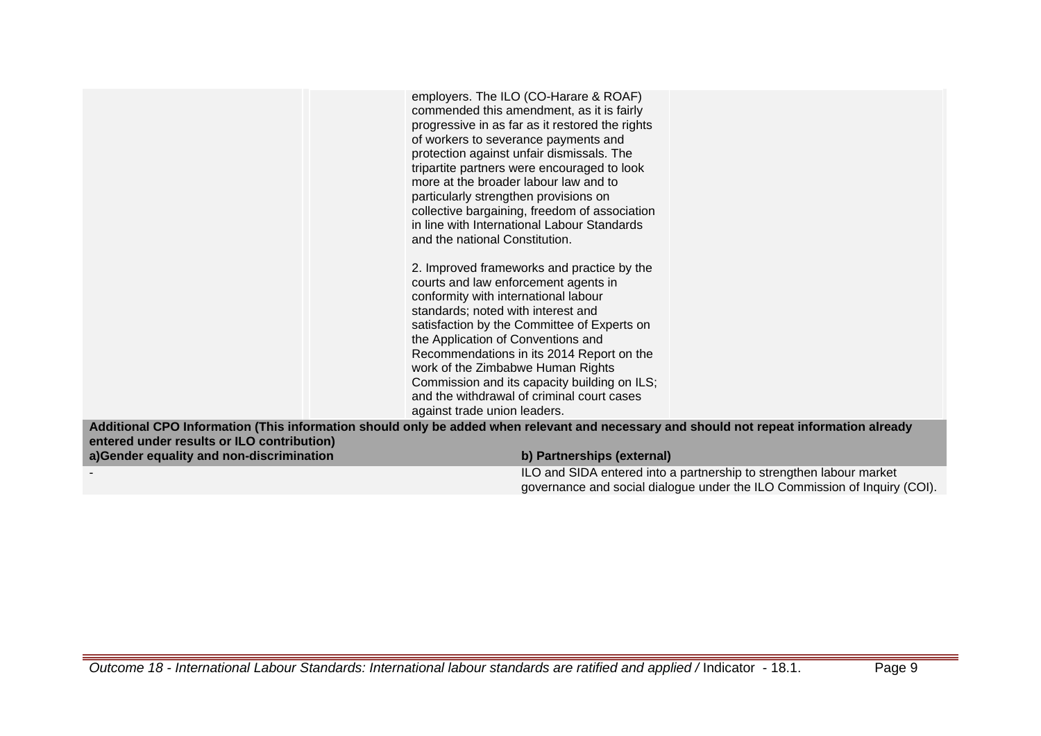|                                            | employers. The ILO (CO-Harare & ROAF)<br>commended this amendment, as it is fairly<br>progressive in as far as it restored the rights<br>of workers to severance payments and<br>protection against unfair dismissals. The<br>tripartite partners were encouraged to look<br>more at the broader labour law and to<br>particularly strengthen provisions on<br>collective bargaining, freedom of association<br>in line with International Labour Standards<br>and the national Constitution.<br>2. Improved frameworks and practice by the<br>courts and law enforcement agents in<br>conformity with international labour<br>standards; noted with interest and<br>satisfaction by the Committee of Experts on<br>the Application of Conventions and<br>Recommendations in its 2014 Report on the<br>work of the Zimbabwe Human Rights<br>Commission and its capacity building on ILS;<br>and the withdrawal of criminal court cases<br>against trade union leaders. |
|--------------------------------------------|------------------------------------------------------------------------------------------------------------------------------------------------------------------------------------------------------------------------------------------------------------------------------------------------------------------------------------------------------------------------------------------------------------------------------------------------------------------------------------------------------------------------------------------------------------------------------------------------------------------------------------------------------------------------------------------------------------------------------------------------------------------------------------------------------------------------------------------------------------------------------------------------------------------------------------------------------------------------|
|                                            | Additional CPO Information (This information should only be added when relevant and necessary and should not repeat information already                                                                                                                                                                                                                                                                                                                                                                                                                                                                                                                                                                                                                                                                                                                                                                                                                                |
| entered under results or ILO contribution) |                                                                                                                                                                                                                                                                                                                                                                                                                                                                                                                                                                                                                                                                                                                                                                                                                                                                                                                                                                        |
| a)Gender equality and non-discrimination   | b) Partnerships (external)                                                                                                                                                                                                                                                                                                                                                                                                                                                                                                                                                                                                                                                                                                                                                                                                                                                                                                                                             |
|                                            | ILO and SIDA entered into a partnership to strengthen labour market<br>governance and social dialogue under the ILO Commission of Inquiry (COI).                                                                                                                                                                                                                                                                                                                                                                                                                                                                                                                                                                                                                                                                                                                                                                                                                       |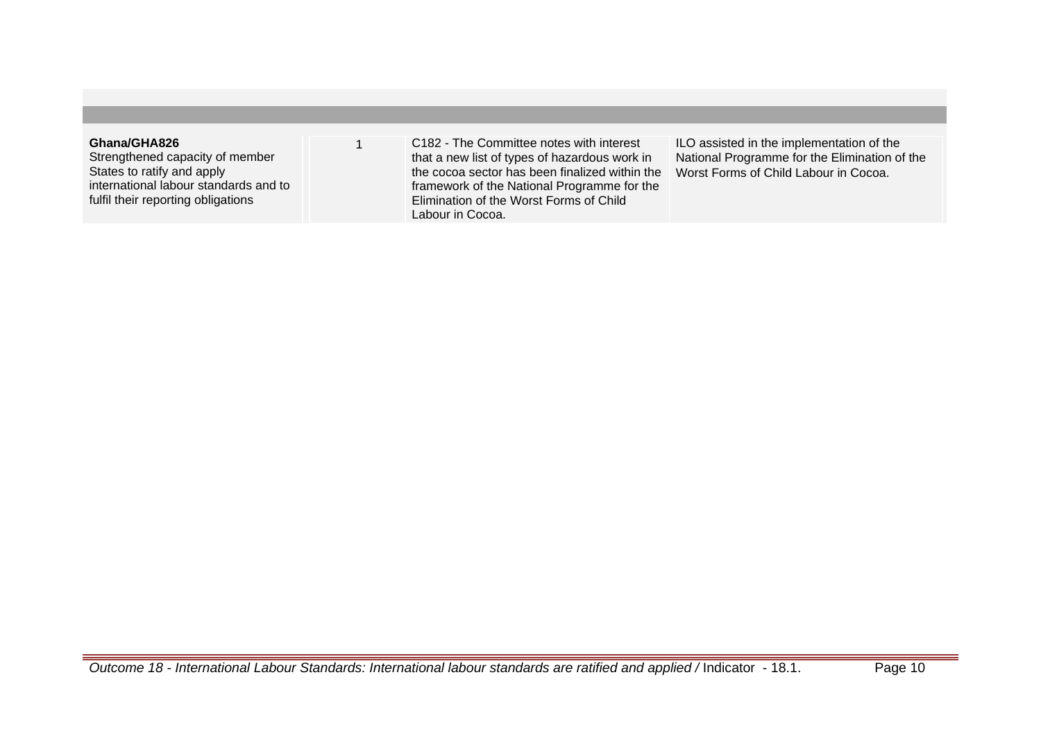## **Ghana/GHA826**

Strengthened capacity of member States to ratify and apply international labour standards and to fulfil their reporting obligations

1 C182 - The Committee notes with interest that a new list of types of hazardous work in the cocoa sector has been finalized within the framework of the National Programme for the Elimination of the Worst Forms of Child Labour in Cocoa.

ILO assisted in the implementation of the National Programme for the Elimination of the Worst Forms of Child Labour in Cocoa.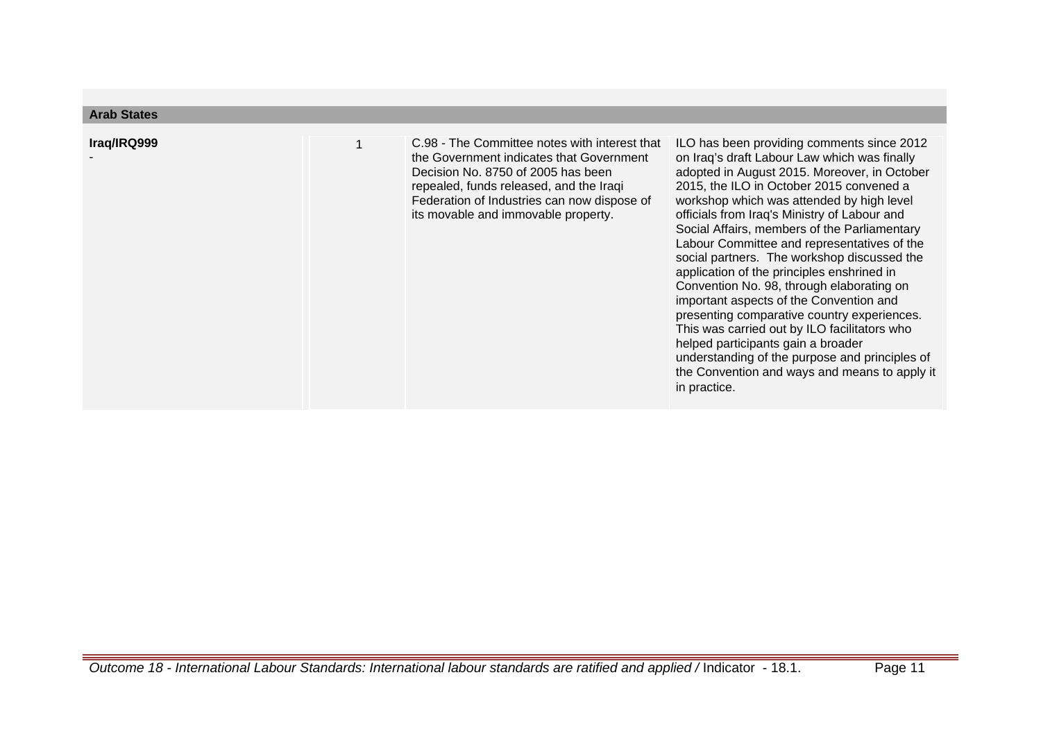| Arab States<br>Iraq/IRQ999 | C.98 - The Committee notes with interest that<br>the Government indicates that Government<br>Decision No. 8750 of 2005 has been<br>repealed, funds released, and the Iraqi<br>Federation of Industries can now dispose of<br>its movable and immovable property. | ILO has been providing comments since 2012<br>on Iraq's draft Labour Law which was finally<br>adopted in August 2015. Moreover, in October<br>2015, the ILO in October 2015 convened a<br>workshop which was attended by high level<br>officials from Iraq's Ministry of Labour and<br>Social Affairs, members of the Parliamentary<br>Labour Committee and representatives of the<br>social partners. The workshop discussed the<br>application of the principles enshrined in<br>Convention No. 98, through elaborating on<br>important aspects of the Convention and<br>presenting comparative country experiences.<br>This was carried out by ILO facilitators who<br>helped participants gain a broader |
|----------------------------|------------------------------------------------------------------------------------------------------------------------------------------------------------------------------------------------------------------------------------------------------------------|--------------------------------------------------------------------------------------------------------------------------------------------------------------------------------------------------------------------------------------------------------------------------------------------------------------------------------------------------------------------------------------------------------------------------------------------------------------------------------------------------------------------------------------------------------------------------------------------------------------------------------------------------------------------------------------------------------------|
|                            |                                                                                                                                                                                                                                                                  | understanding of the purpose and principles of<br>the Convention and ways and means to apply it<br>in practice.                                                                                                                                                                                                                                                                                                                                                                                                                                                                                                                                                                                              |

**Arab States**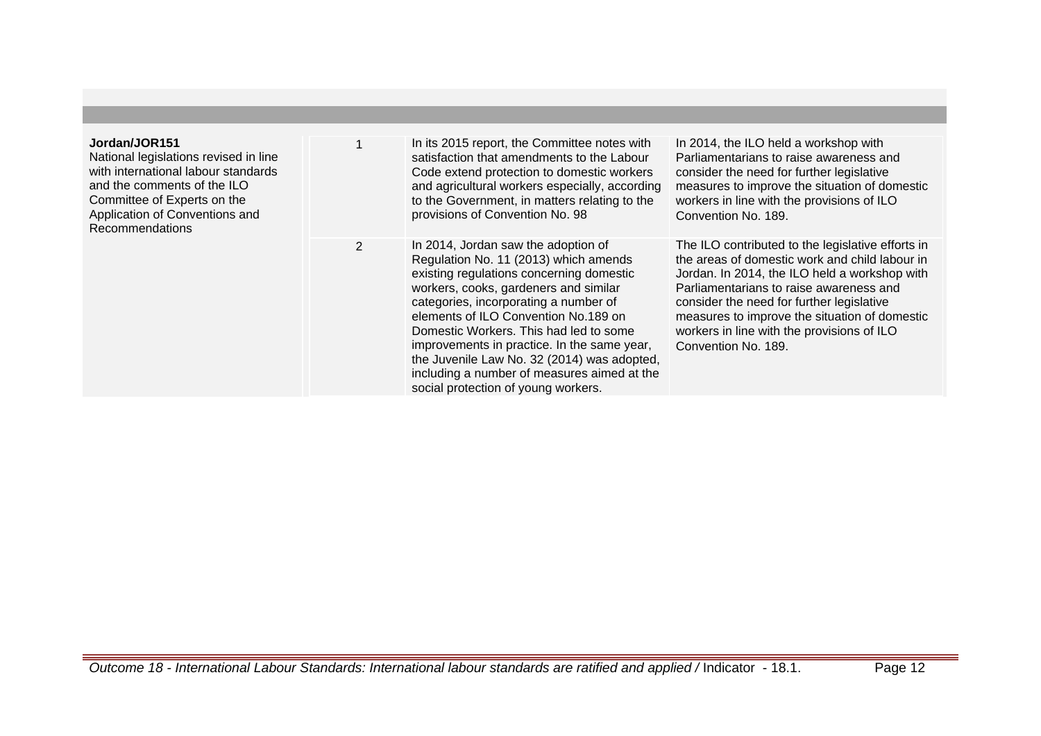| Jordan/JOR151<br>National legislations revised in line<br>with international labour standards<br>and the comments of the ILO<br>Committee of Experts on the<br>Application of Conventions and<br><b>Recommendations</b> |                | In its 2015 report, the Committee notes with<br>satisfaction that amendments to the Labour<br>Code extend protection to domestic workers<br>and agricultural workers especially, according<br>to the Government, in matters relating to the<br>provisions of Convention No. 98                                                                                                                                                                                                   | In 2014, the ILO held a workshop with<br>Parliamentarians to raise awareness and<br>consider the need for further legislative<br>measures to improve the situation of domestic<br>workers in line with the provisions of ILO<br>Convention No. 189.                                                                                                                |
|-------------------------------------------------------------------------------------------------------------------------------------------------------------------------------------------------------------------------|----------------|----------------------------------------------------------------------------------------------------------------------------------------------------------------------------------------------------------------------------------------------------------------------------------------------------------------------------------------------------------------------------------------------------------------------------------------------------------------------------------|--------------------------------------------------------------------------------------------------------------------------------------------------------------------------------------------------------------------------------------------------------------------------------------------------------------------------------------------------------------------|
|                                                                                                                                                                                                                         | $\overline{2}$ | In 2014, Jordan saw the adoption of<br>Regulation No. 11 (2013) which amends<br>existing regulations concerning domestic<br>workers, cooks, gardeners and similar<br>categories, incorporating a number of<br>elements of ILO Convention No.189 on<br>Domestic Workers. This had led to some<br>improvements in practice. In the same year,<br>the Juvenile Law No. 32 (2014) was adopted,<br>including a number of measures aimed at the<br>social protection of young workers. | The ILO contributed to the legislative efforts in<br>the areas of domestic work and child labour in<br>Jordan. In 2014, the ILO held a workshop with<br>Parliamentarians to raise awareness and<br>consider the need for further legislative<br>measures to improve the situation of domestic<br>workers in line with the provisions of ILO<br>Convention No. 189. |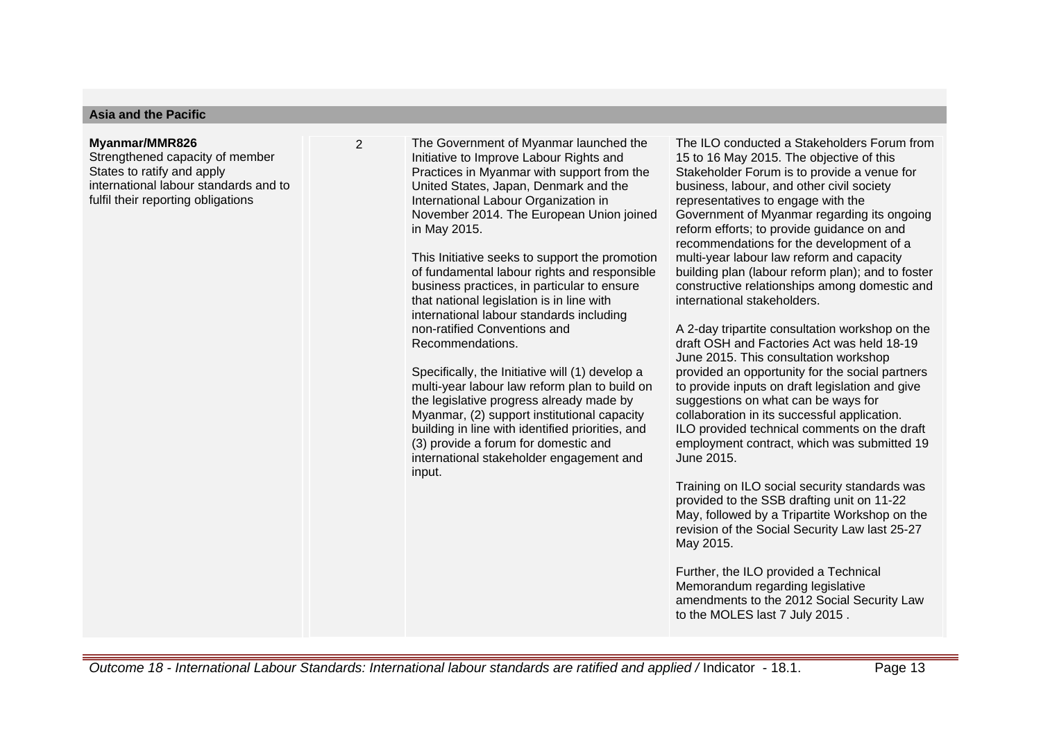#### **Asia and the Pacific**

#### **Myanmar/MMR826**

Strengthened capacity of member States to ratify and apply international labour standards and to fulfil their reporting obligations

2 The Government of Myanmar launched the Initiative to Improve Labour Rights and Practices in Myanmar with support from the United States, Japan, Denmark and the International Labour Organization in November 2014. The European Union joined in May 2015.

> This Initiative seeks to support the promotion of fundamental labour rights and responsible business practices, in particular to ensure that national legislation is in line with international labour standards including non-ratified Conventions and Recommendations.

Specifically, the Initiative will (1) develop a multi-year labour law reform plan to build on the legislative progress already made by Myanmar, (2) support institutional capacity building in line with identified priorities, and (3) provide a forum for domestic and international stakeholder engagement and input.

The ILO conducted a Stakeholders Forum from 15 to 16 May 2015. The objective of this Stakeholder Forum is to provide a venue for business, labour, and other civil society representatives to engage with the Government of Myanmar regarding its ongoing reform efforts; to provide guidance on and recommendations for the development of a multi-year labour law reform and capacity building plan (labour reform plan); and to foster constructive relationships among domestic and international stakeholders.

A 2-day tripartite consultation workshop on the draft OSH and Factories Act was held 18-19 June 2015. This consultation workshop provided an opportunity for the social partners to provide inputs on draft legislation and give suggestions on what can be ways for collaboration in its successful application. ILO provided technical comments on the draft employment contract, which was submitted 19 June 2015.

Training on ILO social security standards was provided to the SSB drafting unit on 11-22 May, followed by a Tripartite Workshop on the revision of the Social Security Law last 25-27 May 2015.

Further, the ILO provided a Technical Memorandum regarding legislative amendments to the 2012 Social Security Law to the MOLES last 7 July 2015 .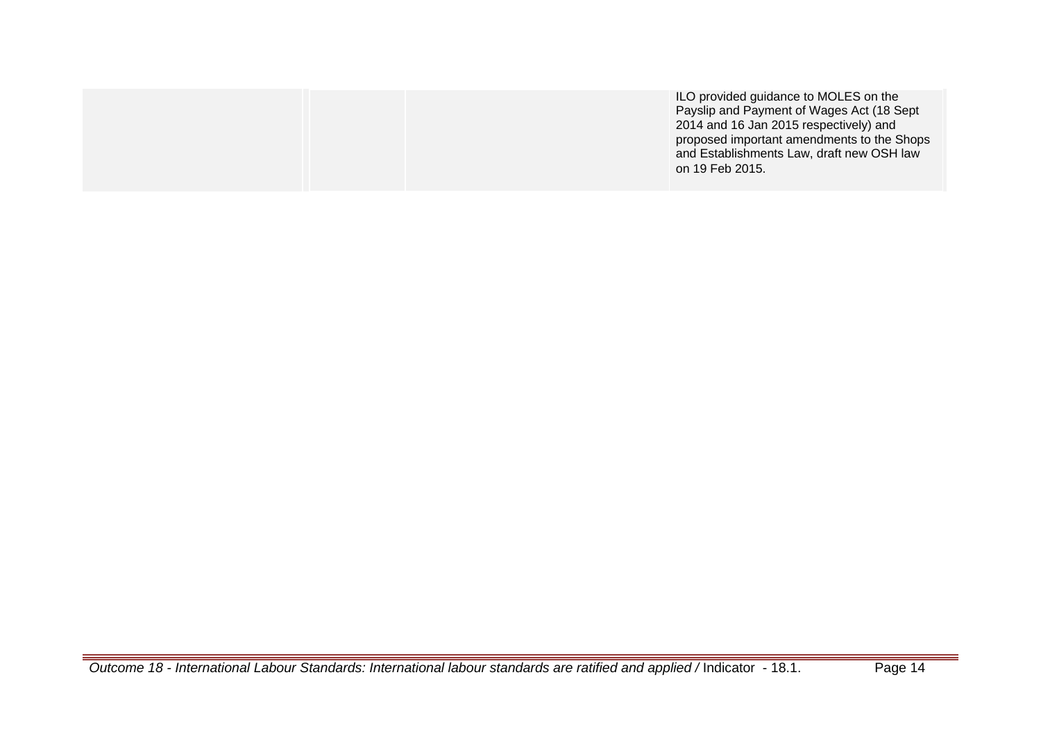|  | ILO provided guidance to MOLES on the<br>Payslip and Payment of Wages Act (18 Sept<br>2014 and 16 Jan 2015 respectively) and<br>proposed important amendments to the Shops<br>and Establishments Law, draft new OSH law<br>on 19 Feb 2015. |
|--|--------------------------------------------------------------------------------------------------------------------------------------------------------------------------------------------------------------------------------------------|
|  |                                                                                                                                                                                                                                            |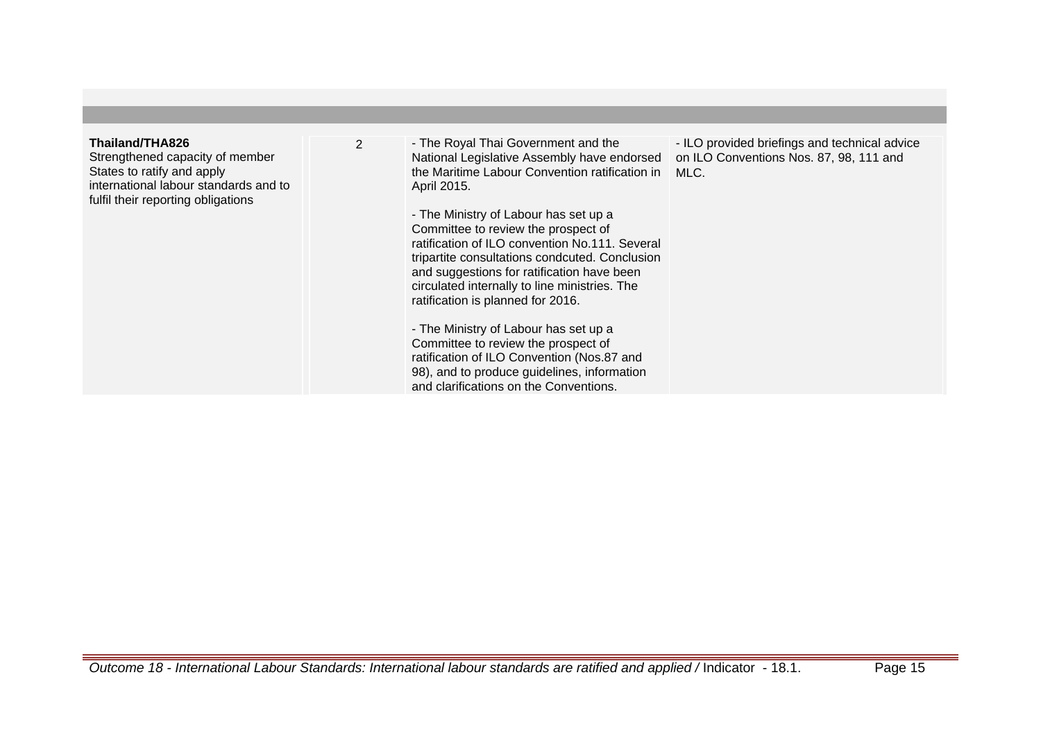## **Thailand/THA826**

Strengthened capacity of member States to ratify and apply international labour standards and to fulfil their reporting obligations

2 - The Royal Thai Government and the National Legislative Assembly have endorsed the Maritime Labour Convention ratification in April 2015.

> - The Ministry of Labour has set up a Committee to review the prospect of ratification of ILO convention No.111. Several tripartite consultations condcuted. Conclusion and suggestions for ratification have been circulated internally to line ministries. The ratification is planned for 2016.

- The Ministry of Labour has set up a Committee to review the prospect of ratification of ILO Convention (Nos.87 and 98), and to produce guidelines, information and clarifications on the Conventions.

- ILO provided briefings and technical advice on ILO Conventions Nos. 87, 98, 111 and MLC.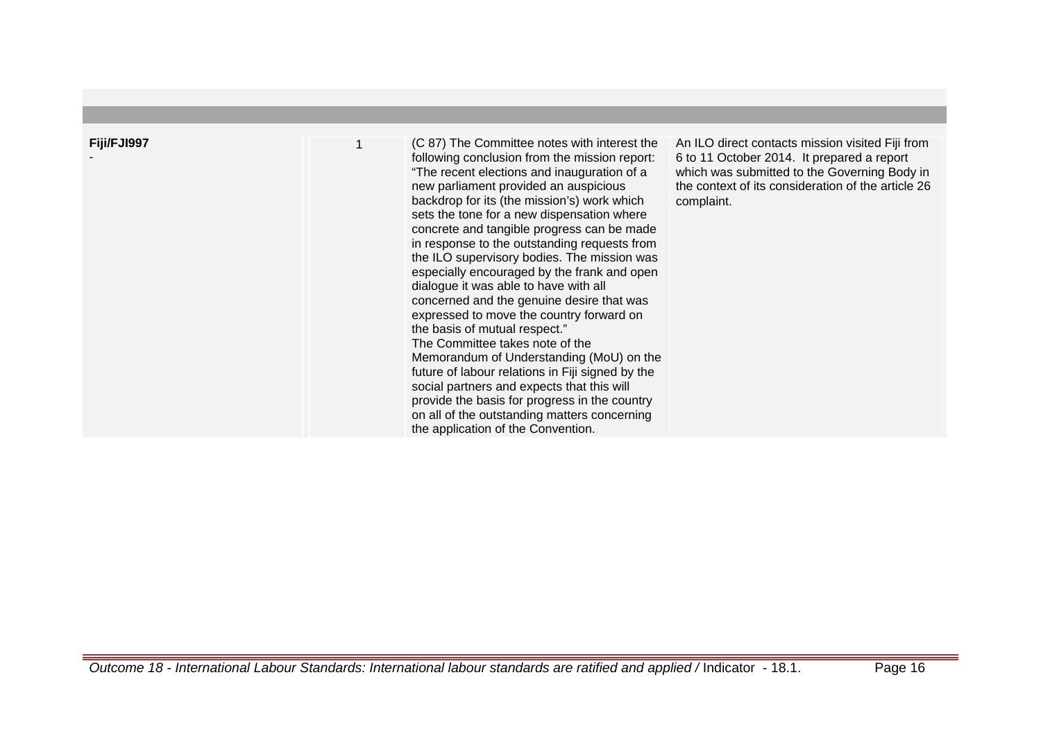| Fiji/FJI997 | (C 87) The Committee notes with interest the<br>following conclusion from the mission report:<br>"The recent elections and inauguration of a<br>new parliament provided an auspicious<br>backdrop for its (the mission's) work which<br>sets the tone for a new dispensation where<br>concrete and tangible progress can be made<br>in response to the outstanding requests from<br>the ILO supervisory bodies. The mission was<br>especially encouraged by the frank and open<br>dialogue it was able to have with all<br>concerned and the genuine desire that was<br>expressed to move the country forward on<br>the basis of mutual respect."<br>The Committee takes note of the<br>Memorandum of Understanding (MoU) on the<br>future of labour relations in Fiji signed by the<br>social partners and expects that this will<br>provide the basis for progress in the country<br>on all of the outstanding matters concerning<br>the application of the Convention. | An ILO direct contacts mission visited Fiji from<br>6 to 11 October 2014. It prepared a report<br>which was submitted to the Governing Body in<br>the context of its consideration of the article 26<br>complaint. |
|-------------|---------------------------------------------------------------------------------------------------------------------------------------------------------------------------------------------------------------------------------------------------------------------------------------------------------------------------------------------------------------------------------------------------------------------------------------------------------------------------------------------------------------------------------------------------------------------------------------------------------------------------------------------------------------------------------------------------------------------------------------------------------------------------------------------------------------------------------------------------------------------------------------------------------------------------------------------------------------------------|--------------------------------------------------------------------------------------------------------------------------------------------------------------------------------------------------------------------|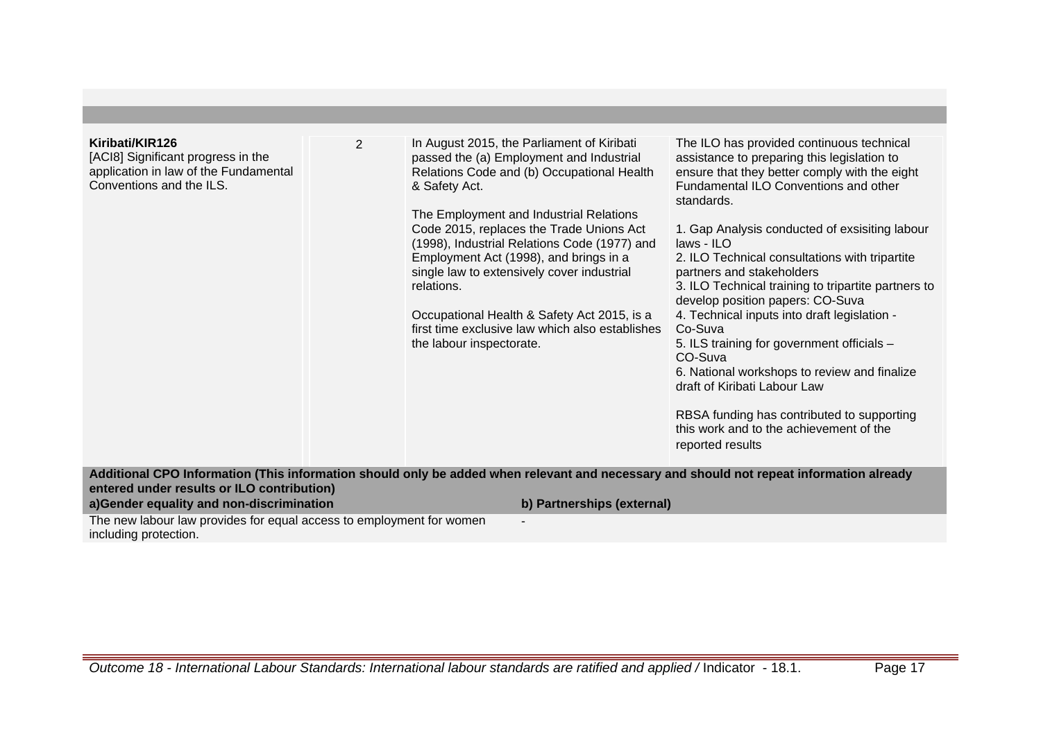| Kiribati/KIR126<br>[ACI8] Significant progress in the<br>application in law of the Fundamental<br>Conventions and the ILS. | 2 | In August 2015, the Parliament of Kiribati<br>passed the (a) Employment and Industrial<br>Relations Code and (b) Occupational Health<br>& Safety Act.<br>The Employment and Industrial Relations<br>Code 2015, replaces the Trade Unions Act<br>(1998), Industrial Relations Code (1977) and<br>Employment Act (1998), and brings in a<br>single law to extensively cover industrial<br>relations.<br>Occupational Health & Safety Act 2015, is a<br>first time exclusive law which also establishes<br>the labour inspectorate. | The ILO has provided continuous technical<br>assistance to preparing this legislation to<br>ensure that they better comply with the eight<br>Fundamental ILO Conventions and other<br>standards.<br>1. Gap Analysis conducted of exsisiting labour<br>laws - ILO<br>2. ILO Technical consultations with tripartite<br>partners and stakeholders<br>3. ILO Technical training to tripartite partners to<br>develop position papers: CO-Suva<br>4. Technical inputs into draft legislation -<br>Co-Suva<br>5. ILS training for government officials -<br>CO-Suva<br>6. National workshops to review and finalize<br>draft of Kiribati Labour Law<br>RBSA funding has contributed to supporting<br>this work and to the achievement of the<br>reported results |
|----------------------------------------------------------------------------------------------------------------------------|---|----------------------------------------------------------------------------------------------------------------------------------------------------------------------------------------------------------------------------------------------------------------------------------------------------------------------------------------------------------------------------------------------------------------------------------------------------------------------------------------------------------------------------------|-------------------------------------------------------------------------------------------------------------------------------------------------------------------------------------------------------------------------------------------------------------------------------------------------------------------------------------------------------------------------------------------------------------------------------------------------------------------------------------------------------------------------------------------------------------------------------------------------------------------------------------------------------------------------------------------------------------------------------------------------------------|
|                                                                                                                            |   | Additional CPO Information (This information should only be added when relevant and necessary and should not repeat information already                                                                                                                                                                                                                                                                                                                                                                                          |                                                                                                                                                                                                                                                                                                                                                                                                                                                                                                                                                                                                                                                                                                                                                             |
| entered under results or ILO contribution)<br>a)Gender equality and non-discrimination                                     |   |                                                                                                                                                                                                                                                                                                                                                                                                                                                                                                                                  |                                                                                                                                                                                                                                                                                                                                                                                                                                                                                                                                                                                                                                                                                                                                                             |
|                                                                                                                            |   | b) Partnerships (external)                                                                                                                                                                                                                                                                                                                                                                                                                                                                                                       |                                                                                                                                                                                                                                                                                                                                                                                                                                                                                                                                                                                                                                                                                                                                                             |
| The new labour law provides for equal access to employment for women<br>including protection.                              |   |                                                                                                                                                                                                                                                                                                                                                                                                                                                                                                                                  |                                                                                                                                                                                                                                                                                                                                                                                                                                                                                                                                                                                                                                                                                                                                                             |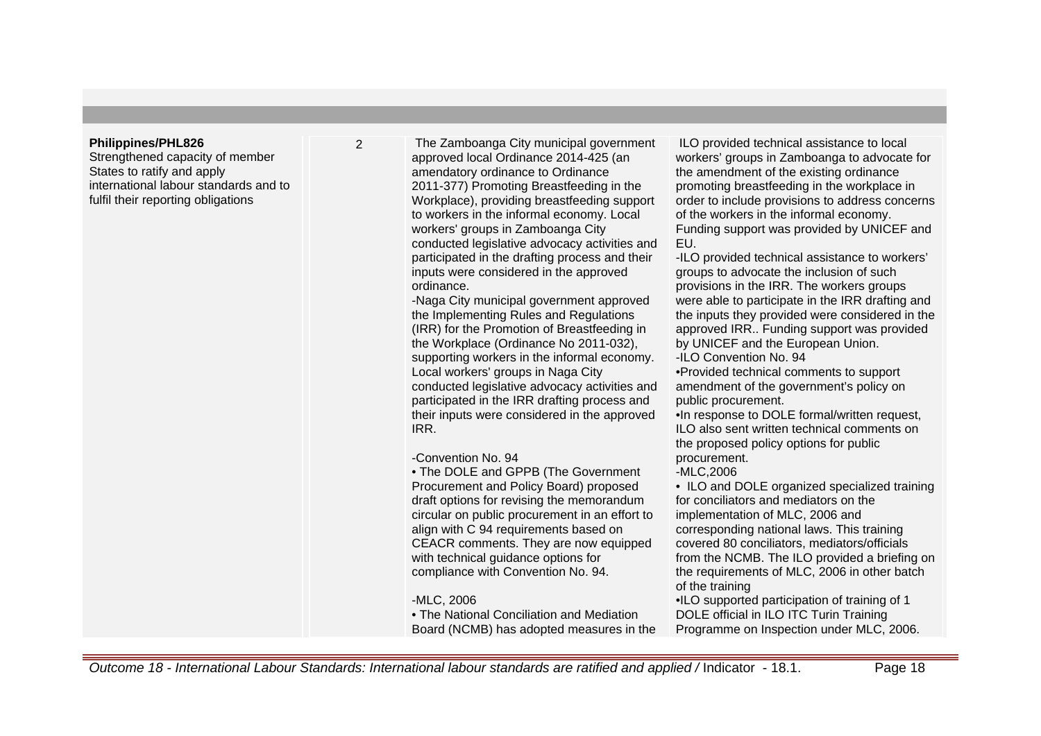#### **Philippines/PHL826**

Strengthened capacity of member States to ratify and apply international labour standards and to fulfil their reporting obligations

2 The Zamboanga City municipal government approved local Ordinance 2014-425 (an amendatory ordinance to Ordinance 2011-377) Promoting Breastfeeding in the Workplace), providing breastfeeding support to workers in the informal economy. Local workers' groups in Zamboanga City conducted legislative advocacy activities and participated in the drafting process and their inputs were considered in the approved ordinance.

> -Naga City municipal government approved the Implementing Rules and Regulations (IRR) for the Promotion of Breastfeeding in the Workplace (Ordinance No 2011-032), supporting workers in the informal economy. Local workers' groups in Naga City conducted legislative advocacy activities and participated in the IRR drafting process and their inputs were considered in the approved IRR.

-Convention No. 94

• The DOLE and GPPB (The Government Procurement and Policy Board) proposed draft options for revising the memorandum circular on public procurement in an effort to align with C 94 requirements based on CEACR comments. They are now equipped with technical guidance options for compliance with Convention No. 94.

#### -MLC, 2006

• The National Conciliation and Mediation Board (NCMB) has adopted measures in the

 ILO provided technical assistance to local workers' groups in Zamboanga to advocate for the amendment of the existing ordinance promoting breastfeeding in the workplace in order to include provisions to address concerns of the workers in the informal economy. Funding support was provided by UNICEF and EU.

-ILO provided technical assistance to workers' groups to advocate the inclusion of such provisions in the IRR. The workers groups were able to participate in the IRR drafting and the inputs they provided were considered in the approved IRR.. Funding support was provided by UNICEF and the European Union.

-ILO Convention No. 94

•Provided technical comments to support amendment of the government's policy on public procurement.

•In response to DOLE formal/written request, ILO also sent written technical comments on the proposed policy options for public procurement.

## -MLC,2006

• ILO and DOLE organized specialized training for conciliators and mediators on the implementation of MLC, 2006 and corresponding national laws. This training covered 80 conciliators, mediators/officials from the NCMB. The ILO provided a briefing on the requirements of MLC, 2006 in other batch of the training

•ILO supported participation of training of 1 DOLE official in ILO ITC Turin Training Programme on Inspection under MLC, 2006.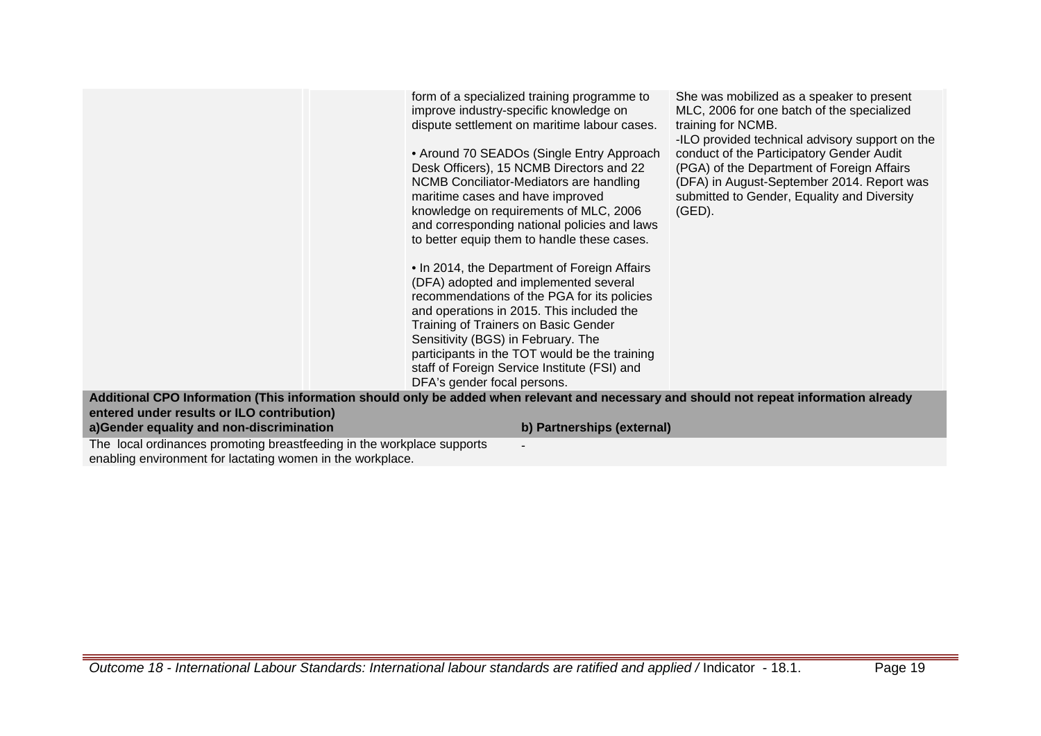|                                                                                                                                                                                                                                   | form of a specialized training programme to<br>improve industry-specific knowledge on<br>dispute settlement on maritime labour cases.<br>• Around 70 SEADOs (Single Entry Approach<br>Desk Officers), 15 NCMB Directors and 22<br>NCMB Conciliator-Mediators are handling<br>maritime cases and have improved<br>knowledge on requirements of MLC, 2006<br>and corresponding national policies and laws<br>to better equip them to handle these cases.<br>• In 2014, the Department of Foreign Affairs<br>(DFA) adopted and implemented several<br>recommendations of the PGA for its policies<br>and operations in 2015. This included the<br>Training of Trainers on Basic Gender<br>Sensitivity (BGS) in February. The<br>participants in the TOT would be the training<br>staff of Foreign Service Institute (FSI) and<br>DFA's gender focal persons. | She was mobilized as a speaker to present<br>MLC, 2006 for one batch of the specialized<br>training for NCMB.<br>-ILO provided technical advisory support on the<br>conduct of the Participatory Gender Audit<br>(PGA) of the Department of Foreign Affairs<br>(DFA) in August-September 2014. Report was<br>submitted to Gender, Equality and Diversity<br>$(GED)$ . |
|-----------------------------------------------------------------------------------------------------------------------------------------------------------------------------------------------------------------------------------|-----------------------------------------------------------------------------------------------------------------------------------------------------------------------------------------------------------------------------------------------------------------------------------------------------------------------------------------------------------------------------------------------------------------------------------------------------------------------------------------------------------------------------------------------------------------------------------------------------------------------------------------------------------------------------------------------------------------------------------------------------------------------------------------------------------------------------------------------------------|-----------------------------------------------------------------------------------------------------------------------------------------------------------------------------------------------------------------------------------------------------------------------------------------------------------------------------------------------------------------------|
| Additional CPO Information (This information should only be added when relevant and necessary and should not repeat information already<br>entered under results or ILO contribution)<br>a)Gender equality and non-discrimination | b) Partnerships (external)                                                                                                                                                                                                                                                                                                                                                                                                                                                                                                                                                                                                                                                                                                                                                                                                                                |                                                                                                                                                                                                                                                                                                                                                                       |

-

The local ordinances promoting breastfeeding in the workplace supports enabling environment for lactating women in the workplace.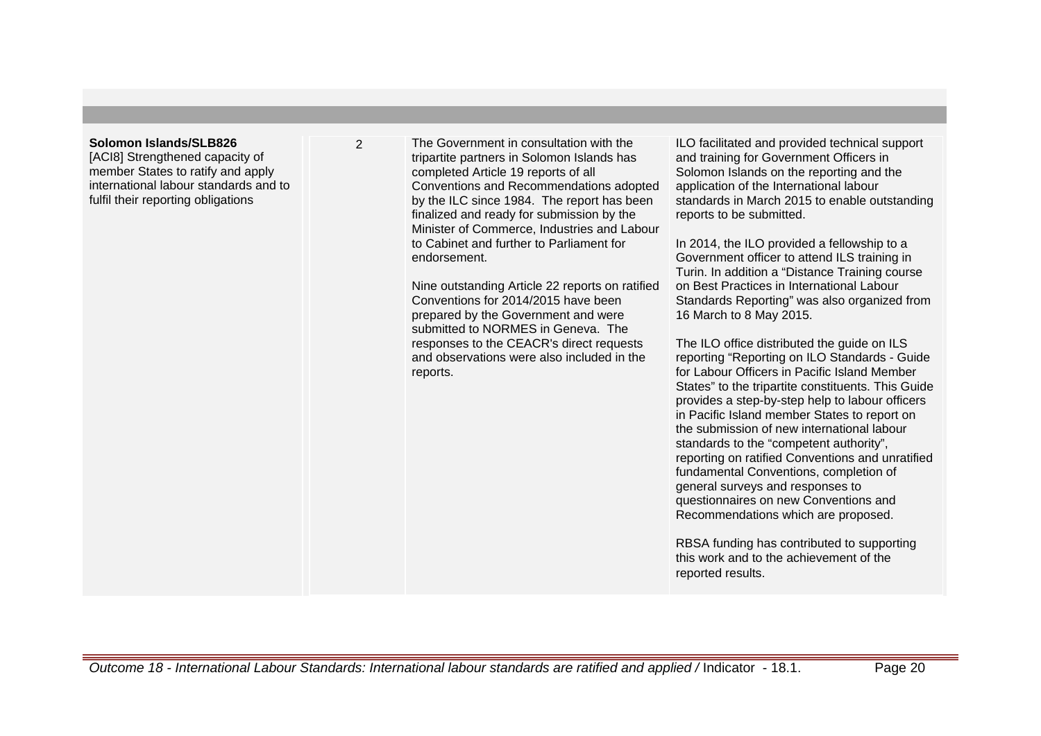#### **Solomon Islands/SLB826**

[ACI8] Strengthened capacity of member States to ratify and apply international labour standards and to fulfil their reporting obligations

2 The Government in consultation with the tripartite partners in Solomon Islands has completed Article 19 reports of all Conventions and Recommendations adopted by the ILC since 1984. The report has been finalized and ready for submission by the Minister of Commerce, Industries and Labour to Cabinet and further to Parliament for endorsement.

> Nine outstanding Article 22 reports on ratified Conventions for 2014/2015 have been prepared by the Government and were submitted to NORMES in Geneva. The responses to the CEACR's direct requests and observations were also included in the reports.

ILO facilitated and provided technical support and training for Government Officers in Solomon Islands on the reporting and the application of the International labour standards in March 2015 to enable outstanding reports to be submitted.

In 2014, the ILO provided a fellowship to a Government officer to attend ILS training in Turin. In addition a "Distance Training course on Best Practices in International Labour Standards Reporting" was also organized from 16 March to 8 May 2015.

The ILO office distributed the guide on ILS reporting "Reporting on ILO Standards - Guide for Labour Officers in Pacific Island Member States" to the tripartite constituents. This Guide provides a step-by-step help to labour officers in Pacific Island member States to report on the submission of new international labour standards to the "competent authority", reporting on ratified Conventions and unratified fundamental Conventions, completion of general surveys and responses to questionnaires on new Conventions and Recommendations which are proposed.

RBSA funding has contributed to supporting this work and to the achievement of the reported results.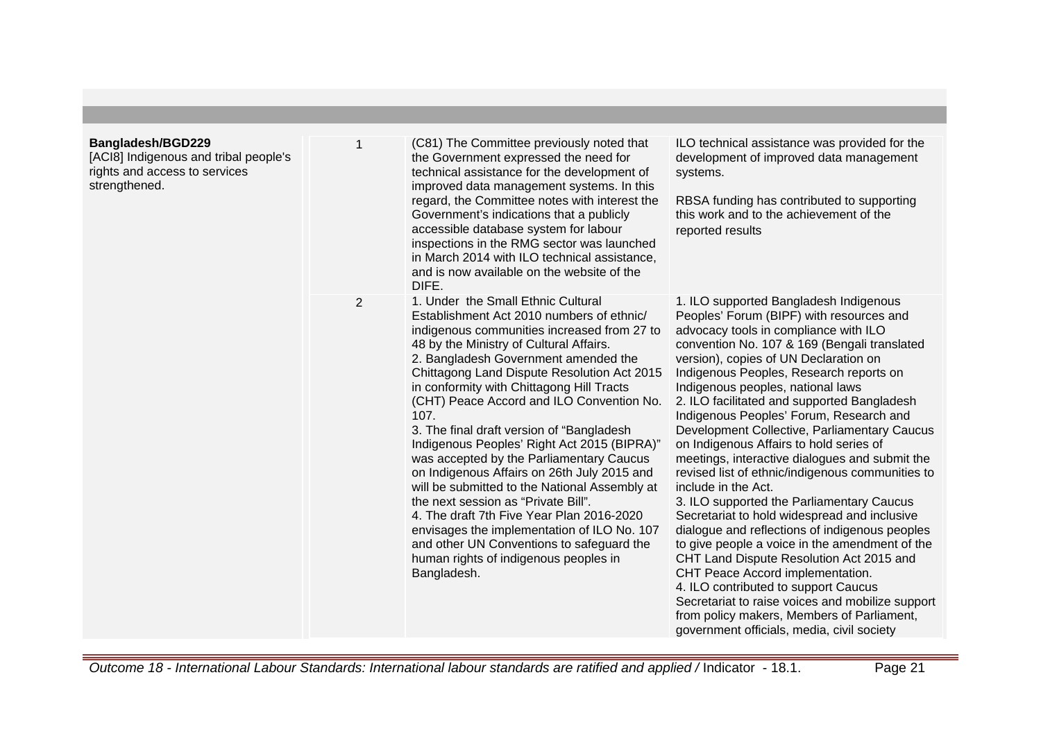| <b>Bangladesh/BGD229</b><br>[ACI8] Indigenous and tribal people's<br>rights and access to services<br>strengthened. |                | (C81) The Committee previously noted that<br>the Government expressed the need for<br>technical assistance for the development of<br>improved data management systems. In this<br>regard, the Committee notes with interest the<br>Government's indications that a publicly<br>accessible database system for labour<br>inspections in the RMG sector was launched<br>in March 2014 with ILO technical assistance,<br>and is now available on the website of the<br>DIFE.                                                                                                                                                                                                                                                                                                                                                                           | ILO technical assistance was provided for the<br>development of improved data management<br>systems.<br>RBSA funding has contributed to supporting<br>this work and to the achievement of the<br>reported results                                                                                                                                                                                                                                                                                                                                                                                                                                                                                                                                                                                                                                                                                                                                                                                                                                                                               |
|---------------------------------------------------------------------------------------------------------------------|----------------|-----------------------------------------------------------------------------------------------------------------------------------------------------------------------------------------------------------------------------------------------------------------------------------------------------------------------------------------------------------------------------------------------------------------------------------------------------------------------------------------------------------------------------------------------------------------------------------------------------------------------------------------------------------------------------------------------------------------------------------------------------------------------------------------------------------------------------------------------------|-------------------------------------------------------------------------------------------------------------------------------------------------------------------------------------------------------------------------------------------------------------------------------------------------------------------------------------------------------------------------------------------------------------------------------------------------------------------------------------------------------------------------------------------------------------------------------------------------------------------------------------------------------------------------------------------------------------------------------------------------------------------------------------------------------------------------------------------------------------------------------------------------------------------------------------------------------------------------------------------------------------------------------------------------------------------------------------------------|
|                                                                                                                     | $\overline{2}$ | 1. Under the Small Ethnic Cultural<br>Establishment Act 2010 numbers of ethnic/<br>indigenous communities increased from 27 to<br>48 by the Ministry of Cultural Affairs.<br>2. Bangladesh Government amended the<br>Chittagong Land Dispute Resolution Act 2015<br>in conformity with Chittagong Hill Tracts<br>(CHT) Peace Accord and ILO Convention No.<br>107.<br>3. The final draft version of "Bangladesh"<br>Indigenous Peoples' Right Act 2015 (BIPRA)"<br>was accepted by the Parliamentary Caucus<br>on Indigenous Affairs on 26th July 2015 and<br>will be submitted to the National Assembly at<br>the next session as "Private Bill".<br>4. The draft 7th Five Year Plan 2016-2020<br>envisages the implementation of ILO No. 107<br>and other UN Conventions to safeguard the<br>human rights of indigenous peoples in<br>Bangladesh. | 1. ILO supported Bangladesh Indigenous<br>Peoples' Forum (BIPF) with resources and<br>advocacy tools in compliance with ILO<br>convention No. 107 & 169 (Bengali translated<br>version), copies of UN Declaration on<br>Indigenous Peoples, Research reports on<br>Indigenous peoples, national laws<br>2. ILO facilitated and supported Bangladesh<br>Indigenous Peoples' Forum, Research and<br>Development Collective, Parliamentary Caucus<br>on Indigenous Affairs to hold series of<br>meetings, interactive dialogues and submit the<br>revised list of ethnic/indigenous communities to<br>include in the Act.<br>3. ILO supported the Parliamentary Caucus<br>Secretariat to hold widespread and inclusive<br>dialogue and reflections of indigenous peoples<br>to give people a voice in the amendment of the<br>CHT Land Dispute Resolution Act 2015 and<br>CHT Peace Accord implementation.<br>4. ILO contributed to support Caucus<br>Secretariat to raise voices and mobilize support<br>from policy makers, Members of Parliament,<br>government officials, media, civil society |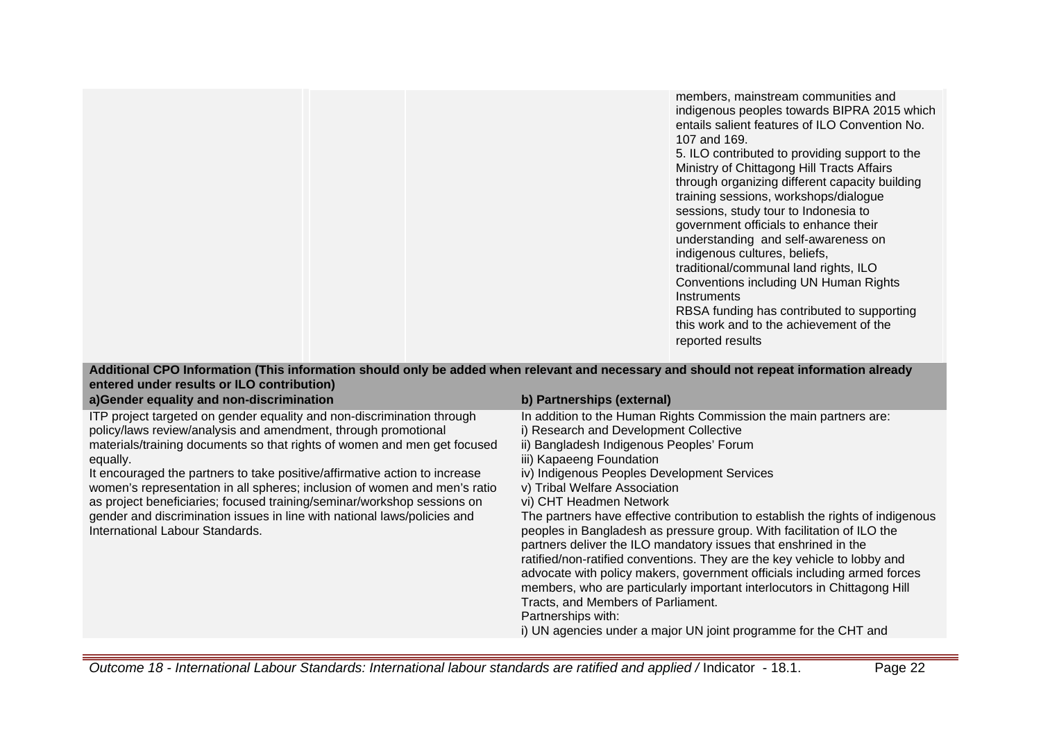|  | members, mainstream communities and<br>indigenous peoples towards BIPRA 2015 which<br>entails salient features of ILO Convention No.<br>107 and 169.<br>5. ILO contributed to providing support to the<br>Ministry of Chittagong Hill Tracts Affairs<br>through organizing different capacity building<br>training sessions, workshops/dialogue<br>sessions, study tour to Indonesia to<br>government officials to enhance their<br>understanding and self-awareness on<br>indigenous cultures, beliefs,<br>traditional/communal land rights, ILO<br>Conventions including UN Human Rights<br><b>Instruments</b><br>RBSA funding has contributed to supporting |  |
|--|----------------------------------------------------------------------------------------------------------------------------------------------------------------------------------------------------------------------------------------------------------------------------------------------------------------------------------------------------------------------------------------------------------------------------------------------------------------------------------------------------------------------------------------------------------------------------------------------------------------------------------------------------------------|--|
|  | this work and to the achievement of the<br>reported results                                                                                                                                                                                                                                                                                                                                                                                                                                                                                                                                                                                                    |  |

|                                            |  | Additional CPO Information (This information should only be added when relevant and necessary and should not repeat information already |  |
|--------------------------------------------|--|-----------------------------------------------------------------------------------------------------------------------------------------|--|
| entered under results or ILO contribution) |  |                                                                                                                                         |  |

| a)Gender equality and non-discrimination                                                                                                                                                                                                                                                                                                                                                                                                                                                                                                                                              | b) Partnerships (external)                                                                                                                                                                                                                                                                                                                                                                                                                                                                                                                                                                                                                                                                                                                                                                                                                                                                      |
|---------------------------------------------------------------------------------------------------------------------------------------------------------------------------------------------------------------------------------------------------------------------------------------------------------------------------------------------------------------------------------------------------------------------------------------------------------------------------------------------------------------------------------------------------------------------------------------|-------------------------------------------------------------------------------------------------------------------------------------------------------------------------------------------------------------------------------------------------------------------------------------------------------------------------------------------------------------------------------------------------------------------------------------------------------------------------------------------------------------------------------------------------------------------------------------------------------------------------------------------------------------------------------------------------------------------------------------------------------------------------------------------------------------------------------------------------------------------------------------------------|
| ITP project targeted on gender equality and non-discrimination through<br>policy/laws review/analysis and amendment, through promotional<br>materials/training documents so that rights of women and men get focused<br>equally.<br>It encouraged the partners to take positive/affirmative action to increase<br>women's representation in all spheres; inclusion of women and men's ratio<br>as project beneficiaries; focused training/seminar/workshop sessions on<br>gender and discrimination issues in line with national laws/policies and<br>International Labour Standards. | In addition to the Human Rights Commission the main partners are:<br>i) Research and Development Collective<br>ii) Bangladesh Indigenous Peoples' Forum<br>iii) Kapaeeng Foundation<br>iv) Indigenous Peoples Development Services<br>v) Tribal Welfare Association<br>vi) CHT Headmen Network<br>The partners have effective contribution to establish the rights of indigenous<br>peoples in Bangladesh as pressure group. With facilitation of ILO the<br>partners deliver the ILO mandatory issues that enshrined in the<br>ratified/non-ratified conventions. They are the key vehicle to lobby and<br>advocate with policy makers, government officials including armed forces<br>members, who are particularly important interlocutors in Chittagong Hill<br>Tracts, and Members of Parliament.<br>Partnerships with:<br>i) UN agencies under a major UN joint programme for the CHT and |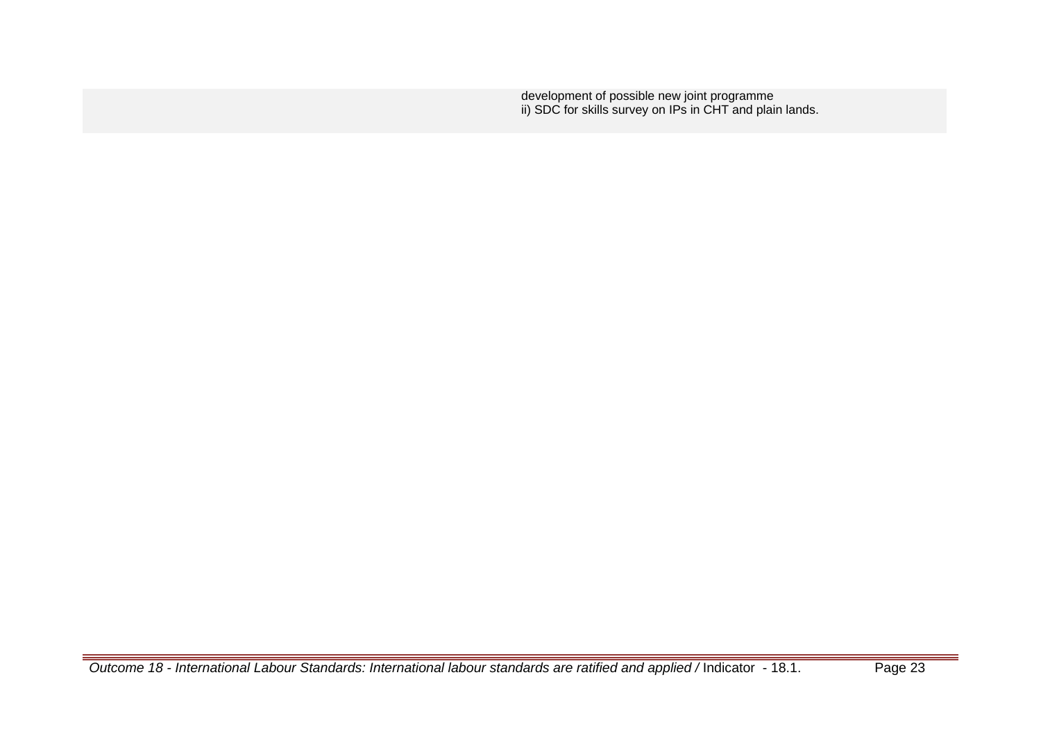development of possible new joint programme ii) SDC for skills survey on IPs in CHT and plain lands.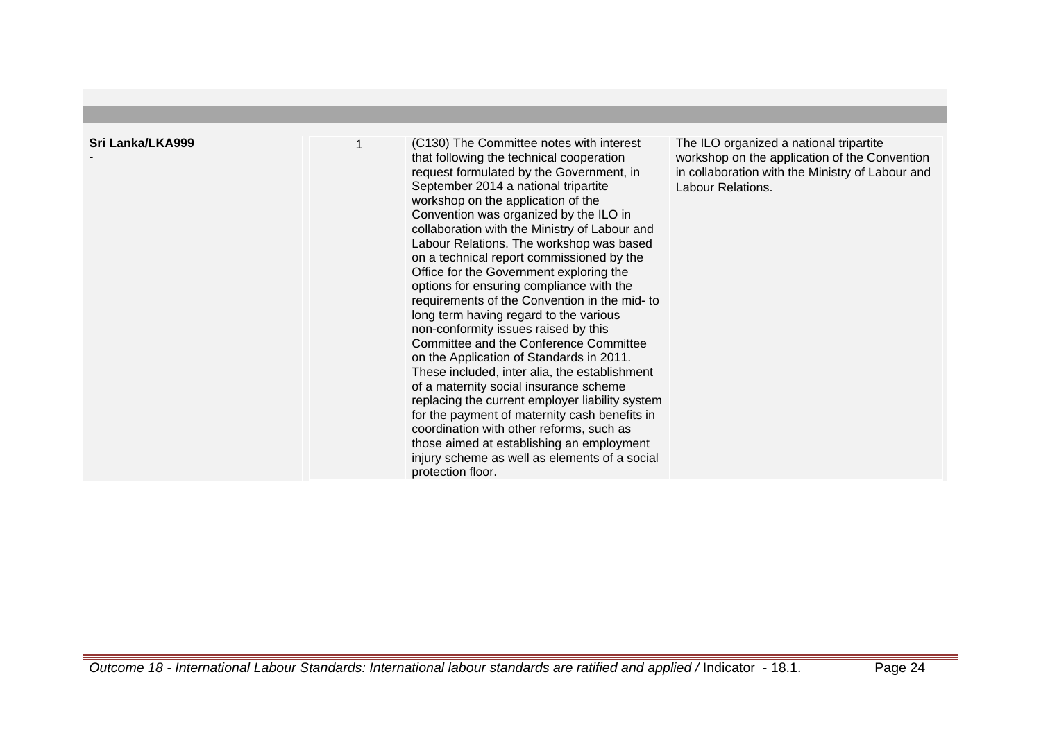| Sri Lanka/LKA999 | 1 | (C130) The Committee notes with interest<br>that following the technical cooperation<br>request formulated by the Government, in<br>September 2014 a national tripartite<br>workshop on the application of the<br>Convention was organized by the ILO in<br>collaboration with the Ministry of Labour and<br>Labour Relations. The workshop was based<br>on a technical report commissioned by the<br>Office for the Government exploring the<br>options for ensuring compliance with the<br>requirements of the Convention in the mid- to<br>long term having regard to the various<br>non-conformity issues raised by this<br>Committee and the Conference Committee<br>on the Application of Standards in 2011.<br>These included, inter alia, the establishment<br>of a maternity social insurance scheme<br>replacing the current employer liability system<br>for the payment of maternity cash benefits in<br>coordination with other reforms, such as<br>those aimed at establishing an employment<br>injury scheme as well as elements of a social<br>protection floor. | The ILO organized a national tripartite<br>workshop on the application of the Convention<br>in collaboration with the Ministry of Labour and<br>Labour Relations. |
|------------------|---|----------------------------------------------------------------------------------------------------------------------------------------------------------------------------------------------------------------------------------------------------------------------------------------------------------------------------------------------------------------------------------------------------------------------------------------------------------------------------------------------------------------------------------------------------------------------------------------------------------------------------------------------------------------------------------------------------------------------------------------------------------------------------------------------------------------------------------------------------------------------------------------------------------------------------------------------------------------------------------------------------------------------------------------------------------------------------------|-------------------------------------------------------------------------------------------------------------------------------------------------------------------|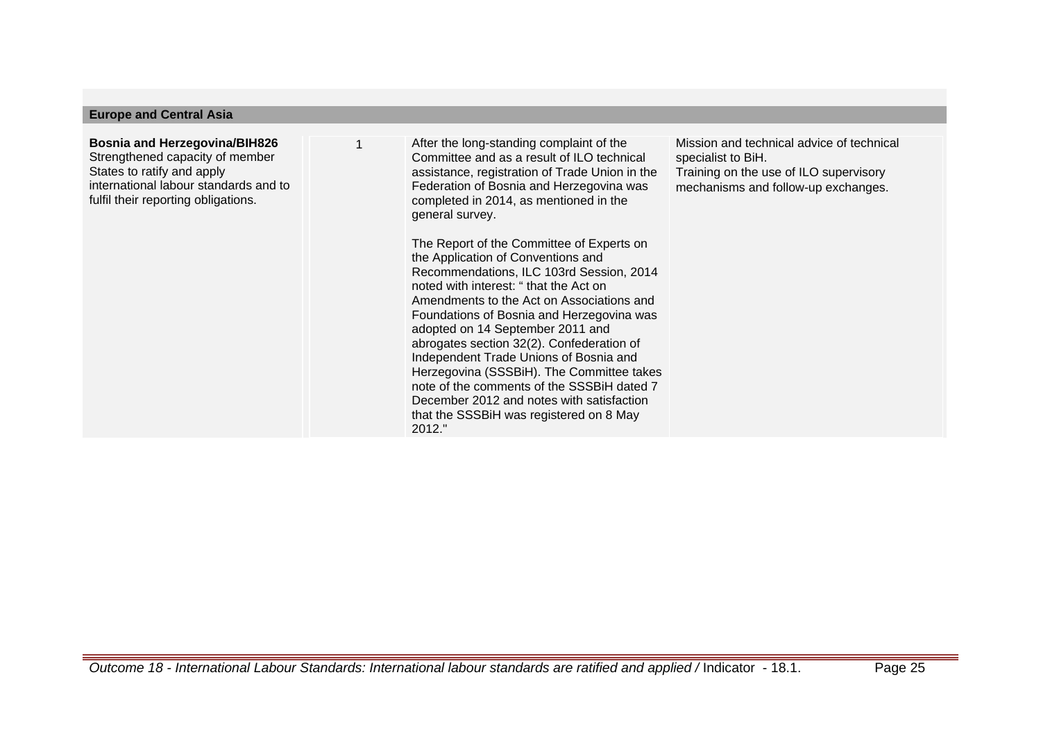#### **Europe and Central Asia**

## **Bosnia and Herzegovina/BIH826** Strengthened capacity of member States to ratify and apply international labour standards and to fulfil their reporting obligations.

After the long-standing complaint of the Committee and as a result of ILO technical assistance, registration of Trade Union in the Federation of Bosnia and Herzegovina was completed in 2014, as mentioned in the general survey.

The Report of the Committee of Experts on the Application of Conventions and Recommendations, ILC 103rd Session, 2014 noted with interest: " that the Act on Amendments to the Act on Associations and Foundations of Bosnia and Herzegovina was adopted on 14 September 2011 and abrogates section 32(2). Confederation of Independent Trade Unions of Bosnia and Herzegovina (SSSBiH). The Committee takes note of the comments of the SSSBiH dated 7 December 2012 and notes with satisfaction that the SSSBiH was registered on 8 May  $2012$  "

Mission and technical advice of technical specialist to BiH. Training on the use of ILO supervisory mechanisms and follow-up exchanges.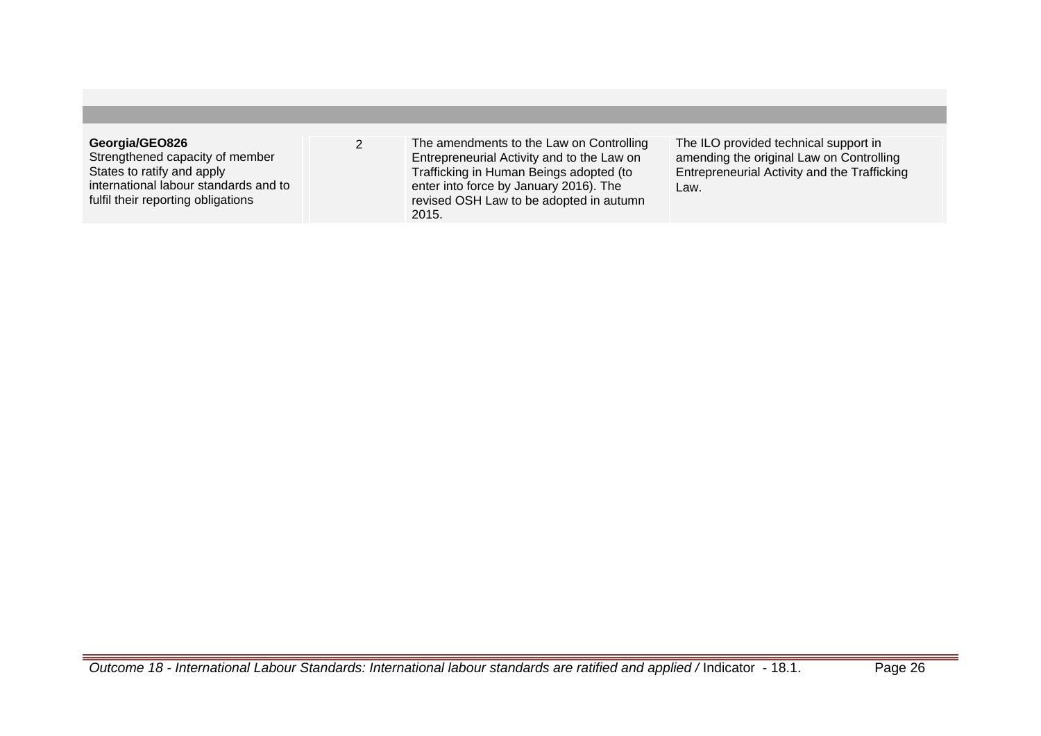## **Georgia/GEO826**

Strengthened capacity of member States to ratify and apply international labour standards and to fulfil their reporting obligations

2 The amendments to the Law on Controlling Entrepreneurial Activity and to the Law on Trafficking in Human Beings adopted (to enter into force by January 2016). The revised OSH Law to be adopted in autumn 2015.

The ILO provided technical support in amending the original Law on Controlling Entrepreneurial Activity and the Trafficking Law.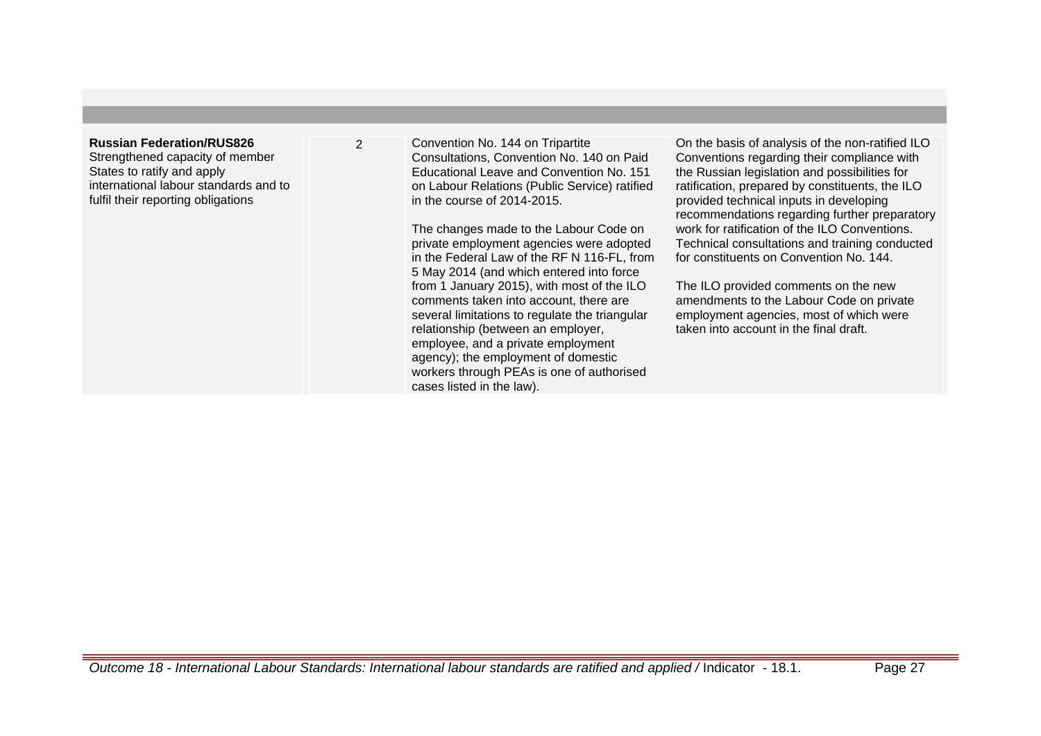# **Russian Federation/RUS826**

Strengthened capacity of member States to ratify and apply international labour standards and to fulfil their reporting obligations

2 Convention No. 144 on Tripartite Consultations, Convention No. 140 on Paid Educational Leave and Convention No. 151 on Labour Relations (Public Service) ratified in the course of 2014-2015.

> The changes made to the Labour Code on private employment agencies were adopted in the Federal Law of the RF N 116-FL, from 5 May 2014 (and which entered into force from 1 January 2015), with most of the ILO comments taken into account, there are several limitations to regulate the triangular relationship (between an employer, employee, and a private employment agency); the employment of domestic workers through PEAs is one of authorised cases listed in the law).

On the basis of analysis of the non-ratified ILO Conventions regarding their compliance with the Russian legislation and possibilities for ratification, prepared by constituents, the ILO provided technical inputs in developing recommendations regarding further preparatory work for ratification of the ILO Conventions. Technical consultations and training conducted for constituents on Convention No. 144.

The ILO provided comments on the new amendments to the Labour Code on private employment agencies, most of which were taken into account in the final draft.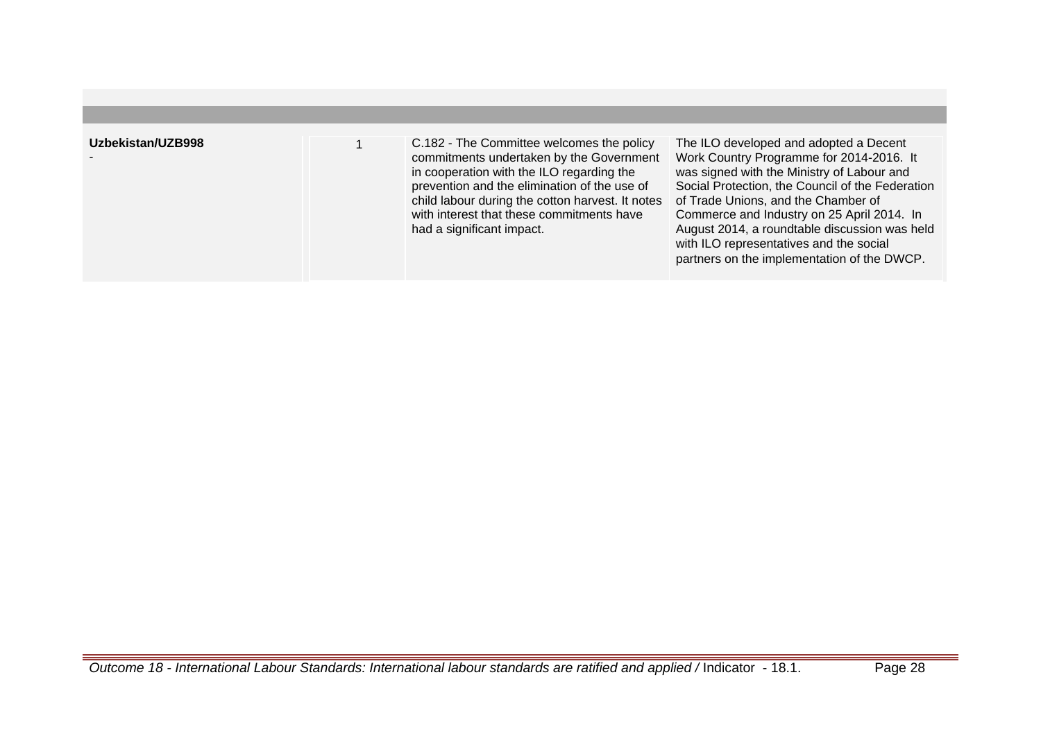| Uzbekistan/UZB998 | C.182 - The Committee welcomes the policy<br>commitments undertaken by the Government<br>in cooperation with the ILO regarding the<br>prevention and the elimination of the use of<br>child labour during the cotton harvest. It notes<br>with interest that these commitments have<br>had a significant impact. | The ILO developed and adopted a Decent<br>Work Country Programme for 2014-2016. It<br>was signed with the Ministry of Labour and<br>Social Protection, the Council of the Federation<br>of Trade Unions, and the Chamber of<br>Commerce and Industry on 25 April 2014. In<br>August 2014, a roundtable discussion was held<br>with ILO representatives and the social<br>partners on the implementation of the DWCP. |
|-------------------|------------------------------------------------------------------------------------------------------------------------------------------------------------------------------------------------------------------------------------------------------------------------------------------------------------------|----------------------------------------------------------------------------------------------------------------------------------------------------------------------------------------------------------------------------------------------------------------------------------------------------------------------------------------------------------------------------------------------------------------------|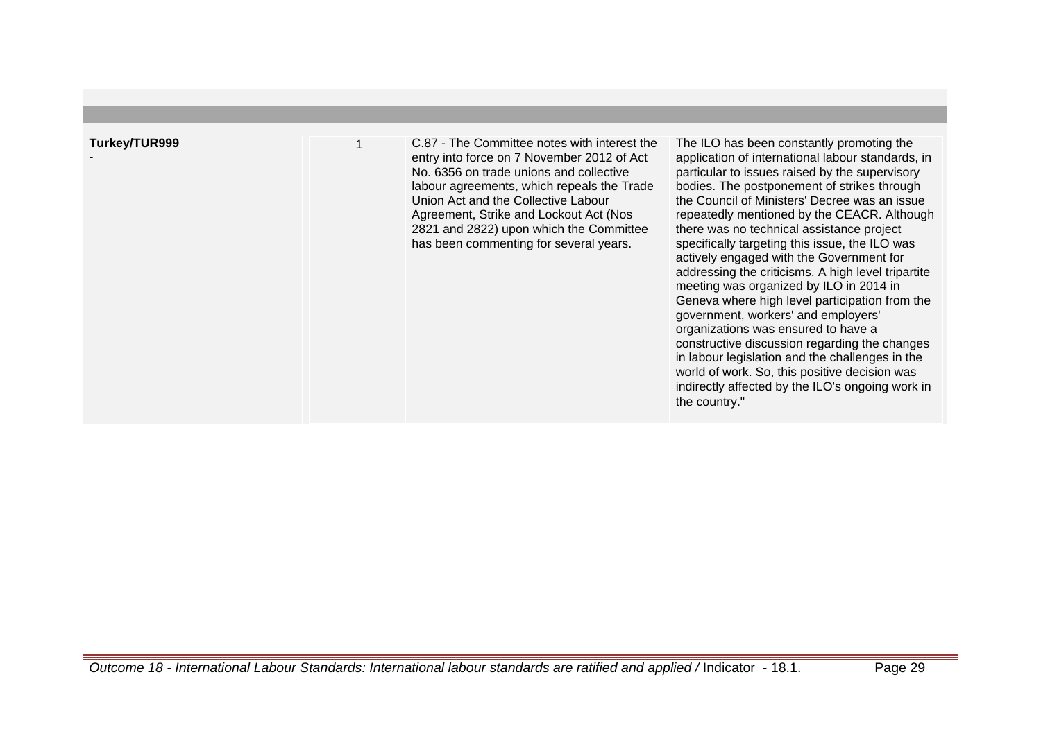| Turkey/TUR999 | C.87 - The Committee notes with interest the<br>entry into force on 7 November 2012 of Act<br>No. 6356 on trade unions and collective<br>labour agreements, which repeals the Trade<br>Union Act and the Collective Labour<br>Agreement, Strike and Lockout Act (Nos.<br>2821 and 2822) upon which the Committee<br>has been commenting for several years. | The ILO has been constantly promoting the<br>application of international labour standards, in<br>particular to issues raised by the supervisory<br>bodies. The postponement of strikes through<br>the Council of Ministers' Decree was an issue<br>repeatedly mentioned by the CEACR. Although<br>there was no technical assistance project<br>specifically targeting this issue, the ILO was<br>actively engaged with the Government for<br>addressing the criticisms. A high level tripartite<br>meeting was organized by ILO in 2014 in<br>Geneva where high level participation from the<br>government, workers' and employers'<br>organizations was ensured to have a<br>constructive discussion regarding the changes<br>in labour legislation and the challenges in the<br>world of work. So, this positive decision was<br>indirectly affected by the ILO's ongoing work in<br>the country." |
|---------------|------------------------------------------------------------------------------------------------------------------------------------------------------------------------------------------------------------------------------------------------------------------------------------------------------------------------------------------------------------|-------------------------------------------------------------------------------------------------------------------------------------------------------------------------------------------------------------------------------------------------------------------------------------------------------------------------------------------------------------------------------------------------------------------------------------------------------------------------------------------------------------------------------------------------------------------------------------------------------------------------------------------------------------------------------------------------------------------------------------------------------------------------------------------------------------------------------------------------------------------------------------------------------|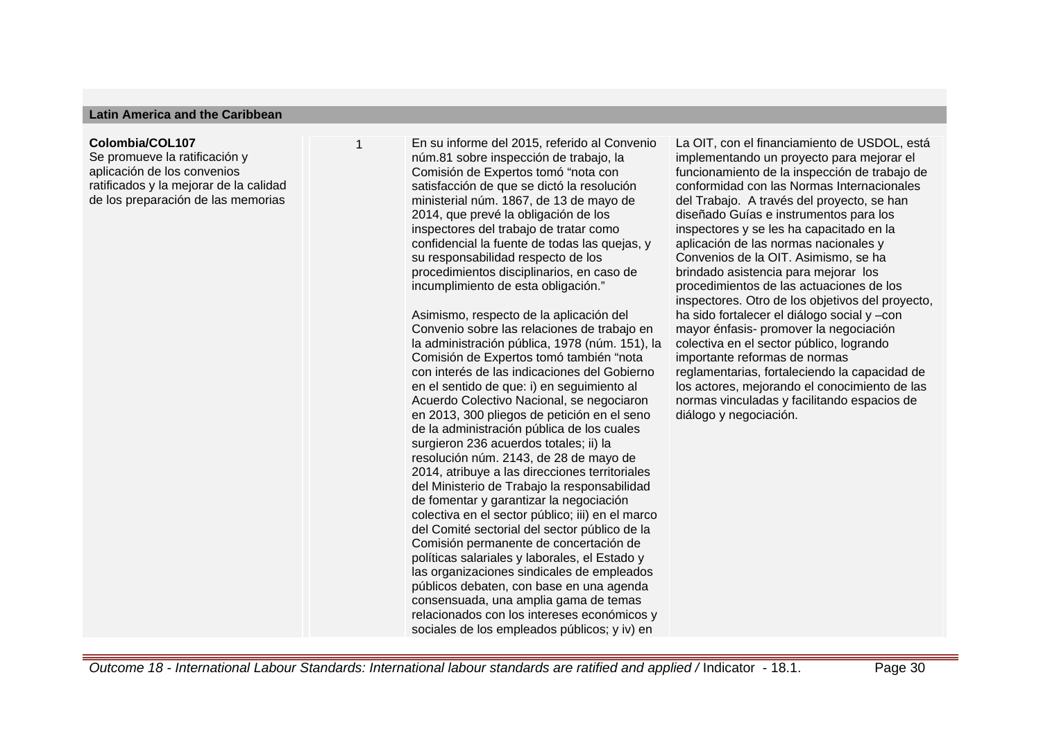#### **Latin America and the Caribbean**

#### **Colombia/COL107**

Se promueve la ratificación y aplicación de los convenios ratificados y la mejorar de la calidad de los preparación de las memorias

1 En su informe del 2015, referido al Convenio núm.81 sobre inspección de trabajo, la Comisión de Expertos tomó "nota con satisfacción de que se dictó la resolución ministerial núm. 1867, de 13 de mayo de 2014, que prevé la obligación de los inspectores del trabajo de tratar como confidencial la fuente de todas las quejas, y su responsabilidad respecto de los procedimientos disciplinarios, en caso de incumplimiento de esta obligación."

Asimismo, respecto de la aplicación del Convenio sobre las relaciones de trabajo en la administración pública, 1978 (núm. 151), la Comisión de Expertos tomó también "nota con interés de las indicaciones del Gobierno en el sentido de que: i) en seguimiento al Acuerdo Colectivo Nacional, se negociaron en 2013, 300 pliegos de petición en el seno de la administración pública de los cuales surgieron 236 acuerdos totales; ii) la resolución núm. 2143, de 28 de mayo de 2014, atribuye a las direcciones territoriales del Ministerio de Trabajo la responsabilidad de fomentar y garantizar la negociación colectiva en el sector público; iii) en el marco del Comité sectorial del sector público de la Comisión permanente de concertación de políticas salariales y laborales, el Estado y las organizaciones sindicales de empleados públicos debaten, con base en una agenda consensuada, una amplia gama de temas relacionados con los intereses económicos y sociales de los empleados públicos; y iv) en

La OIT, con el financiamiento de USDOL, está implementando un proyecto para mejorar el funcionamiento de la inspección de trabajo de conformidad con las Normas Internacionales del Trabajo. A través del proyecto, se han diseñado Guías e instrumentos para los inspectores y se les ha capacitado en la aplicación de las normas nacionales y Convenios de la OIT. Asimismo, se ha brindado asistencia para mejorar los procedimientos de las actuaciones de los inspectores. Otro de los objetivos del proyecto, ha sido fortalecer el diálogo social y –con mayor énfasis- promover la negociación colectiva en el sector público, logrando importante reformas de normas reglamentarias, fortaleciendo la capacidad de los actores, mejorando el conocimiento de las normas vinculadas y facilitando espacios de diálogo y negociación.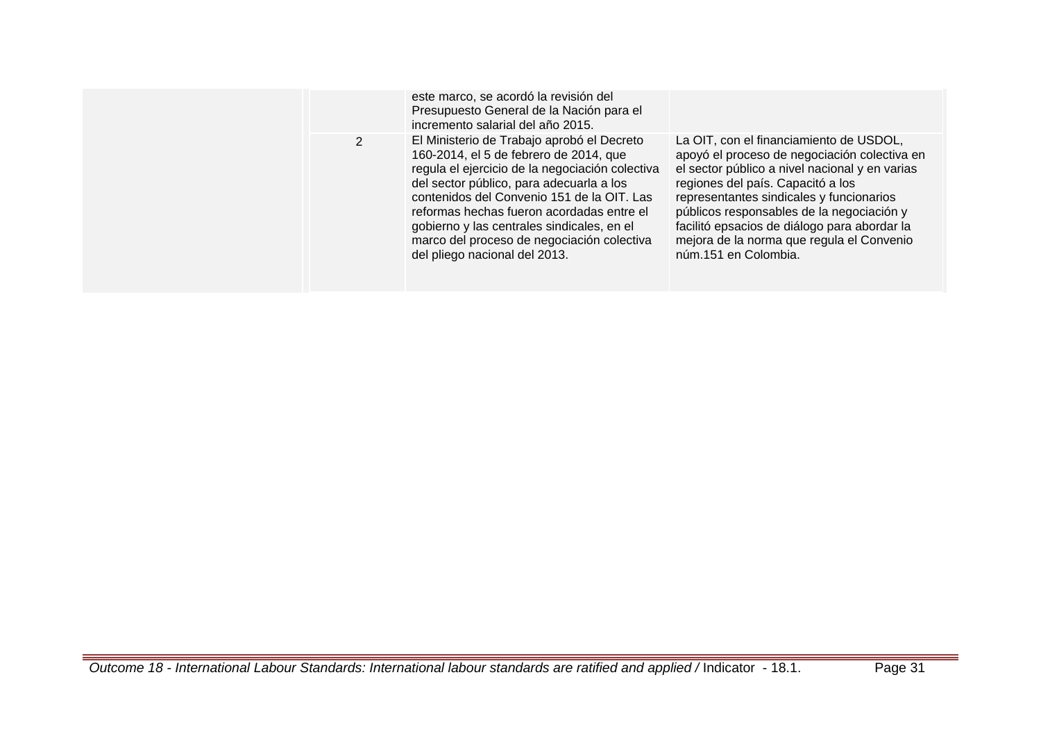|  | este marco, se acordó la revisión del<br>Presupuesto General de la Nación para el<br>incremento salarial del año 2015.                                                                                                                                                                                                                                                                                      |                                                                                                                                                                                                                                                                                                                                                                                              |
|--|-------------------------------------------------------------------------------------------------------------------------------------------------------------------------------------------------------------------------------------------------------------------------------------------------------------------------------------------------------------------------------------------------------------|----------------------------------------------------------------------------------------------------------------------------------------------------------------------------------------------------------------------------------------------------------------------------------------------------------------------------------------------------------------------------------------------|
|  | El Ministerio de Trabajo aprobó el Decreto<br>160-2014, el 5 de febrero de 2014, que<br>regula el ejercicio de la negociación colectiva<br>del sector público, para adecuarla a los<br>contenidos del Convenio 151 de la OIT. Las<br>reformas hechas fueron acordadas entre el<br>gobierno y las centrales sindicales, en el<br>marco del proceso de negociación colectiva<br>del pliego nacional del 2013. | La OIT, con el financiamiento de USDOL,<br>apoyó el proceso de negociación colectiva en<br>el sector público a nivel nacional y en varias<br>regiones del país. Capacitó a los<br>representantes sindicales y funcionarios<br>públicos responsables de la negociación y<br>facilitó epsacios de diálogo para abordar la<br>mejora de la norma que regula el Convenio<br>núm.151 en Colombia. |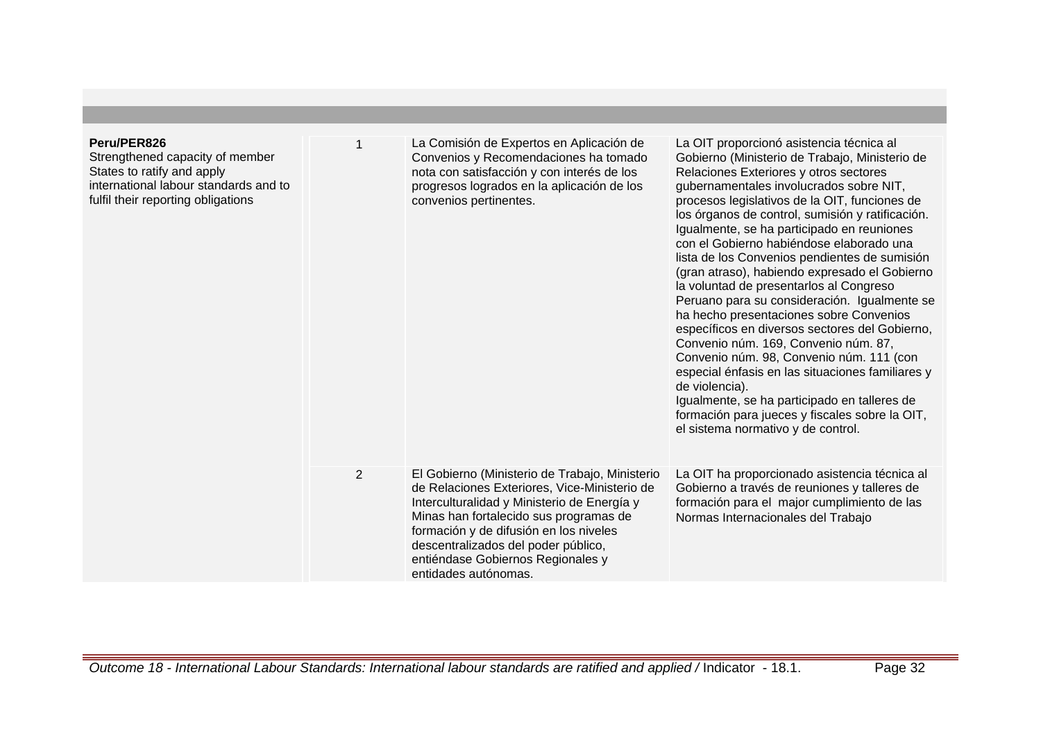| Peru/PER826<br>Strengthened capacity of member<br>States to ratify and apply<br>international labour standards and to<br>fulfil their reporting obligations |   | La Comisión de Expertos en Aplicación de<br>Convenios y Recomendaciones ha tomado<br>nota con satisfacción y con interés de los<br>progresos logrados en la aplicación de los<br>convenios pertinentes.                                                                                                                               | La OIT proporcionó asistencia técnica al<br>Gobierno (Ministerio de Trabajo, Ministerio de<br>Relaciones Exteriores y otros sectores<br>gubernamentales involucrados sobre NIT,<br>procesos legislativos de la OIT, funciones de<br>los órganos de control, sumisión y ratificación.<br>Igualmente, se ha participado en reuniones<br>con el Gobierno habiéndose elaborado una<br>lista de los Convenios pendientes de sumisión<br>(gran atraso), habiendo expresado el Gobierno<br>la voluntad de presentarlos al Congreso<br>Peruano para su consideración. Igualmente se<br>ha hecho presentaciones sobre Convenios<br>específicos en diversos sectores del Gobierno,<br>Convenio núm. 169, Convenio núm. 87,<br>Convenio núm. 98, Convenio núm. 111 (con<br>especial énfasis en las situaciones familiares y<br>de violencia).<br>Igualmente, se ha participado en talleres de<br>formación para jueces y fiscales sobre la OIT,<br>el sistema normativo y de control. |
|-------------------------------------------------------------------------------------------------------------------------------------------------------------|---|---------------------------------------------------------------------------------------------------------------------------------------------------------------------------------------------------------------------------------------------------------------------------------------------------------------------------------------|----------------------------------------------------------------------------------------------------------------------------------------------------------------------------------------------------------------------------------------------------------------------------------------------------------------------------------------------------------------------------------------------------------------------------------------------------------------------------------------------------------------------------------------------------------------------------------------------------------------------------------------------------------------------------------------------------------------------------------------------------------------------------------------------------------------------------------------------------------------------------------------------------------------------------------------------------------------------------|
|                                                                                                                                                             | 2 | El Gobierno (Ministerio de Trabajo, Ministerio<br>de Relaciones Exteriores, Vice-Ministerio de<br>Interculturalidad y Ministerio de Energía y<br>Minas han fortalecido sus programas de<br>formación y de difusión en los niveles<br>descentralizados del poder público,<br>entiéndase Gobiernos Regionales y<br>entidades autónomas. | La OIT ha proporcionado asistencia técnica al<br>Gobierno a través de reuniones y talleres de<br>formación para el major cumplimiento de las<br>Normas Internacionales del Trabajo                                                                                                                                                                                                                                                                                                                                                                                                                                                                                                                                                                                                                                                                                                                                                                                         |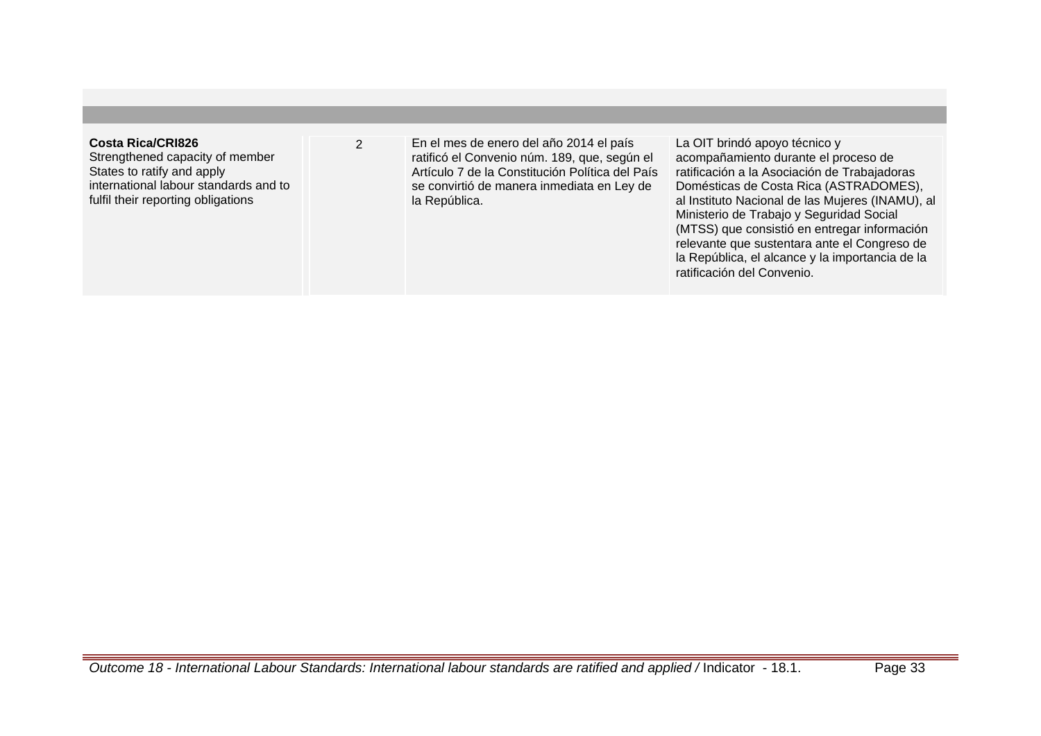| Costa Rica/CRI826<br>Strengthened capacity of member<br>States to ratify and apply | En el mes de enero del año 2014 el país<br>ratificó el Convenio núm. 189, que, según el<br>Artículo 7 de la Constitución Política del País | La OIT brindó apoyo técnico y<br>acompañamiento durante el proceso de<br>ratificación a la Asociación de Trabajadoras |
|------------------------------------------------------------------------------------|--------------------------------------------------------------------------------------------------------------------------------------------|-----------------------------------------------------------------------------------------------------------------------|
| international labour standards and to<br>fulfil their reporting obligations        | se convirtió de manera inmediata en Ley de<br>la República.                                                                                | Domésticas de Costa Rica (ASTRADOMES),<br>al Instituto Nacional de las Mujeres (INAMU), al                            |
|                                                                                    |                                                                                                                                            | Ministerio de Trabajo y Seguridad Social<br>(MTSS) que consistió en entregar información                              |
|                                                                                    |                                                                                                                                            | relevante que sustentara ante el Congreso de<br>la República, el alcance y la importancia de la                       |
|                                                                                    |                                                                                                                                            | ratificación del Convenio.                                                                                            |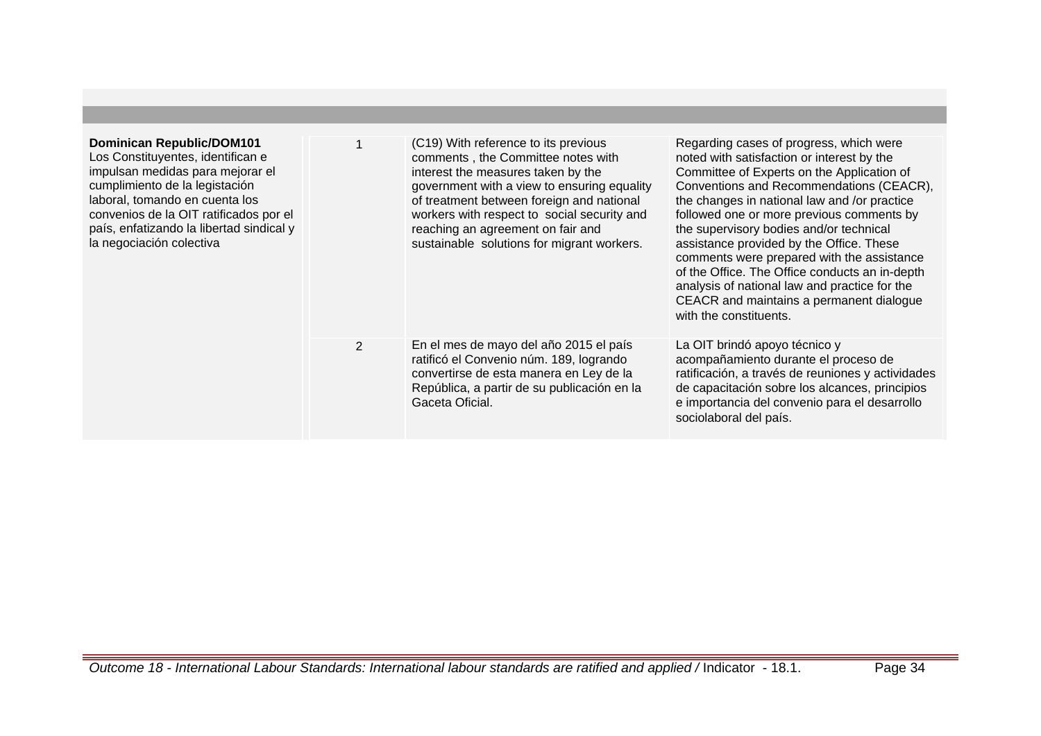| <b>Dominican Republic/DOM101</b><br>Los Constituyentes, identifican e<br>impulsan medidas para mejorar el<br>cumplimiento de la legistación<br>laboral, tomando en cuenta los<br>convenios de la OIT ratificados por el<br>país, enfatizando la libertad sindical y<br>la negociación colectiva |                | (C19) With reference to its previous<br>comments, the Committee notes with<br>interest the measures taken by the<br>government with a view to ensuring equality<br>of treatment between foreign and national<br>workers with respect to social security and<br>reaching an agreement on fair and<br>sustainable solutions for migrant workers. | Regarding cases of progress, which were<br>noted with satisfaction or interest by the<br>Committee of Experts on the Application of<br>Conventions and Recommendations (CEACR),<br>the changes in national law and /or practice<br>followed one or more previous comments by<br>the supervisory bodies and/or technical<br>assistance provided by the Office. These<br>comments were prepared with the assistance<br>of the Office. The Office conducts an in-depth<br>analysis of national law and practice for the<br>CEACR and maintains a permanent dialogue<br>with the constituents. |
|-------------------------------------------------------------------------------------------------------------------------------------------------------------------------------------------------------------------------------------------------------------------------------------------------|----------------|------------------------------------------------------------------------------------------------------------------------------------------------------------------------------------------------------------------------------------------------------------------------------------------------------------------------------------------------|--------------------------------------------------------------------------------------------------------------------------------------------------------------------------------------------------------------------------------------------------------------------------------------------------------------------------------------------------------------------------------------------------------------------------------------------------------------------------------------------------------------------------------------------------------------------------------------------|
|                                                                                                                                                                                                                                                                                                 | $\overline{2}$ | En el mes de mayo del año 2015 el país<br>ratificó el Convenio núm. 189, logrando<br>convertirse de esta manera en Ley de la<br>República, a partir de su publicación en la<br>Gaceta Oficial.                                                                                                                                                 | La OIT brindó apoyo técnico y<br>acompañamiento durante el proceso de<br>ratificación, a través de reuniones y actividades<br>de capacitación sobre los alcances, principios<br>e importancia del convenio para el desarrollo<br>sociolaboral del país.                                                                                                                                                                                                                                                                                                                                    |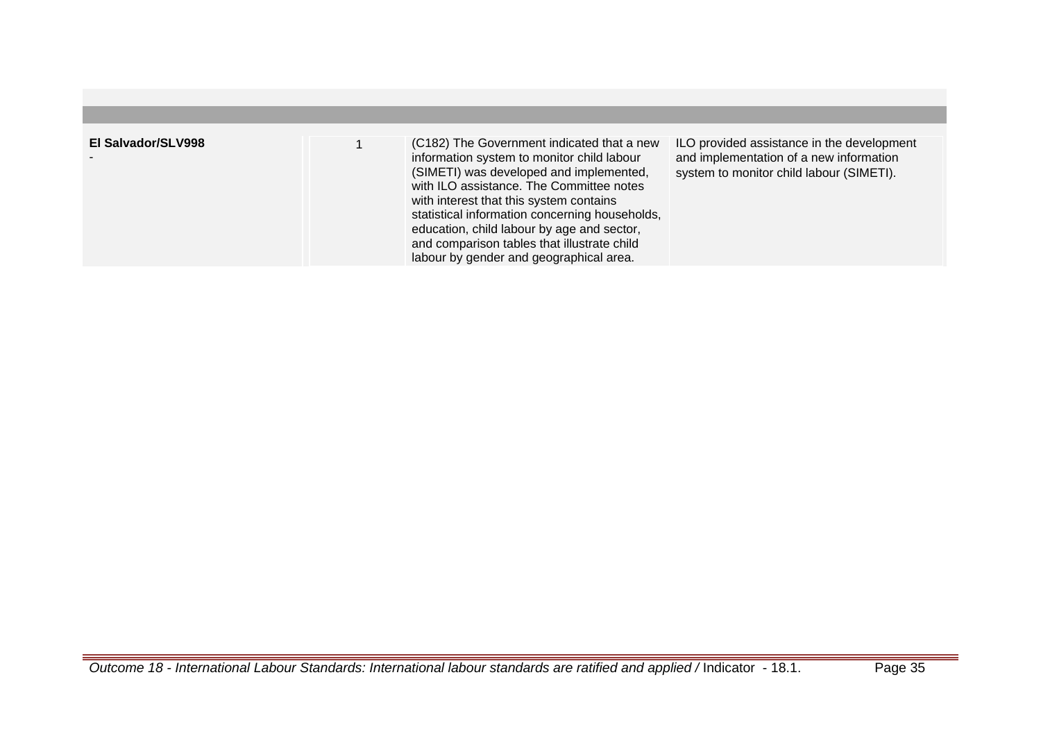| El Salvador/SLV998 | (C182) The Government indicated that a new<br>information system to monitor child labour<br>(SIMETI) was developed and implemented,<br>with ILO assistance. The Committee notes<br>with interest that this system contains<br>statistical information concerning households,<br>education, child labour by age and sector,<br>and comparison tables that illustrate child<br>labour by gender and geographical area. | ILO provided assistance in the development<br>and implementation of a new information<br>system to monitor child labour (SIMETI). |
|--------------------|----------------------------------------------------------------------------------------------------------------------------------------------------------------------------------------------------------------------------------------------------------------------------------------------------------------------------------------------------------------------------------------------------------------------|-----------------------------------------------------------------------------------------------------------------------------------|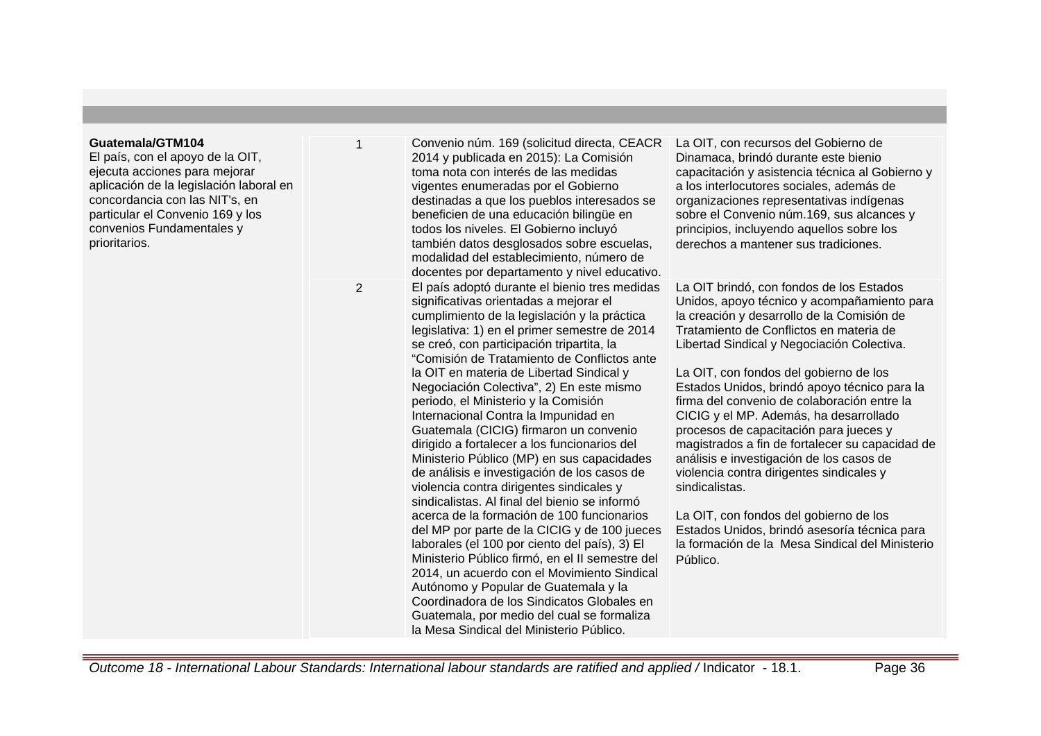#### **Guatemala/GTM104**

El país, con el apoyo de la OIT, ejecuta acciones para mejorar aplicación de la legislación laboral en concordancia con las NIT's, en particular el Convenio 169 y los convenios Fundamentales y prioritarios.

1 Convenio núm. 169 (solicitud directa, CEACR 2014 y publicada en 2015): La Comisión toma nota con interés de las medidas vigentes enumeradas por el Gobierno destinadas a que los pueblos interesados se beneficien de una educación bilingüe en todos los niveles. El Gobierno incluyó también datos desglosados sobre escuelas, modalidad del establecimiento, número de docentes por departamento y nivel educativo. 2 El país adoptó durante el bienio tres medidas significativas orientadas a mejorar el cumplimiento de la legislación y la práctica legislativa: 1) en el primer semestre de 2014 se creó, con participación tripartita, la "Comisión de Tratamiento de Conflictos ante la OIT en materia de Libertad Sindical y Negociación Colectiva", 2) En este mismo periodo, el Ministerio y la Comisión Internacional Contra la Impunidad en Guatemala (CICIG) firmaron un convenio dirigido a fortalecer a los funcionarios del Ministerio Público (MP) en sus capacidades de análisis e investigación de los casos de violencia contra dirigentes sindicales y sindicalistas. Al final del bienio se informó acerca de la formación de 100 funcionarios del MP por parte de la CICIG y de 100 jueces laborales (el 100 por ciento del país), 3) El Ministerio Público firmó, en el II semestre del 2014, un acuerdo con el Movimiento Sindical Autónomo y Popular de Guatemala y la Coordinadora de los Sindicatos Globales en Guatemala, por medio del cual se formaliza la Mesa Sindical del Ministerio Público.

La OIT, con recursos del Gobierno de Dinamaca, brindó durante este bienio capacitación y asistencia técnica al Gobierno y a los interlocutores sociales, además de organizaciones representativas indígenas sobre el Convenio núm.169, sus alcances y principios, incluyendo aquellos sobre los derechos a mantener sus tradiciones.

La OIT brindó, con fondos de los Estados Unidos, apoyo técnico y acompañamiento para la creación y desarrollo de la Comisión de Tratamiento de Conflictos en materia de Libertad Sindical y Negociación Colectiva.

La OIT, con fondos del gobierno de los Estados Unidos, brindó apoyo técnico para la firma del convenio de colaboración entre la CICIG y el MP. Además, ha desarrollado procesos de capacitación para jueces y magistrados a fin de fortalecer su capacidad de análisis e investigación de los casos de violencia contra dirigentes sindicales y sindicalistas.

La OIT, con fondos del gobierno de los Estados Unidos, brindó asesoría técnica para la formación de la Mesa Sindical del Ministerio Público.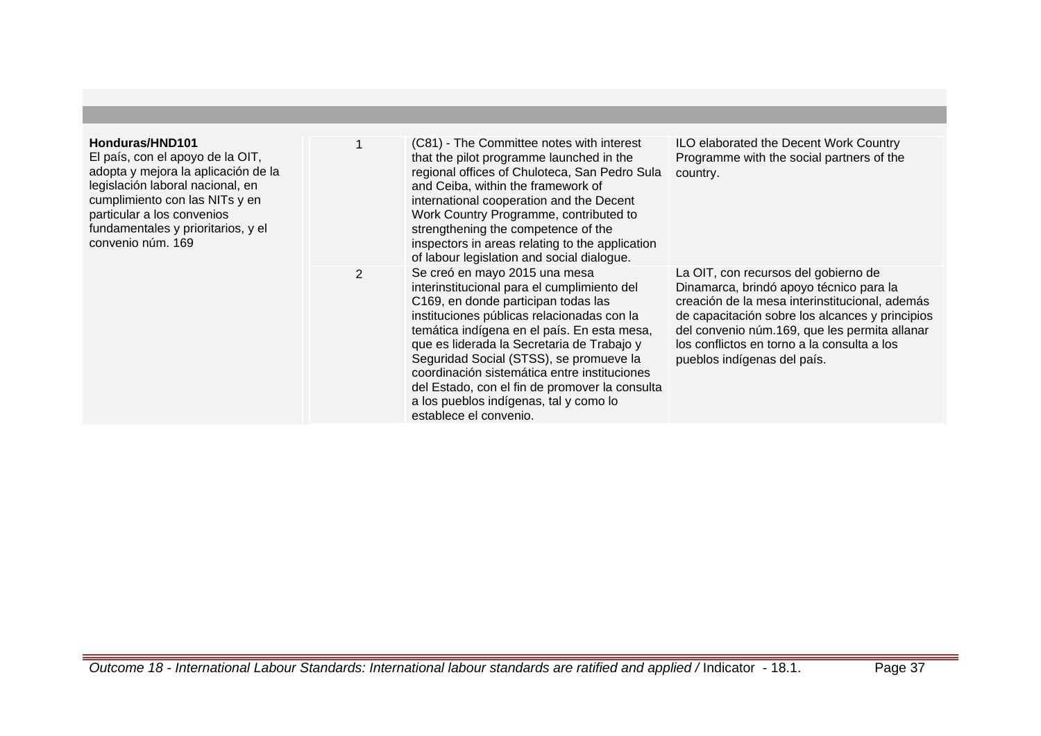| Honduras/HND101<br>El país, con el apoyo de la OIT,<br>adopta y mejora la aplicación de la<br>legislación laboral nacional, en<br>cumplimiento con las NITs y en<br>particular a los convenios<br>fundamentales y prioritarios, y el<br>convenio núm. 169 |                | (C81) - The Committee notes with interest<br>that the pilot programme launched in the<br>regional offices of Chuloteca, San Pedro Sula<br>and Ceiba, within the framework of<br>international cooperation and the Decent<br>Work Country Programme, contributed to<br>strengthening the competence of the<br>inspectors in areas relating to the application<br>of labour legislation and social dialogue.                                                                      | ILO elaborated the Decent Work Country<br>Programme with the social partners of the<br>country.                                                                                                                                                                                                                     |
|-----------------------------------------------------------------------------------------------------------------------------------------------------------------------------------------------------------------------------------------------------------|----------------|---------------------------------------------------------------------------------------------------------------------------------------------------------------------------------------------------------------------------------------------------------------------------------------------------------------------------------------------------------------------------------------------------------------------------------------------------------------------------------|---------------------------------------------------------------------------------------------------------------------------------------------------------------------------------------------------------------------------------------------------------------------------------------------------------------------|
|                                                                                                                                                                                                                                                           | $\overline{2}$ | Se creó en mayo 2015 una mesa<br>interinstitucional para el cumplimiento del<br>C169, en donde participan todas las<br>instituciones públicas relacionadas con la<br>temática indígena en el país. En esta mesa,<br>que es liderada la Secretaria de Trabajo y<br>Seguridad Social (STSS), se promueve la<br>coordinación sistemática entre instituciones<br>del Estado, con el fin de promover la consulta<br>a los pueblos indígenas, tal y como lo<br>establece el convenio. | La OIT, con recursos del gobierno de<br>Dinamarca, brindó apoyo técnico para la<br>creación de la mesa interinstitucional, además<br>de capacitación sobre los alcances y principios<br>del convenio núm.169, que les permita allanar<br>los conflictos en torno a la consulta a los<br>pueblos indígenas del país. |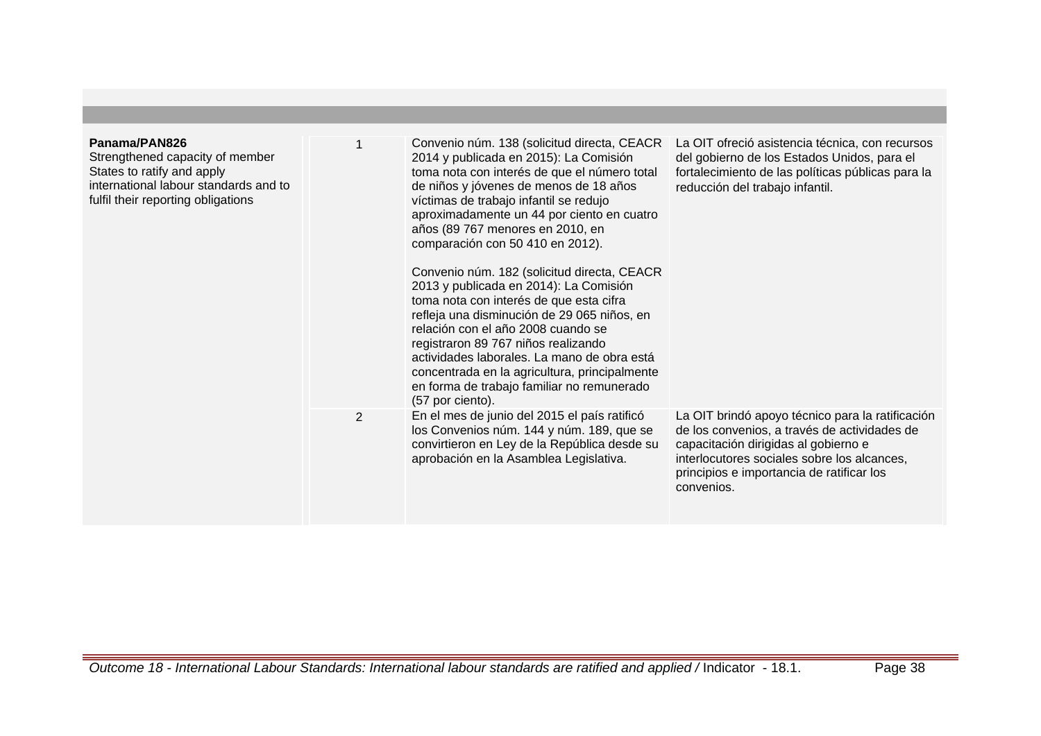| Panama/PAN826<br>Strengthened capacity of member<br>States to ratify and apply<br>international labour standards and to<br>fulfil their reporting obligations |   | Convenio núm. 138 (solicitud directa, CEACR<br>2014 y publicada en 2015): La Comisión<br>toma nota con interés de que el número total<br>de niños y jóvenes de menos de 18 años<br>víctimas de trabajo infantil se redujo<br>aproximadamente un 44 por ciento en cuatro<br>años (89 767 menores en 2010, en<br>comparación con 50 410 en 2012).<br>Convenio núm. 182 (solicitud directa, CEACR<br>2013 y publicada en 2014): La Comisión<br>toma nota con interés de que esta cifra<br>refleja una disminución de 29 065 niños, en<br>relación con el año 2008 cuando se<br>registraron 89 767 niños realizando<br>actividades laborales. La mano de obra está<br>concentrada en la agricultura, principalmente<br>en forma de trabajo familiar no remunerado<br>(57 por ciento). | La OIT ofreció asistencia técnica, con recursos<br>del gobierno de los Estados Unidos, para el<br>fortalecimiento de las políticas públicas para la<br>reducción del trabajo infantil.                                                             |
|---------------------------------------------------------------------------------------------------------------------------------------------------------------|---|-----------------------------------------------------------------------------------------------------------------------------------------------------------------------------------------------------------------------------------------------------------------------------------------------------------------------------------------------------------------------------------------------------------------------------------------------------------------------------------------------------------------------------------------------------------------------------------------------------------------------------------------------------------------------------------------------------------------------------------------------------------------------------------|----------------------------------------------------------------------------------------------------------------------------------------------------------------------------------------------------------------------------------------------------|
|                                                                                                                                                               | 2 | En el mes de junio del 2015 el país ratificó<br>los Convenios núm. 144 y núm. 189, que se<br>convirtieron en Ley de la República desde su<br>aprobación en la Asamblea Legislativa.                                                                                                                                                                                                                                                                                                                                                                                                                                                                                                                                                                                               | La OIT brindó apoyo técnico para la ratificación<br>de los convenios, a través de actividades de<br>capacitación dirigidas al gobierno e<br>interlocutores sociales sobre los alcances,<br>principios e importancia de ratificar los<br>convenios. |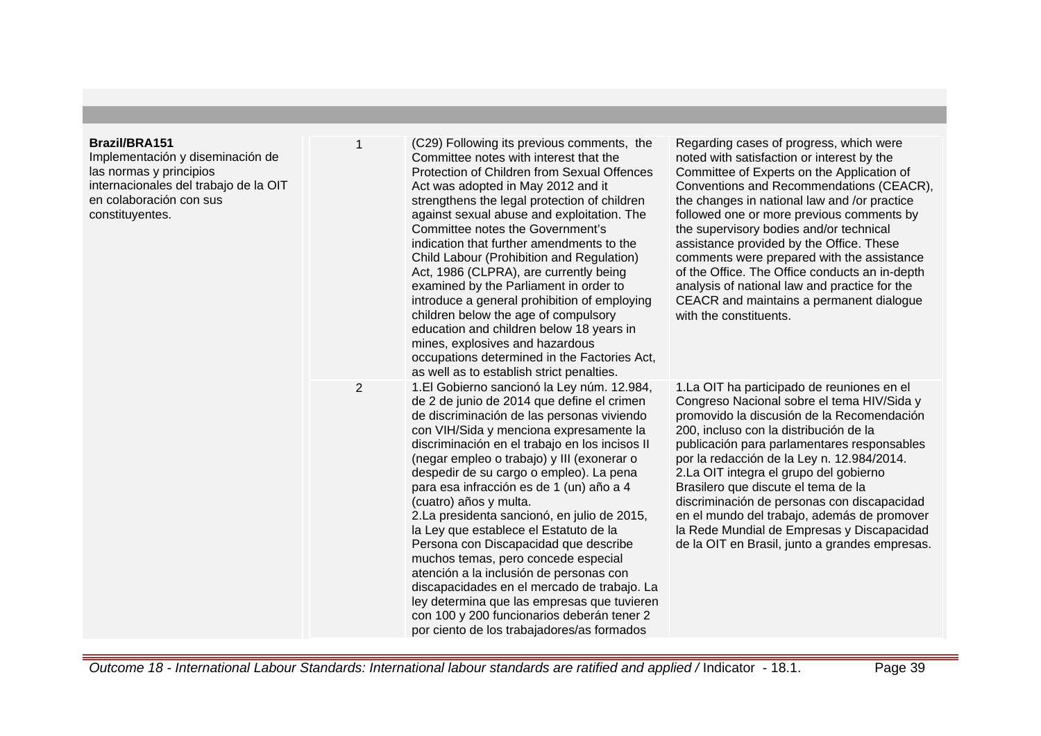## **Brazil/BRA151**

Implementación y diseminación de las normas y principios internacionales del trabajo de la OI en colaboración con sus constituyentes.

| ΙT | 1              | (C29) Following its previous comments, the<br>Committee notes with interest that the<br>Protection of Children from Sexual Offences<br>Act was adopted in May 2012 and it<br>strengthens the legal protection of children<br>against sexual abuse and exploitation. The<br>Committee notes the Government's<br>indication that further amendments to the<br>Child Labour (Prohibition and Regulation)<br>Act, 1986 (CLPRA), are currently being<br>examined by the Parliament in order to<br>introduce a general prohibition of employing<br>children below the age of compulsory<br>education and children below 18 years in<br>mines, explosives and hazardous<br>occupations determined in the Factories Act,<br>as well as to establish strict penalties.                                                      | Regarding cases of progress, which were<br>noted with satisfaction or interest by the<br>Committee of Experts on the Application of<br>Conventions and Recommendations (CEACR),<br>the changes in national law and /or practice<br>followed one or more previous comments by<br>the supervisory bodies and/or technical<br>assistance provided by the Office. These<br>comments were prepared with the assistance<br>of the Office. The Office conducts an in-depth<br>analysis of national law and practice for the<br>CEACR and maintains a permanent dialogue<br>with the constituents. |
|----|----------------|--------------------------------------------------------------------------------------------------------------------------------------------------------------------------------------------------------------------------------------------------------------------------------------------------------------------------------------------------------------------------------------------------------------------------------------------------------------------------------------------------------------------------------------------------------------------------------------------------------------------------------------------------------------------------------------------------------------------------------------------------------------------------------------------------------------------|--------------------------------------------------------------------------------------------------------------------------------------------------------------------------------------------------------------------------------------------------------------------------------------------------------------------------------------------------------------------------------------------------------------------------------------------------------------------------------------------------------------------------------------------------------------------------------------------|
|    | $\overline{2}$ | 1. El Gobierno sancionó la Ley núm. 12.984,<br>de 2 de junio de 2014 que define el crimen<br>de discriminación de las personas viviendo<br>con VIH/Sida y menciona expresamente la<br>discriminación en el trabajo en los incisos II<br>(negar empleo o trabajo) y III (exonerar o<br>despedir de su cargo o empleo). La pena<br>para esa infracción es de 1 (un) año a 4<br>(cuatro) años y multa.<br>2. La presidenta sancionó, en julio de 2015,<br>la Ley que establece el Estatuto de la<br>Persona con Discapacidad que describe<br>muchos temas, pero concede especial<br>atención a la inclusión de personas con<br>discapacidades en el mercado de trabajo. La<br>ley determina que las empresas que tuvieren<br>con 100 y 200 funcionarios deberán tener 2<br>por ciento de los trabajadores/as formados | 1. La OIT ha participado de reuniones en el<br>Congreso Nacional sobre el tema HIV/Sida y<br>promovido la discusión de la Recomendación<br>200, incluso con la distribución de la<br>publicación para parlamentares responsables<br>por la redacción de la Ley n. 12.984/2014.<br>2. La OIT integra el grupo del gobierno<br>Brasilero que discute el tema de la<br>discriminación de personas con discapacidad<br>en el mundo del trabajo, además de promover<br>la Rede Mundial de Empresas y Discapacidad<br>de la OIT en Brasil, junto a grandes empresas.                             |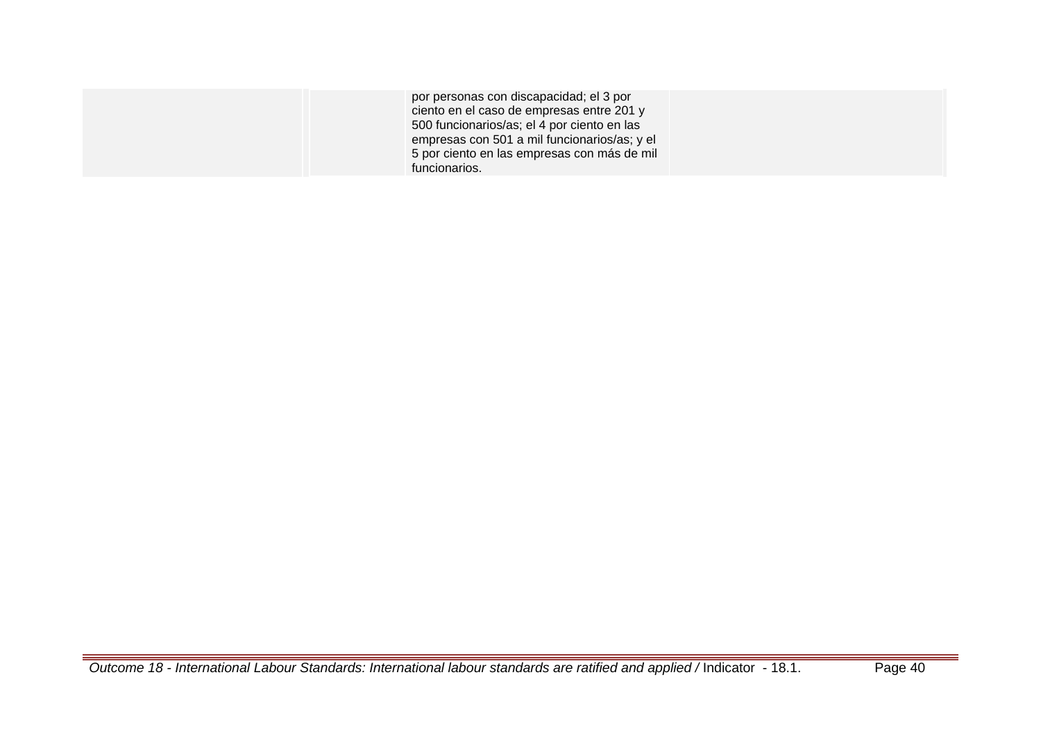| por personas con discapacidad; el 3 por<br>ciento en el caso de empresas entre 201 y<br>500 funcionarios/as; el 4 por ciento en las<br>empresas con 501 a mil funcionarios/as; y el |  |
|-------------------------------------------------------------------------------------------------------------------------------------------------------------------------------------|--|
| 5 por ciento en las empresas con más de mil                                                                                                                                         |  |
| funcionarios.                                                                                                                                                                       |  |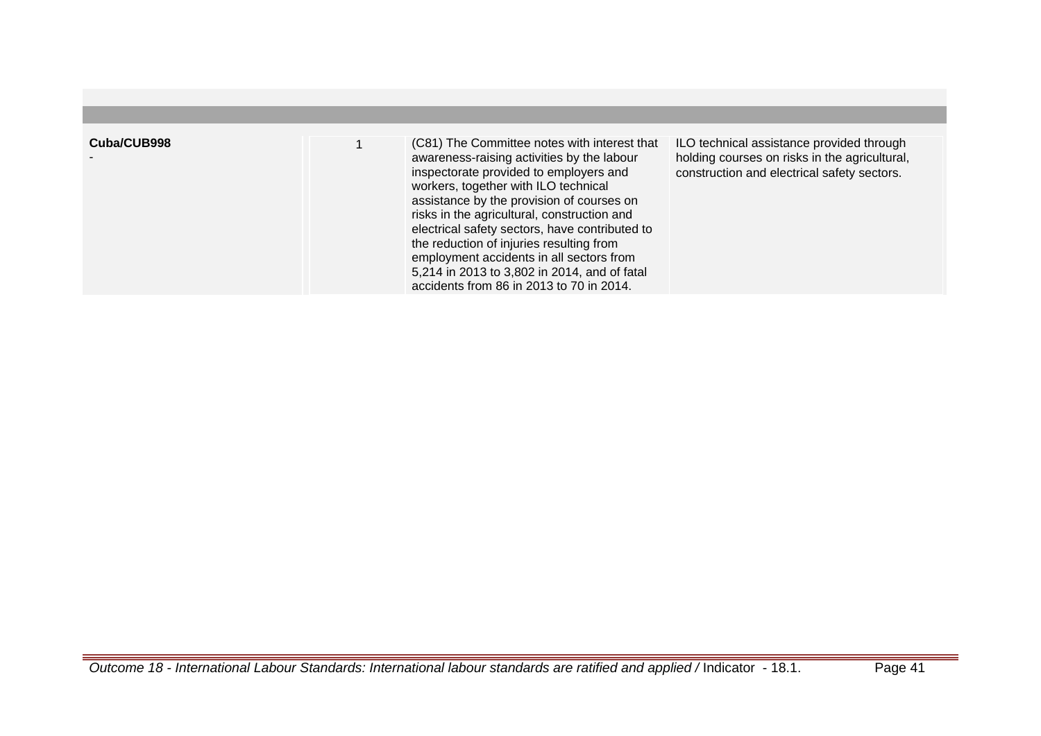| Cuba/CUB998 | (C81) The Committee notes with interest that<br>awareness-raising activities by the labour<br>inspectorate provided to employers and<br>workers, together with ILO technical<br>assistance by the provision of courses on<br>risks in the agricultural, construction and<br>electrical safety sectors, have contributed to<br>the reduction of injuries resulting from<br>employment accidents in all sectors from<br>5,214 in 2013 to 3,802 in 2014, and of fatal<br>accidents from 86 in 2013 to 70 in 2014. | ILO technical assistance provided through<br>holding courses on risks in the agricultural,<br>construction and electrical safety sectors. |
|-------------|----------------------------------------------------------------------------------------------------------------------------------------------------------------------------------------------------------------------------------------------------------------------------------------------------------------------------------------------------------------------------------------------------------------------------------------------------------------------------------------------------------------|-------------------------------------------------------------------------------------------------------------------------------------------|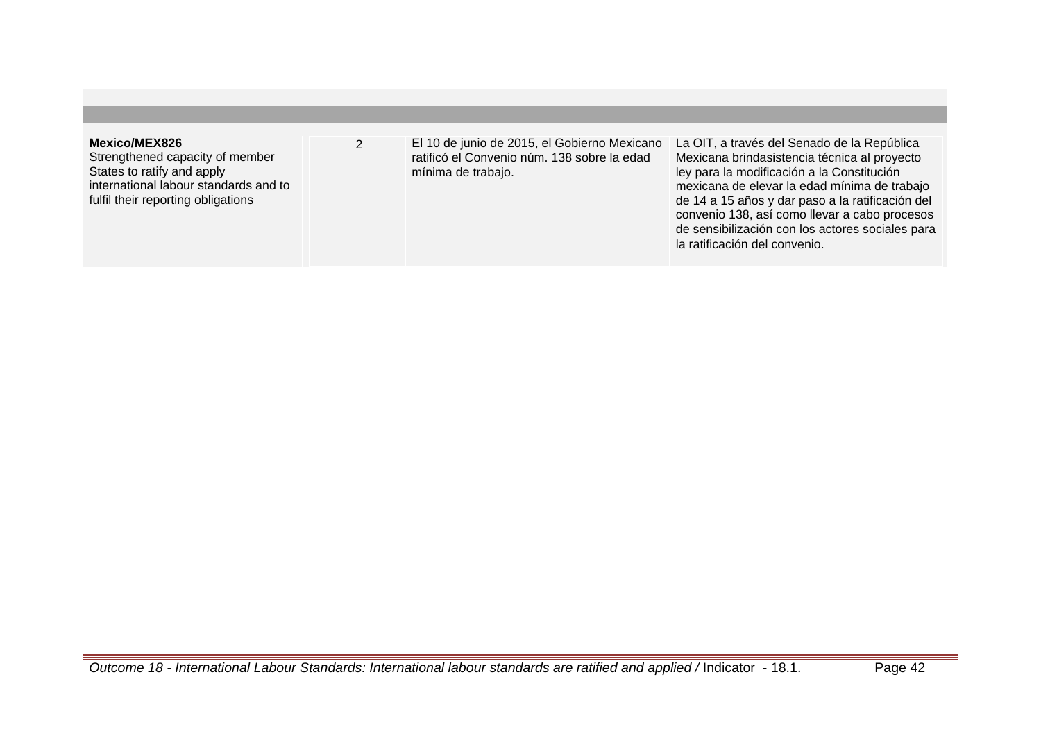## **Mexico/MEX826**

Strengthened capacity of member States to ratify and apply international labour standards and to fulfil their reporting obligations

2 El 10 de junio de 2015, el Gobierno Mexicano ratificó el Convenio núm. 138 sobre la edad mínima de trabajo.

La OIT, a través del Senado de la República Mexicana brindasistencia técnica al proyecto ley para la modificación a la Constitución mexicana de elevar la edad mínima de trabajo de 14 a 15 años y dar paso a la ratificación del convenio 138, así como llevar a cabo procesos de sensibilización con los actores sociales para la ratificación del convenio.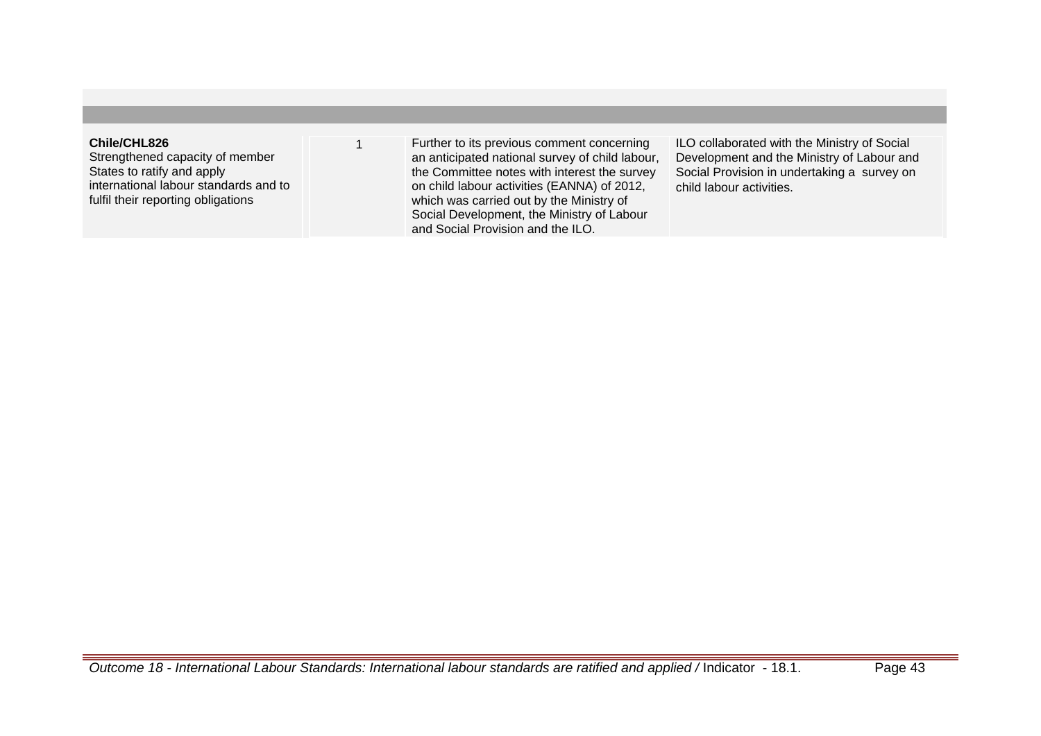## **Chile/CHL826**

Strengthened capacity of member States to ratify and apply international labour standards and to fulfil their reporting obligations

1 Further to its previous comment concerning an anticipated national survey of child labour, the Committee notes with interest the survey on child labour activities (EANNA) of 2012, which was carried out by the Ministry of Social Development, the Ministry of Labour and Social Provision and the ILO.

ILO collaborated with the Ministry of Social Development and the Ministry of Labour and Social Provision in undertaking a survey on child labour activities.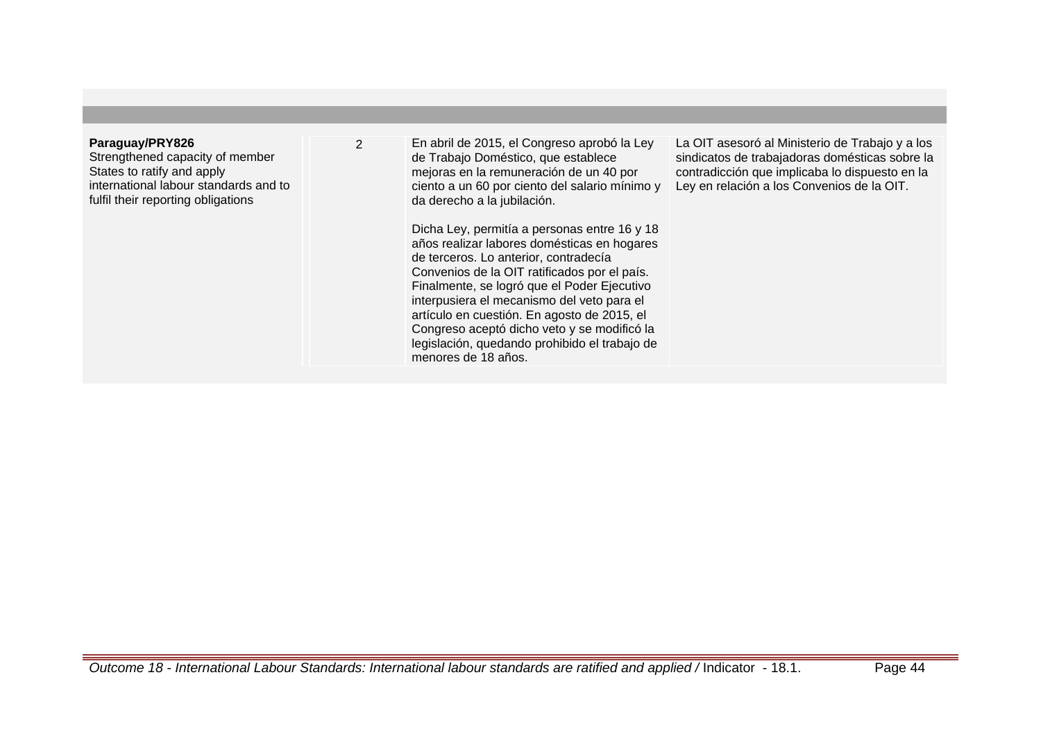| Paraguay/PRY826<br>$\overline{2}$<br>Strengthened capacity of member<br>States to ratify and apply<br>international labour standards and to<br>fulfil their reporting obligations | En abril de 2015, el Congreso aprobó la Ley<br>de Trabajo Doméstico, que establece<br>mejoras en la remuneración de un 40 por<br>ciento a un 60 por ciento del salario mínimo y<br>da derecho a la jubilación.<br>Dicha Ley, permitía a personas entre 16 y 18<br>años realizar labores domésticas en hogares<br>de terceros. Lo anterior, contradecía<br>Convenios de la OIT ratificados por el país.<br>Finalmente, se logró que el Poder Ejecutivo<br>interpusiera el mecanismo del veto para el<br>artículo en cuestión. En agosto de 2015, el<br>Congreso aceptó dicho veto y se modificó la<br>legislación, quedando prohibido el trabajo de<br>menores de 18 años. | La OIT asesoró al Ministerio de Trabajo y a los<br>sindicatos de trabajadoras domésticas sobre la<br>contradicción que implicaba lo dispuesto en la<br>Ley en relación a los Convenios de la OIT. |
|-----------------------------------------------------------------------------------------------------------------------------------------------------------------------------------|---------------------------------------------------------------------------------------------------------------------------------------------------------------------------------------------------------------------------------------------------------------------------------------------------------------------------------------------------------------------------------------------------------------------------------------------------------------------------------------------------------------------------------------------------------------------------------------------------------------------------------------------------------------------------|---------------------------------------------------------------------------------------------------------------------------------------------------------------------------------------------------|

## Outcome 18 - International Labour Standards: International labour standards are ratified and applied / Indicator - 18.1. Page 44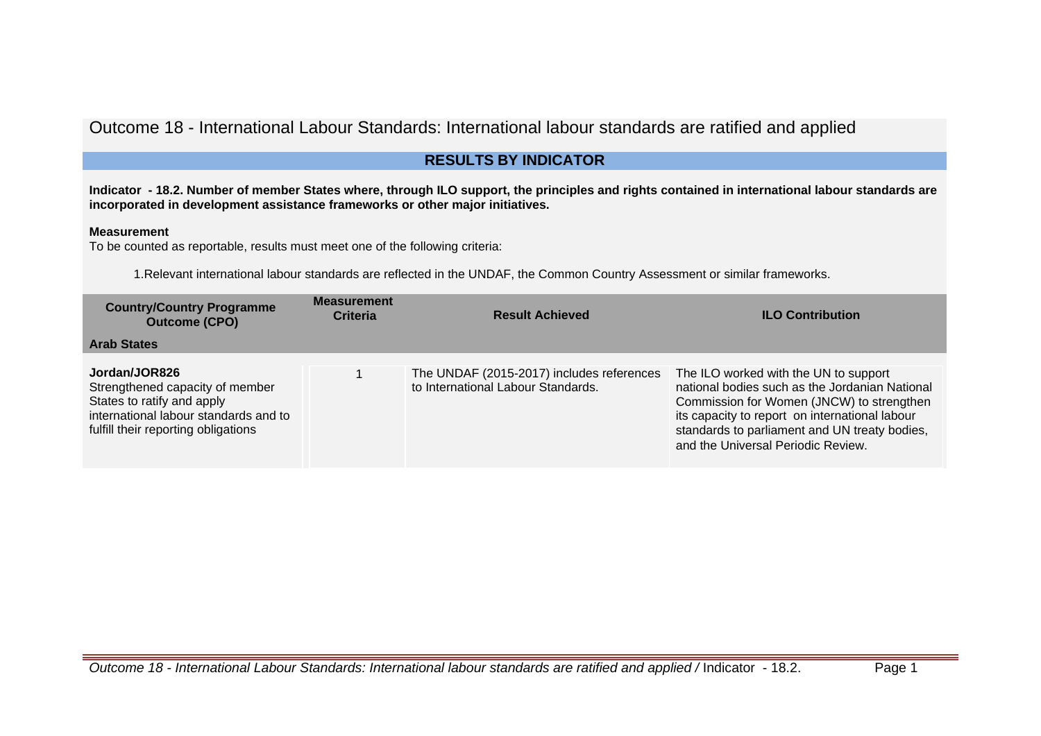# Outcome 18 - International Labour Standards: International labour standards are ratified and applied

## **RESULTS BY INDICATOR**

**Indicator - 18.2. Number of member States where, through ILO support, the principles and rights contained in international labour standards are incorporated in development assistance frameworks or other major initiatives.**

## **Measurement**

To be counted as reportable, results must meet one of the following criteria:

1.Relevant international labour standards are reflected in the UNDAF, the Common Country Assessment or similar frameworks.

| <b>Country/Country Programme</b><br><b>Outcome (CPO)</b>                                                                                                       | <b>Measurement</b><br><b>Criteria</b> | <b>Result Achieved</b>                                                          | <b>ILO Contribution</b>                                                                                                                                                                                                                                                       |
|----------------------------------------------------------------------------------------------------------------------------------------------------------------|---------------------------------------|---------------------------------------------------------------------------------|-------------------------------------------------------------------------------------------------------------------------------------------------------------------------------------------------------------------------------------------------------------------------------|
| <b>Arab States</b>                                                                                                                                             |                                       |                                                                                 |                                                                                                                                                                                                                                                                               |
| Jordan/JOR826<br>Strengthened capacity of member<br>States to ratify and apply<br>international labour standards and to<br>fulfill their reporting obligations |                                       | The UNDAF (2015-2017) includes references<br>to International Labour Standards. | The ILO worked with the UN to support<br>national bodies such as the Jordanian National<br>Commission for Women (JNCW) to strengthen<br>its capacity to report on international labour<br>standards to parliament and UN treaty bodies,<br>and the Universal Periodic Review. |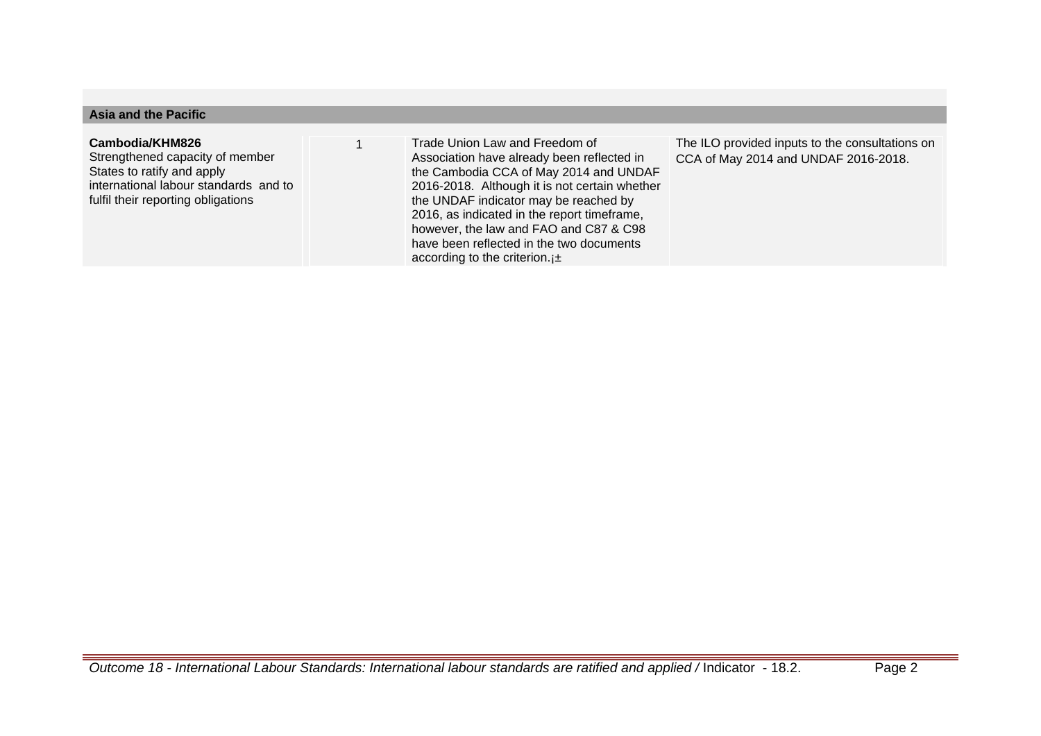## **Asia and the Pacific**

#### **Cambodia/KHM826**

Strengthened capacity of member States to ratify and apply international labour standards and to fulfil their reporting obligations

1 Trade Union Law and Freedom of Association have already been reflected in the Cambodia CCA of May 2014 and UNDAF 2016-2018. Although it is not certain whether the UNDAF indicator may be reached by 2016, as indicated in the report timeframe, however, the law and FAO and C87 & C98 have been reflected in the two documents according to the criterion.<sub>j</sub>±

The ILO provided inputs to the consultations on CCA of May 2014 and UNDAF 2016-2018.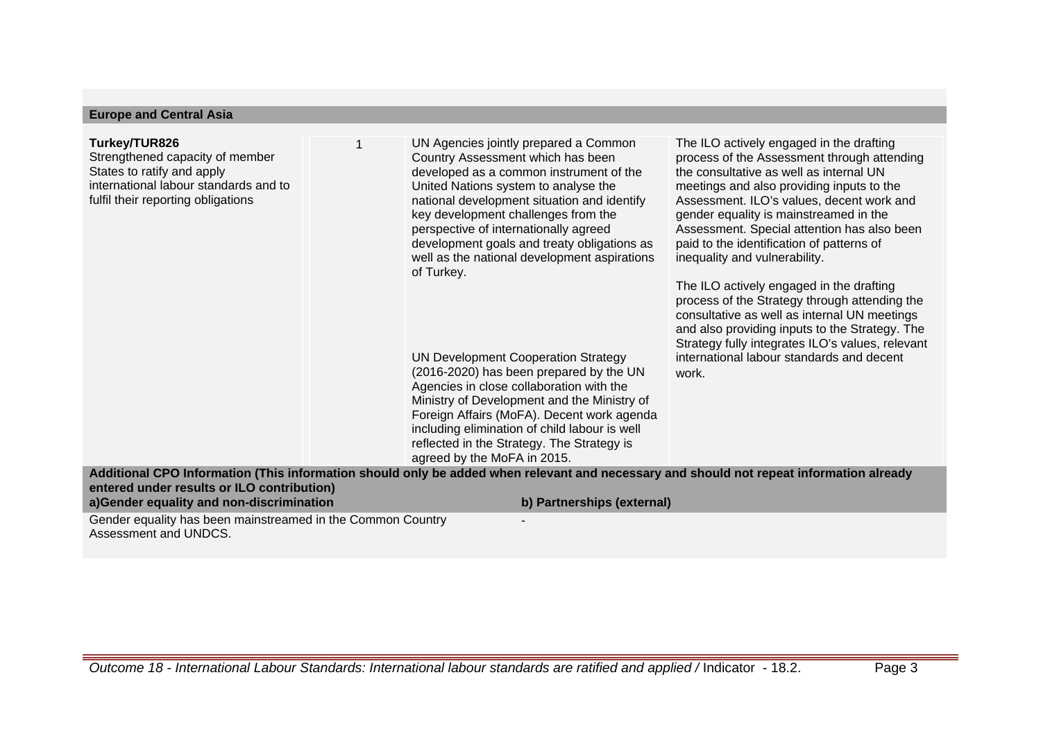| <b>Europe and Central Asia</b>                                                                                                                                |                                                                                                                                                                                                                                                                                                                                                                                                                                                                                                                                                                                                                                                                                                                                                                           |                                                                                                                                                                                                                                                                                                                                                                                                                                                                                                                                                                                                                                                                                                              |
|---------------------------------------------------------------------------------------------------------------------------------------------------------------|---------------------------------------------------------------------------------------------------------------------------------------------------------------------------------------------------------------------------------------------------------------------------------------------------------------------------------------------------------------------------------------------------------------------------------------------------------------------------------------------------------------------------------------------------------------------------------------------------------------------------------------------------------------------------------------------------------------------------------------------------------------------------|--------------------------------------------------------------------------------------------------------------------------------------------------------------------------------------------------------------------------------------------------------------------------------------------------------------------------------------------------------------------------------------------------------------------------------------------------------------------------------------------------------------------------------------------------------------------------------------------------------------------------------------------------------------------------------------------------------------|
| Turkey/TUR826<br>Strengthened capacity of member<br>States to ratify and apply<br>international labour standards and to<br>fulfil their reporting obligations | UN Agencies jointly prepared a Common<br>Country Assessment which has been<br>developed as a common instrument of the<br>United Nations system to analyse the<br>national development situation and identify<br>key development challenges from the<br>perspective of internationally agreed<br>development goals and treaty obligations as<br>well as the national development aspirations<br>of Turkey.<br><b>UN Development Cooperation Strategy</b><br>(2016-2020) has been prepared by the UN<br>Agencies in close collaboration with the<br>Ministry of Development and the Ministry of<br>Foreign Affairs (MoFA). Decent work agenda<br>including elimination of child labour is well<br>reflected in the Strategy. The Strategy is<br>agreed by the MoFA in 2015. | The ILO actively engaged in the drafting<br>process of the Assessment through attending<br>the consultative as well as internal UN<br>meetings and also providing inputs to the<br>Assessment. ILO's values, decent work and<br>gender equality is mainstreamed in the<br>Assessment. Special attention has also been<br>paid to the identification of patterns of<br>inequality and vulnerability.<br>The ILO actively engaged in the drafting<br>process of the Strategy through attending the<br>consultative as well as internal UN meetings<br>and also providing inputs to the Strategy. The<br>Strategy fully integrates ILO's values, relevant<br>international labour standards and decent<br>work. |
| entered under results or ILO contribution)<br>a)Gender equality and non-discrimination                                                                        | Additional CPO Information (This information should only be added when relevant and necessary and should not repeat information already<br>b) Partnerships (external)                                                                                                                                                                                                                                                                                                                                                                                                                                                                                                                                                                                                     |                                                                                                                                                                                                                                                                                                                                                                                                                                                                                                                                                                                                                                                                                                              |
| Gender equality has been mainstreamed in the Common Country<br>Assessment and UNDCS.                                                                          |                                                                                                                                                                                                                                                                                                                                                                                                                                                                                                                                                                                                                                                                                                                                                                           |                                                                                                                                                                                                                                                                                                                                                                                                                                                                                                                                                                                                                                                                                                              |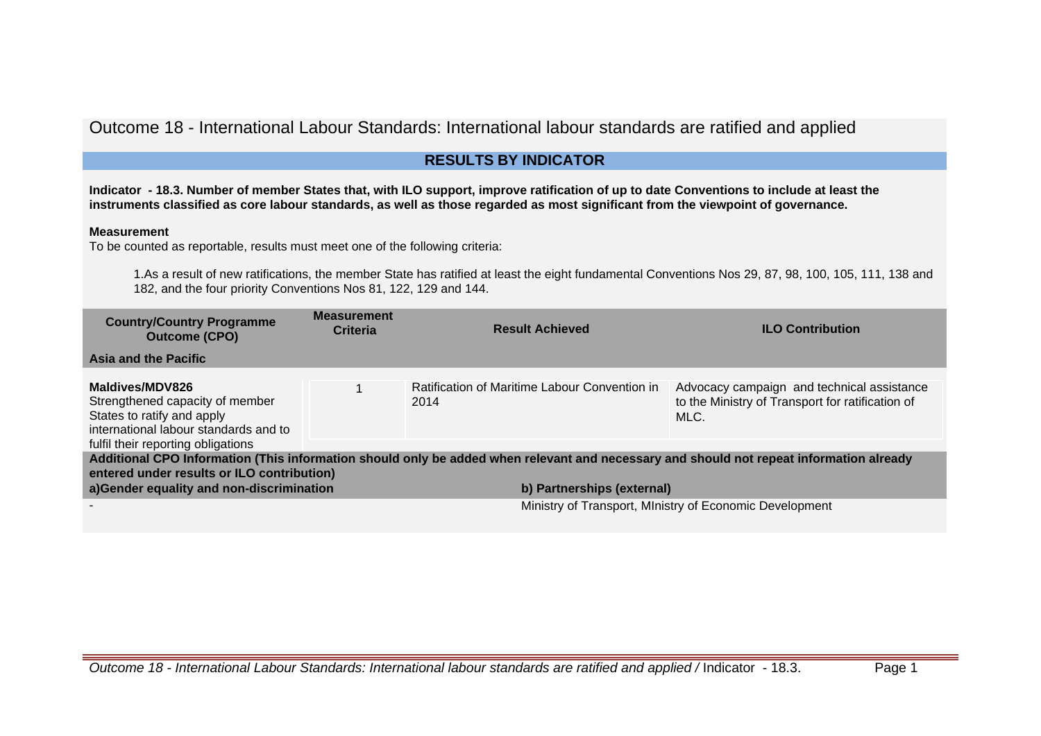## Outcome 18 - International Labour Standards: International labour standards are ratified and applied

## **RESULTS BY INDICATOR**

**Indicator - 18.3. Number of member States that, with ILO support, improve ratification of up to date Conventions to include at least the instruments classified as core labour standards, as well as those regarded as most significant from the viewpoint of governance.**

## **Measurement**

To be counted as reportable, results must meet one of the following criteria:

1.As a result of new ratifications, the member State has ratified at least the eight fundamental Conventions Nos 29, 87, 98, 100, 105, 111, 138 and 182, and the four priority Conventions Nos 81, 122, 129 and 144.

| <b>Country/Country Programme</b><br><b>Outcome (CPO)</b>                                                                     | <b>Measurement</b><br><b>Criteria</b> | <b>Result Achieved</b>                                                                                                                                                | <b>ILO Contribution</b>                                                                                |
|------------------------------------------------------------------------------------------------------------------------------|---------------------------------------|-----------------------------------------------------------------------------------------------------------------------------------------------------------------------|--------------------------------------------------------------------------------------------------------|
| Asia and the Pacific                                                                                                         |                                       |                                                                                                                                                                       |                                                                                                        |
| Maldives/MDV826<br>Strengthened capacity of member<br>States to ratify and apply<br>international labour standards and to    |                                       | Ratification of Maritime Labour Convention in<br>2014                                                                                                                 | Advocacy campaign and technical assistance<br>to the Ministry of Transport for ratification of<br>MLC. |
| fulfil their reporting obligations<br>entered under results or ILO contribution)<br>a)Gender equality and non-discrimination |                                       | Additional CPO Information (This information should only be added when relevant and necessary and should not repeat information already<br>b) Partnerships (external) |                                                                                                        |
|                                                                                                                              |                                       |                                                                                                                                                                       | Ministry of Transport, Ministry of Economic Development                                                |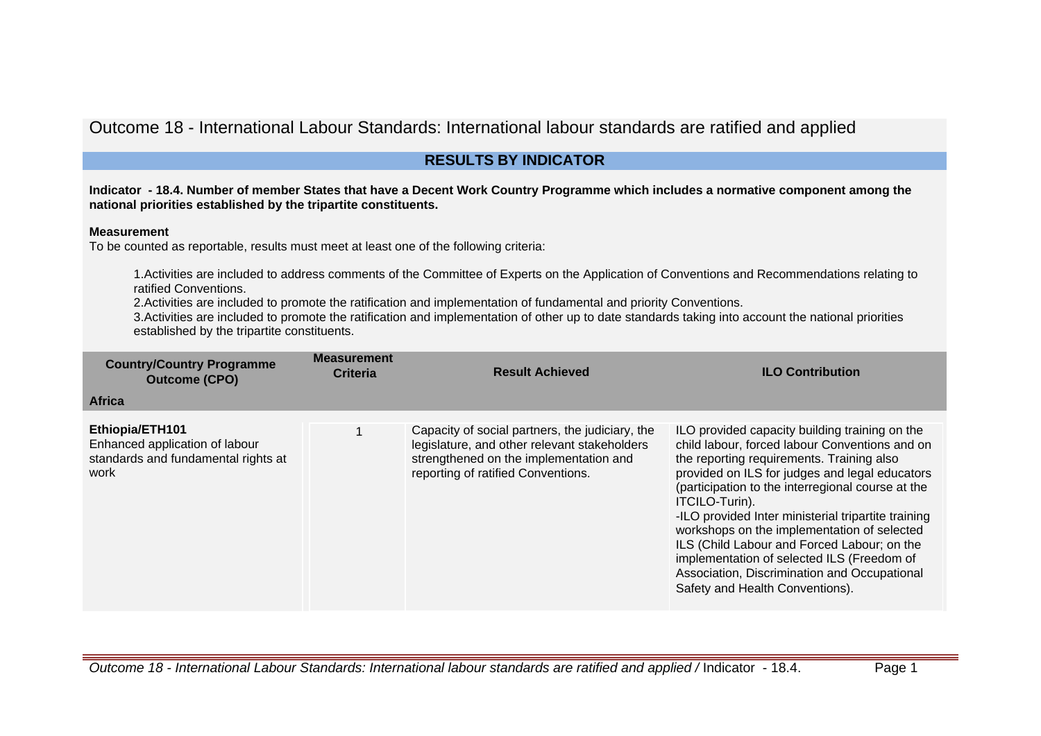Outcome 18 - International Labour Standards: International labour standards are ratified and applied

## **RESULTS BY INDICATOR**

**Indicator - 18.4. Number of member States that have a Decent Work Country Programme which includes a normative component among the national priorities established by the tripartite constituents.**

## **Measurement**

To be counted as reportable, results must meet at least one of the following criteria:

1.Activities are included to address comments of the Committee of Experts on the Application of Conventions and Recommendations relating to ratified Conventions.

2.Activities are included to promote the ratification and implementation of fundamental and priority Conventions.

3.Activities are included to promote the ratification and implementation of other up to date standards taking into account the national priorities established by the tripartite constituents.

| <b>Country/Country Programme</b><br><b>Outcome (CPO)</b>                                         | <b>Measurement</b><br><b>Criteria</b> | <b>Result Achieved</b>                                                                                                                                                          | <b>ILO Contribution</b>                                                                                                                                                                                                                                                                                                                                                                                                                                                                                                                                      |
|--------------------------------------------------------------------------------------------------|---------------------------------------|---------------------------------------------------------------------------------------------------------------------------------------------------------------------------------|--------------------------------------------------------------------------------------------------------------------------------------------------------------------------------------------------------------------------------------------------------------------------------------------------------------------------------------------------------------------------------------------------------------------------------------------------------------------------------------------------------------------------------------------------------------|
| <b>Africa</b>                                                                                    |                                       |                                                                                                                                                                                 |                                                                                                                                                                                                                                                                                                                                                                                                                                                                                                                                                              |
| Ethiopia/ETH101<br>Enhanced application of labour<br>standards and fundamental rights at<br>work |                                       | Capacity of social partners, the judiciary, the<br>legislature, and other relevant stakeholders<br>strengthened on the implementation and<br>reporting of ratified Conventions. | ILO provided capacity building training on the<br>child labour, forced labour Conventions and on<br>the reporting requirements. Training also<br>provided on ILS for judges and legal educators<br>(participation to the interregional course at the<br>ITCILO-Turin).<br>-ILO provided Inter ministerial tripartite training<br>workshops on the implementation of selected<br>ILS (Child Labour and Forced Labour; on the<br>implementation of selected ILS (Freedom of<br>Association, Discrimination and Occupational<br>Safety and Health Conventions). |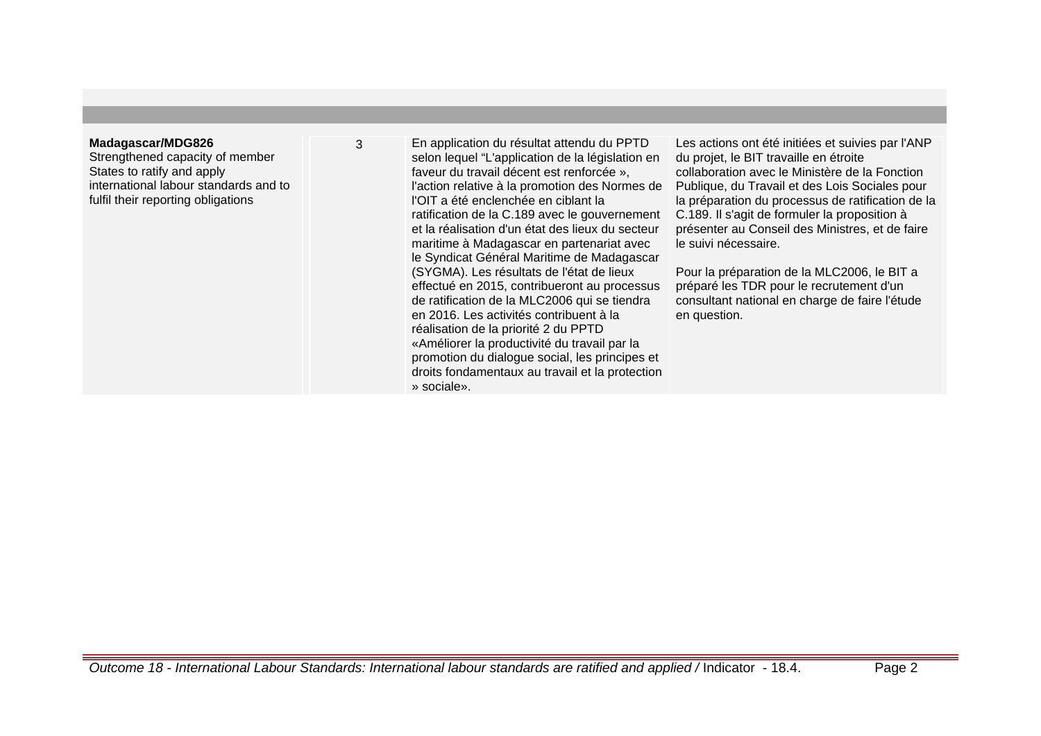#### **Madagascar/MDG826**

Strengthened capacity of member States to ratify and apply international labour standards and to fulfil their reporting obligations

3 En application du résultat attendu du PPTD selon lequel "L'application de la législation en faveur du travail décent est renforcée », l'action relative à la promotion des Normes de l'OIT a été enclenchée en ciblant la ratification de la C.189 avec le gouvernement et la réalisation d'un état des lieux du secteur maritime à Madagascar en partenariat avec le Syndicat Général Maritime de Madagascar (SYGMA). Les résultats de l'état de lieux effectué en 2015, contribueront au processus de ratification de la MLC2006 qui se tiendra en 2016. Les activités contribuent à la réalisation de la priorité 2 du PPTD «Améliorer la productivité du travail par la promotion du dialogue social, les principes et droits fondamentaux au travail et la protection » sociale».

Les actions ont été initiées et suivies par l'ANP du projet, le BIT travaille en étroite collaboration avec le Ministère de la Fonction Publique, du Travail et des Lois Sociales pour la préparation du processus de ratification de la C.189. Il s'agit de formuler la proposition à présenter au Conseil des Ministres, et de faire le suivi nécessaire.

Pour la préparation de la MLC2006, le BIT a préparé les TDR pour le recrutement d'un consultant national en charge de faire l'étude en question.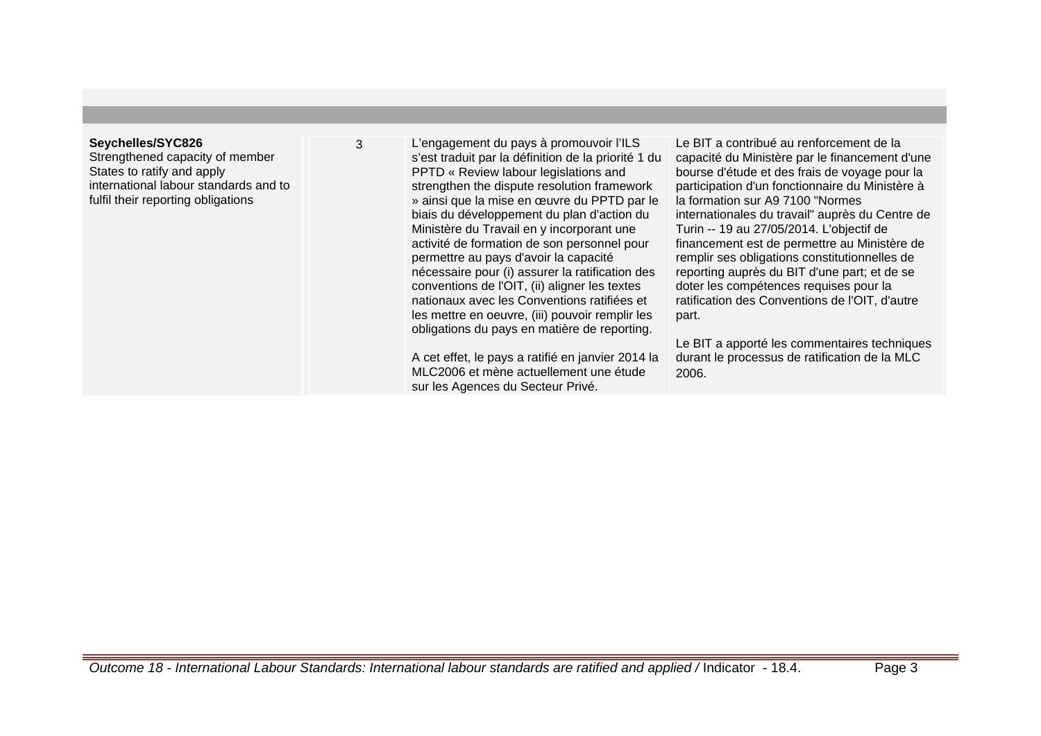#### **Seychelles/SYC826**

Strengthened capacity of member States to ratify and apply international labour standards and to fulfil their reporting obligations

3 L'engagement du pays à promouvoir l'ILS s'est traduit par la définition de la priorité 1 du PPTD « Review labour legislations and strengthen the dispute resolution framework » ainsi que la mise en œuvre du PPTD par le biais du développement du plan d'action du Ministère du Travail en y incorporant une activité de formation de son personnel pour permettre au pays d'avoir la capacité nécessaire pour (i) assurer la ratification des conventions de l'OIT, (ii) aligner les textes nationaux avec les Conventions ratifiées et les mettre en oeuvre, (iii) pouvoir remplir les obligations du pays en matière de reporting.

> A cet effet, le pays a ratifié en janvier 2014 la MLC2006 et mène actuellement une étude sur les Agences du Secteur Privé.

Le BIT a contribué au renforcement de la capacité du Ministère par le financement d'une bourse d'étude et des frais de voyage pour la participation d'un fonctionnaire du Ministère à la formation sur A9 7100 "Normes internationales du travail" auprès du Centre de Turin -- 19 au 27/05/2014. L'objectif de financement est de permettre au Ministère de remplir ses obligations constitutionnelles de reporting auprès du BIT d'une part; et de se doter les compétences requises pour la ratification des Conventions de l'OIT, d'autre part.

Le BIT a apporté les commentaires techniques durant le processus de ratification de la MLC 2006.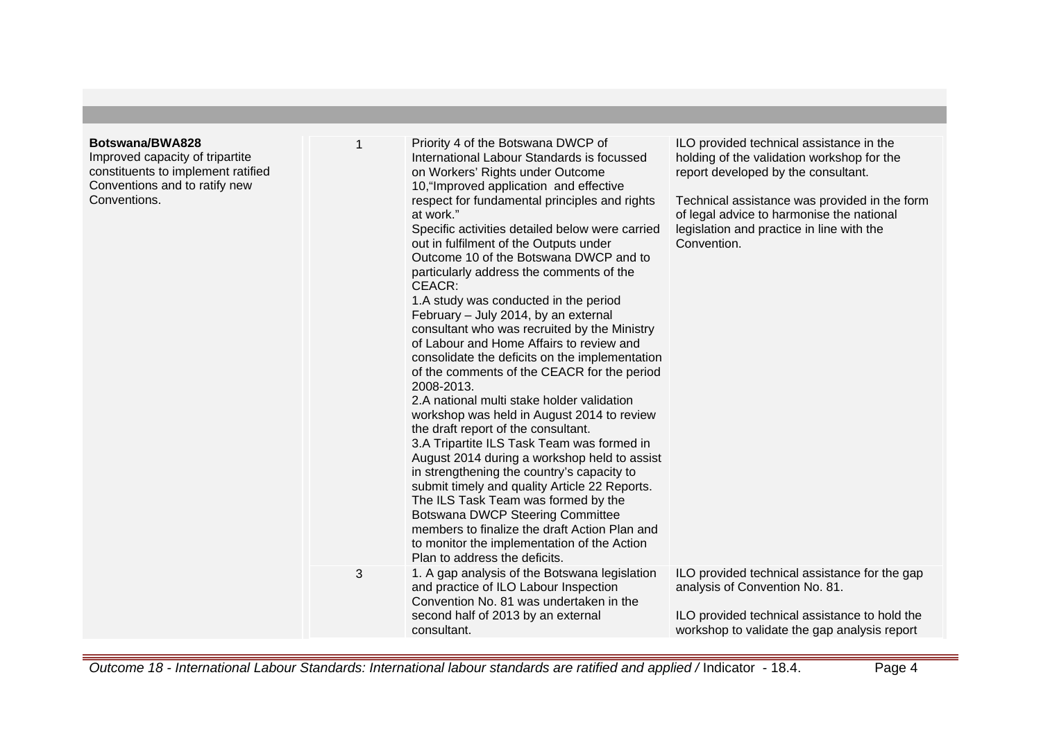| Botswana/BWA828<br>Improved capacity of tripartite<br>constituents to implement ratified<br>Conventions and to ratify new<br>Conventions. | 1<br>3 | Priority 4 of the Botswana DWCP of<br>International Labour Standards is focussed<br>on Workers' Rights under Outcome<br>10, "Improved application and effective<br>respect for fundamental principles and rights<br>at work."<br>Specific activities detailed below were carried<br>out in fulfilment of the Outputs under<br>Outcome 10 of the Botswana DWCP and to<br>particularly address the comments of the<br>CEACR:<br>1.A study was conducted in the period<br>February - July 2014, by an external<br>consultant who was recruited by the Ministry<br>of Labour and Home Affairs to review and<br>consolidate the deficits on the implementation<br>of the comments of the CEACR for the period<br>2008-2013.<br>2.A national multi stake holder validation<br>workshop was held in August 2014 to review<br>the draft report of the consultant.<br>3.A Tripartite ILS Task Team was formed in<br>August 2014 during a workshop held to assist<br>in strengthening the country's capacity to<br>submit timely and quality Article 22 Reports.<br>The ILS Task Team was formed by the<br><b>Botswana DWCP Steering Committee</b><br>members to finalize the draft Action Plan and<br>to monitor the implementation of the Action<br>Plan to address the deficits.<br>1. A gap analysis of the Botswana legislation | ILO provided technical assistance in the<br>holding of the validation workshop for the<br>report developed by the consultant.<br>Technical assistance was provided in the form<br>of legal advice to harmonise the national<br>legislation and practice in line with the<br>Convention.<br>ILO provided technical assistance for the gap |
|-------------------------------------------------------------------------------------------------------------------------------------------|--------|----------------------------------------------------------------------------------------------------------------------------------------------------------------------------------------------------------------------------------------------------------------------------------------------------------------------------------------------------------------------------------------------------------------------------------------------------------------------------------------------------------------------------------------------------------------------------------------------------------------------------------------------------------------------------------------------------------------------------------------------------------------------------------------------------------------------------------------------------------------------------------------------------------------------------------------------------------------------------------------------------------------------------------------------------------------------------------------------------------------------------------------------------------------------------------------------------------------------------------------------------------------------------------------------------------------------------|------------------------------------------------------------------------------------------------------------------------------------------------------------------------------------------------------------------------------------------------------------------------------------------------------------------------------------------|
|                                                                                                                                           |        | and practice of ILO Labour Inspection<br>Convention No. 81 was undertaken in the<br>second half of 2013 by an external<br>consultant.                                                                                                                                                                                                                                                                                                                                                                                                                                                                                                                                                                                                                                                                                                                                                                                                                                                                                                                                                                                                                                                                                                                                                                                      | analysis of Convention No. 81.<br>ILO provided technical assistance to hold the<br>workshop to validate the gap analysis report                                                                                                                                                                                                          |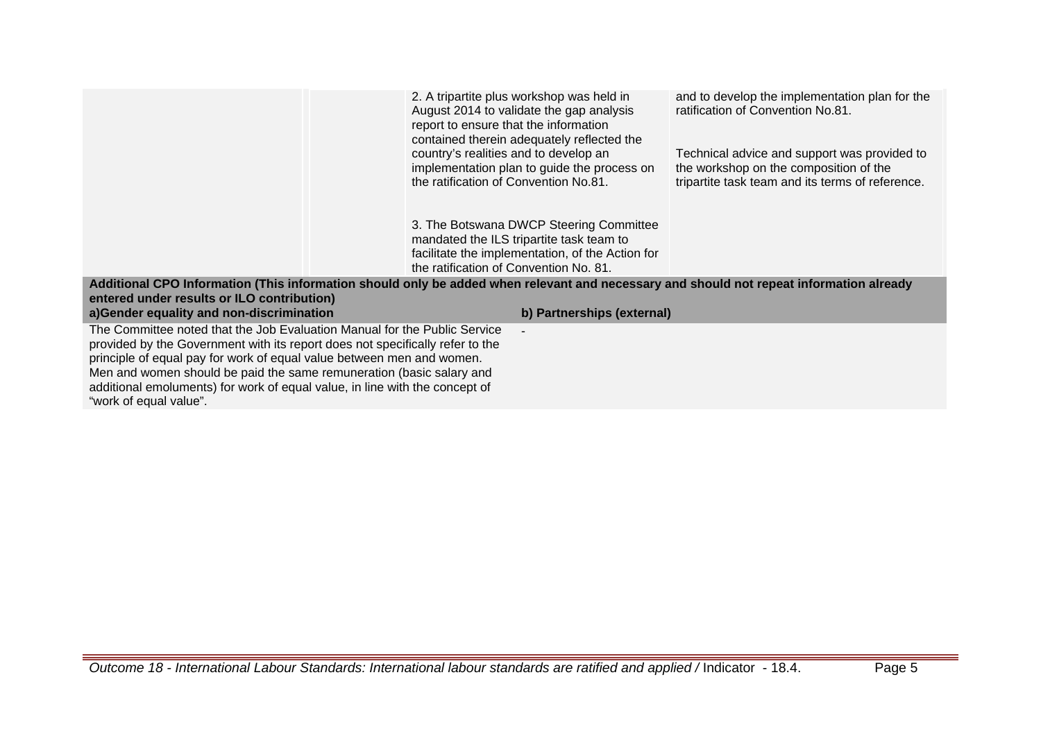|                                                                                                                                                                                                                                                                                                                                                                                                                      | 2. A tripartite plus workshop was held in<br>August 2014 to validate the gap analysis<br>report to ensure that the information<br>contained therein adequately reflected the<br>country's realities and to develop an<br>implementation plan to guide the process on<br>the ratification of Convention No.81. | and to develop the implementation plan for the<br>ratification of Convention No.81.<br>Technical advice and support was provided to<br>the workshop on the composition of the<br>tripartite task team and its terms of reference. |
|----------------------------------------------------------------------------------------------------------------------------------------------------------------------------------------------------------------------------------------------------------------------------------------------------------------------------------------------------------------------------------------------------------------------|---------------------------------------------------------------------------------------------------------------------------------------------------------------------------------------------------------------------------------------------------------------------------------------------------------------|-----------------------------------------------------------------------------------------------------------------------------------------------------------------------------------------------------------------------------------|
|                                                                                                                                                                                                                                                                                                                                                                                                                      | 3. The Botswana DWCP Steering Committee<br>mandated the ILS tripartite task team to<br>facilitate the implementation, of the Action for<br>the ratification of Convention No. 81.                                                                                                                             |                                                                                                                                                                                                                                   |
| Additional CPO Information (This information should only be added when relevant and necessary and should not repeat information already                                                                                                                                                                                                                                                                              |                                                                                                                                                                                                                                                                                                               |                                                                                                                                                                                                                                   |
| entered under results or ILO contribution)                                                                                                                                                                                                                                                                                                                                                                           |                                                                                                                                                                                                                                                                                                               |                                                                                                                                                                                                                                   |
| a) Gender equality and non-discrimination                                                                                                                                                                                                                                                                                                                                                                            | b) Partnerships (external)                                                                                                                                                                                                                                                                                    |                                                                                                                                                                                                                                   |
| The Committee noted that the Job Evaluation Manual for the Public Service<br>provided by the Government with its report does not specifically refer to the<br>principle of equal pay for work of equal value between men and women.<br>Men and women should be paid the same remuneration (basic salary and<br>additional emoluments) for work of equal value, in line with the concept of<br>"work of equal value". |                                                                                                                                                                                                                                                                                                               |                                                                                                                                                                                                                                   |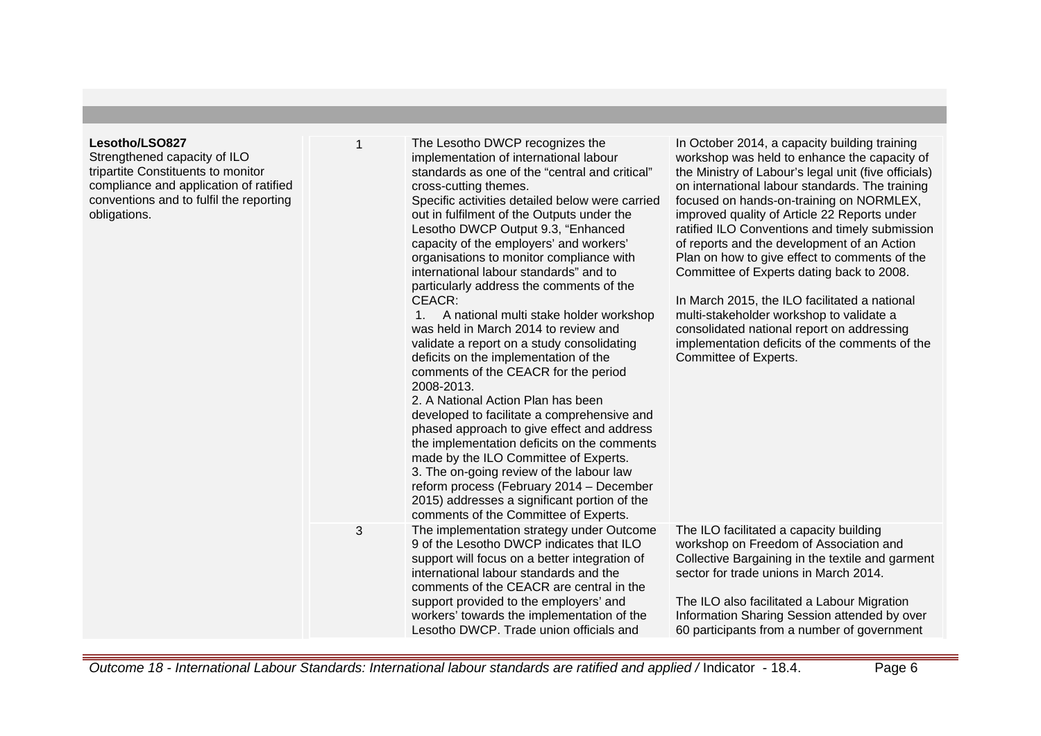| Lesotho/LSO827<br>Strengthened capacity of ILO<br>tripartite Constituents to monitor<br>compliance and application of ratified<br>conventions and to fulfil the reporting<br>obligations. |   | The Lesotho DWCP recognizes the<br>implementation of international labour<br>standards as one of the "central and critical"<br>cross-cutting themes.<br>Specific activities detailed below were carried<br>out in fulfilment of the Outputs under the<br>Lesotho DWCP Output 9.3, "Enhanced<br>capacity of the employers' and workers'<br>organisations to monitor compliance with<br>international labour standards" and to<br>particularly address the comments of the<br>CEACR:<br>A national multi stake holder workshop<br>1.<br>was held in March 2014 to review and<br>validate a report on a study consolidating<br>deficits on the implementation of the<br>comments of the CEACR for the period<br>2008-2013.<br>2. A National Action Plan has been<br>developed to facilitate a comprehensive and<br>phased approach to give effect and address<br>the implementation deficits on the comments<br>made by the ILO Committee of Experts.<br>3. The on-going review of the labour law<br>reform process (February 2014 - December<br>2015) addresses a significant portion of the<br>comments of the Committee of Experts. | In October 2014, a capacity building training<br>workshop was held to enhance the capacity of<br>the Ministry of Labour's legal unit (five officials)<br>on international labour standards. The training<br>focused on hands-on-training on NORMLEX,<br>improved quality of Article 22 Reports under<br>ratified ILO Conventions and timely submission<br>of reports and the development of an Action<br>Plan on how to give effect to comments of the<br>Committee of Experts dating back to 2008.<br>In March 2015, the ILO facilitated a national<br>multi-stakeholder workshop to validate a<br>consolidated national report on addressing<br>implementation deficits of the comments of the<br>Committee of Experts. |
|-------------------------------------------------------------------------------------------------------------------------------------------------------------------------------------------|---|-------------------------------------------------------------------------------------------------------------------------------------------------------------------------------------------------------------------------------------------------------------------------------------------------------------------------------------------------------------------------------------------------------------------------------------------------------------------------------------------------------------------------------------------------------------------------------------------------------------------------------------------------------------------------------------------------------------------------------------------------------------------------------------------------------------------------------------------------------------------------------------------------------------------------------------------------------------------------------------------------------------------------------------------------------------------------------------------------------------------------------------|---------------------------------------------------------------------------------------------------------------------------------------------------------------------------------------------------------------------------------------------------------------------------------------------------------------------------------------------------------------------------------------------------------------------------------------------------------------------------------------------------------------------------------------------------------------------------------------------------------------------------------------------------------------------------------------------------------------------------|
|                                                                                                                                                                                           | 3 | The implementation strategy under Outcome<br>9 of the Lesotho DWCP indicates that ILO<br>support will focus on a better integration of<br>international labour standards and the<br>comments of the CEACR are central in the<br>support provided to the employers' and<br>workers' towards the implementation of the<br>Lesotho DWCP. Trade union officials and                                                                                                                                                                                                                                                                                                                                                                                                                                                                                                                                                                                                                                                                                                                                                                     | The ILO facilitated a capacity building<br>workshop on Freedom of Association and<br>Collective Bargaining in the textile and garment<br>sector for trade unions in March 2014.<br>The ILO also facilitated a Labour Migration<br>Information Sharing Session attended by over<br>60 participants from a number of government                                                                                                                                                                                                                                                                                                                                                                                             |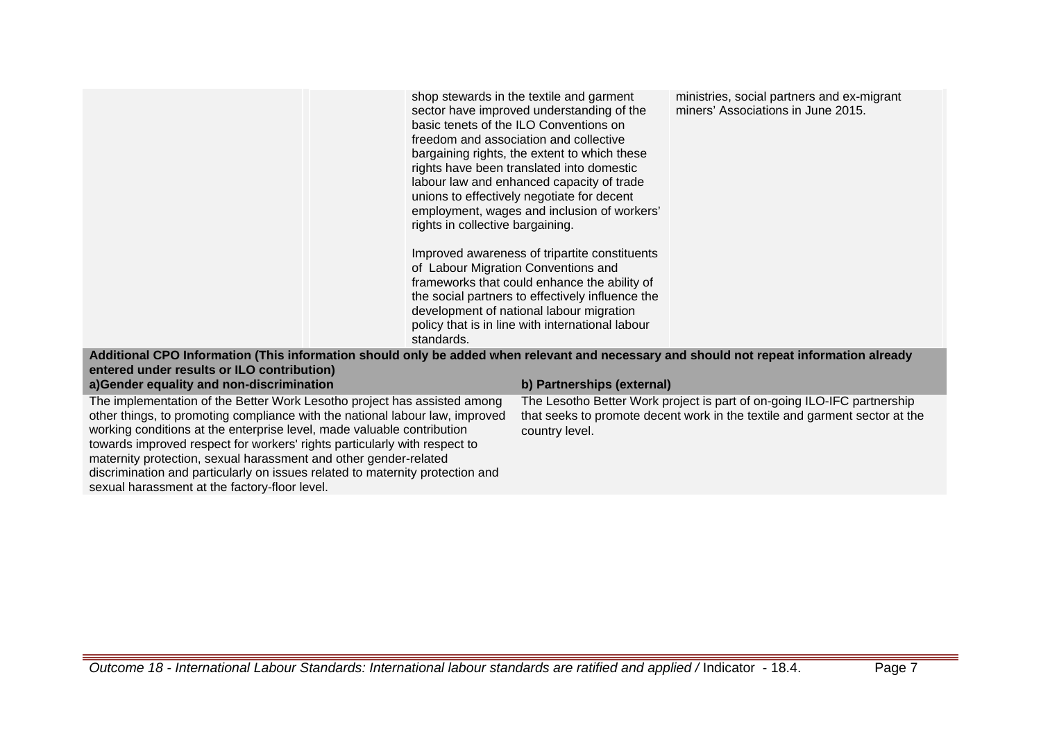|                                                                                                                | shop stewards in the textile and garment<br>sector have improved understanding of the<br>basic tenets of the ILO Conventions on<br>freedom and association and collective<br>bargaining rights, the extent to which these<br>rights have been translated into domestic<br>labour law and enhanced capacity of trade<br>unions to effectively negotiate for decent<br>employment, wages and inclusion of workers'<br>rights in collective bargaining. | ministries, social partners and ex-migrant<br>miners' Associations in June 2015. |
|----------------------------------------------------------------------------------------------------------------|------------------------------------------------------------------------------------------------------------------------------------------------------------------------------------------------------------------------------------------------------------------------------------------------------------------------------------------------------------------------------------------------------------------------------------------------------|----------------------------------------------------------------------------------|
| 1. I THAT I ANALLE A LATTER AND A LATTER IN THE LATTER IN THE LATTER IN THE LATTER OF A LATTER IN THE LATTER I | Improved awareness of tripartite constituents<br>of Labour Migration Conventions and<br>frameworks that could enhance the ability of<br>the social partners to effectively influence the<br>development of national labour migration<br>policy that is in line with international labour<br>standards.                                                                                                                                               |                                                                                  |

## **Additional CPO Information (This information should only be added when relevant and necessary and should not repeat information already entered under results or ILO contribution) a)Gender equality and non-discrimination b) Partnerships (external)**

The implementation of the Better Work Lesotho project has assisted among other things, to promoting compliance with the national labour law, improved working conditions at the enterprise level, made valuable contribution towards improved respect for workers' rights particularly with respect to maternity protection, sexual harassment and other gender-related discrimination and particularly on issues related to maternity protection and sexual harassment at the factory-floor level.

The Lesotho Better Work project is part of on-going ILO-IFC partnership that seeks to promote decent work in the textile and garment sector at the country level.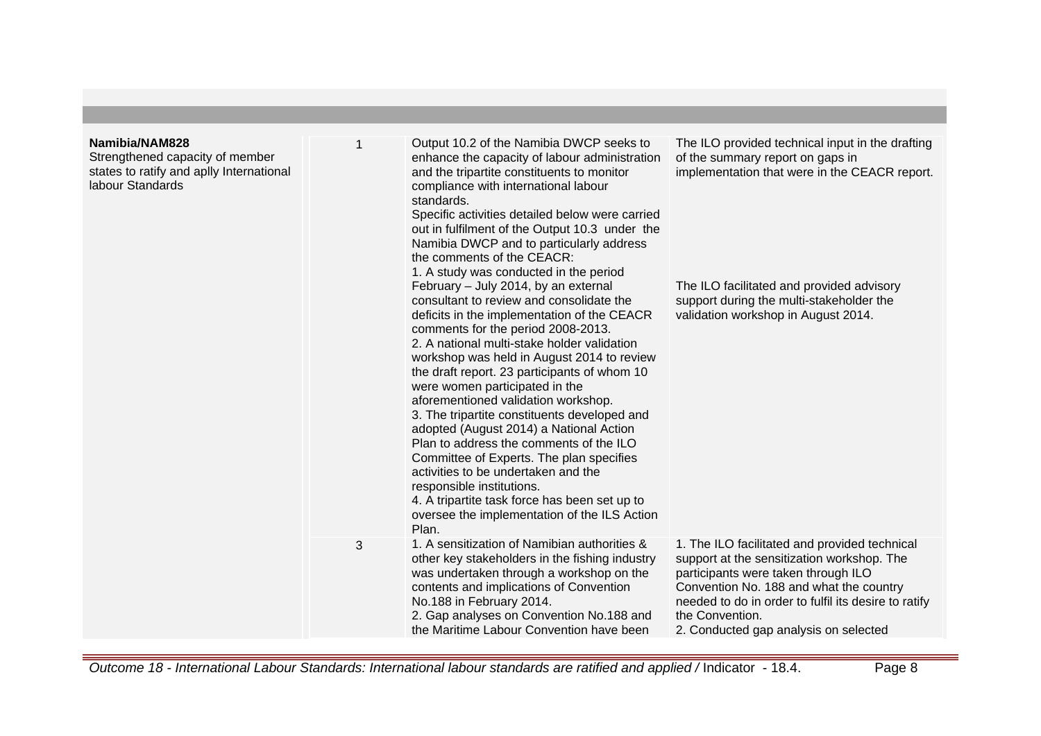| Strengthened capacity of member<br>states to ratify and aplly International<br>labour Standards |   | Output 10.2 of the Namibia DWCP seeks to<br>enhance the capacity of labour administration<br>and the tripartite constituents to monitor<br>compliance with international labour<br>standards.<br>Specific activities detailed below were carried<br>out in fulfilment of the Output 10.3 under the<br>Namibia DWCP and to particularly address<br>the comments of the CEACR:<br>1. A study was conducted in the period<br>February - July 2014, by an external<br>consultant to review and consolidate the<br>deficits in the implementation of the CEACR<br>comments for the period 2008-2013.<br>2. A national multi-stake holder validation<br>workshop was held in August 2014 to review<br>the draft report. 23 participants of whom 10<br>were women participated in the<br>aforementioned validation workshop.<br>3. The tripartite constituents developed and<br>adopted (August 2014) a National Action<br>Plan to address the comments of the ILO<br>Committee of Experts. The plan specifies<br>activities to be undertaken and the<br>responsible institutions.<br>4. A tripartite task force has been set up to<br>oversee the implementation of the ILS Action<br>Plan. | The ILO provided technical input in the drafting<br>of the summary report on gaps in<br>implementation that were in the CEACR report.<br>The ILO facilitated and provided advisory<br>support during the multi-stakeholder the<br>validation workshop in August 2014.                             |
|-------------------------------------------------------------------------------------------------|---|---------------------------------------------------------------------------------------------------------------------------------------------------------------------------------------------------------------------------------------------------------------------------------------------------------------------------------------------------------------------------------------------------------------------------------------------------------------------------------------------------------------------------------------------------------------------------------------------------------------------------------------------------------------------------------------------------------------------------------------------------------------------------------------------------------------------------------------------------------------------------------------------------------------------------------------------------------------------------------------------------------------------------------------------------------------------------------------------------------------------------------------------------------------------------------------|---------------------------------------------------------------------------------------------------------------------------------------------------------------------------------------------------------------------------------------------------------------------------------------------------|
|                                                                                                 | 3 | 1. A sensitization of Namibian authorities &<br>other key stakeholders in the fishing industry<br>was undertaken through a workshop on the<br>contents and implications of Convention<br>No.188 in February 2014.<br>2. Gap analyses on Convention No.188 and<br>the Maritime Labour Convention have been                                                                                                                                                                                                                                                                                                                                                                                                                                                                                                                                                                                                                                                                                                                                                                                                                                                                             | 1. The ILO facilitated and provided technical<br>support at the sensitization workshop. The<br>participants were taken through ILO<br>Convention No. 188 and what the country<br>needed to do in order to fulfil its desire to ratify<br>the Convention.<br>2. Conducted gap analysis on selected |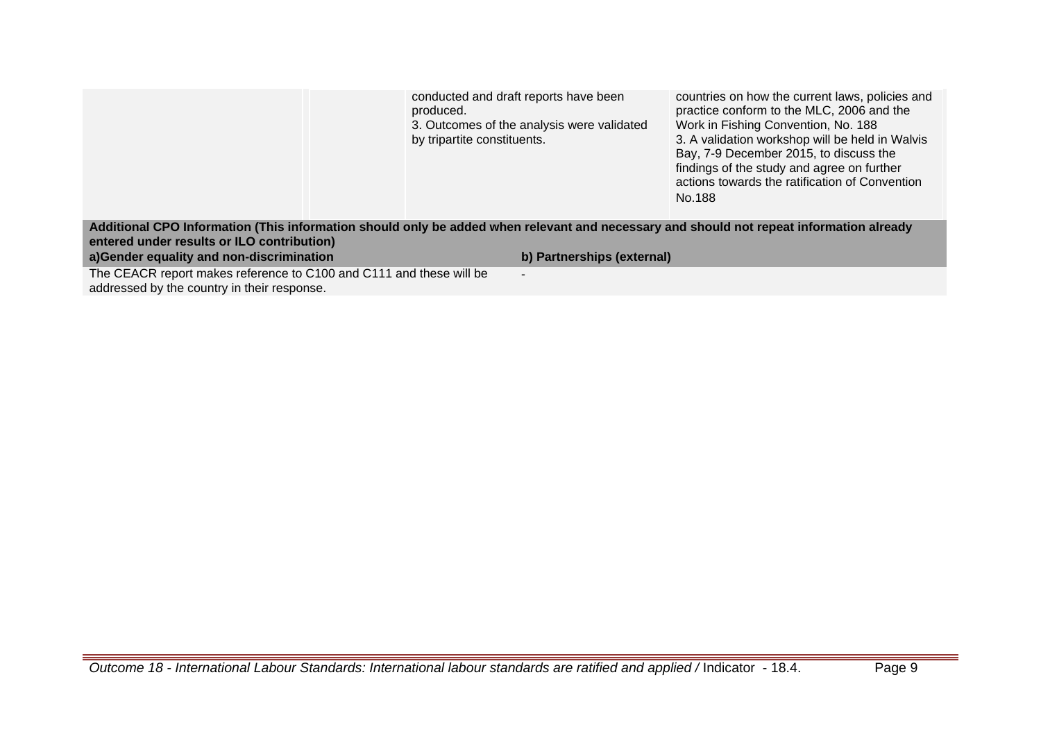|                                                                                                                                         | conducted and draft reports have been                                                  | countries on how the current laws, policies and                                                                                                                                                                                                                                         |
|-----------------------------------------------------------------------------------------------------------------------------------------|----------------------------------------------------------------------------------------|-----------------------------------------------------------------------------------------------------------------------------------------------------------------------------------------------------------------------------------------------------------------------------------------|
|                                                                                                                                         | produced.<br>3. Outcomes of the analysis were validated<br>by tripartite constituents. | practice conform to the MLC, 2006 and the<br>Work in Fishing Convention, No. 188<br>3. A validation workshop will be held in Walvis<br>Bay, 7-9 December 2015, to discuss the<br>findings of the study and agree on further<br>actions towards the ratification of Convention<br>No.188 |
| Additional CPO Information (This information should only be added when relevant and necessary and should not repeat information already |                                                                                        |                                                                                                                                                                                                                                                                                         |
| entered under results or ILO contribution)                                                                                              |                                                                                        |                                                                                                                                                                                                                                                                                         |
| a)Gender equality and non-discrimination                                                                                                | b) Partnerships (external)                                                             |                                                                                                                                                                                                                                                                                         |
| The CEACR report makes reference to C100 and C111 and these will be                                                                     | $\blacksquare$                                                                         |                                                                                                                                                                                                                                                                                         |

addressed by the country in their response.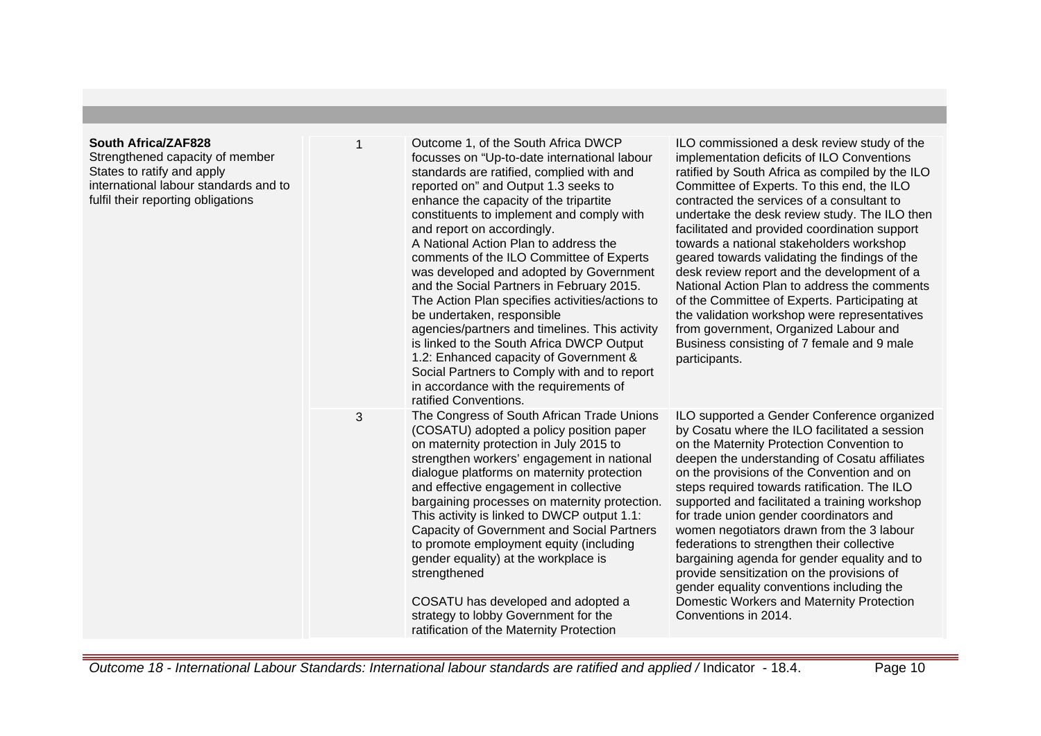## **South Africa/ZAF828**

Strengthened capacity of membe States to ratify and apply international labour standards and to fulfil their reporting obligations

| r<br>d to | Outcome 1, of the South Africa DWCP<br>$\mathbf 1$<br>focusses on "Up-to-date international labour<br>standards are ratified, complied with and<br>reported on" and Output 1.3 seeks to<br>enhance the capacity of the tripartite<br>constituents to implement and comply with<br>and report on accordingly.<br>A National Action Plan to address the<br>comments of the ILO Committee of Experts<br>was developed and adopted by Government<br>and the Social Partners in February 2015.<br>The Action Plan specifies activities/actions to<br>be undertaken, responsible<br>agencies/partners and timelines. This activity<br>is linked to the South Africa DWCP Output<br>1.2: Enhanced capacity of Government &<br>Social Partners to Comply with and to report<br>in accordance with the requirements of<br>ratified Conventions. |                                                                                                                                                                                                                                                                                                                                                                                                                                                                                                                                                                                                                                                    | ILO commissioned a desk review study of the<br>implementation deficits of ILO Conventions<br>ratified by South Africa as compiled by the ILO<br>Committee of Experts. To this end, the ILO<br>contracted the services of a consultant to<br>undertake the desk review study. The ILO then<br>facilitated and provided coordination support<br>towards a national stakeholders workshop<br>geared towards validating the findings of the<br>desk review report and the development of a<br>National Action Plan to address the comments<br>of the Committee of Experts. Participating at<br>the validation workshop were representatives<br>from government, Organized Labour and<br>Business consisting of 7 female and 9 male<br>participants. |  |
|-----------|----------------------------------------------------------------------------------------------------------------------------------------------------------------------------------------------------------------------------------------------------------------------------------------------------------------------------------------------------------------------------------------------------------------------------------------------------------------------------------------------------------------------------------------------------------------------------------------------------------------------------------------------------------------------------------------------------------------------------------------------------------------------------------------------------------------------------------------|----------------------------------------------------------------------------------------------------------------------------------------------------------------------------------------------------------------------------------------------------------------------------------------------------------------------------------------------------------------------------------------------------------------------------------------------------------------------------------------------------------------------------------------------------------------------------------------------------------------------------------------------------|-------------------------------------------------------------------------------------------------------------------------------------------------------------------------------------------------------------------------------------------------------------------------------------------------------------------------------------------------------------------------------------------------------------------------------------------------------------------------------------------------------------------------------------------------------------------------------------------------------------------------------------------------------------------------------------------------------------------------------------------------|--|
|           | 3                                                                                                                                                                                                                                                                                                                                                                                                                                                                                                                                                                                                                                                                                                                                                                                                                                      | The Congress of South African Trade Unions<br>(COSATU) adopted a policy position paper<br>on maternity protection in July 2015 to<br>strengthen workers' engagement in national<br>dialogue platforms on maternity protection<br>and effective engagement in collective<br>bargaining processes on maternity protection.<br>This activity is linked to DWCP output 1.1:<br>Capacity of Government and Social Partners<br>to promote employment equity (including<br>gender equality) at the workplace is<br>strengthened<br>COSATU has developed and adopted a<br>strategy to lobby Government for the<br>ratification of the Maternity Protection | ILO supported a Gender Conference organized<br>by Cosatu where the ILO facilitated a session<br>on the Maternity Protection Convention to<br>deepen the understanding of Cosatu affiliates<br>on the provisions of the Convention and on<br>steps required towards ratification. The ILO<br>supported and facilitated a training workshop<br>for trade union gender coordinators and<br>women negotiators drawn from the 3 labour<br>federations to strengthen their collective<br>bargaining agenda for gender equality and to<br>provide sensitization on the provisions of<br>gender equality conventions including the<br>Domestic Workers and Maternity Protection<br>Conventions in 2014.                                                 |  |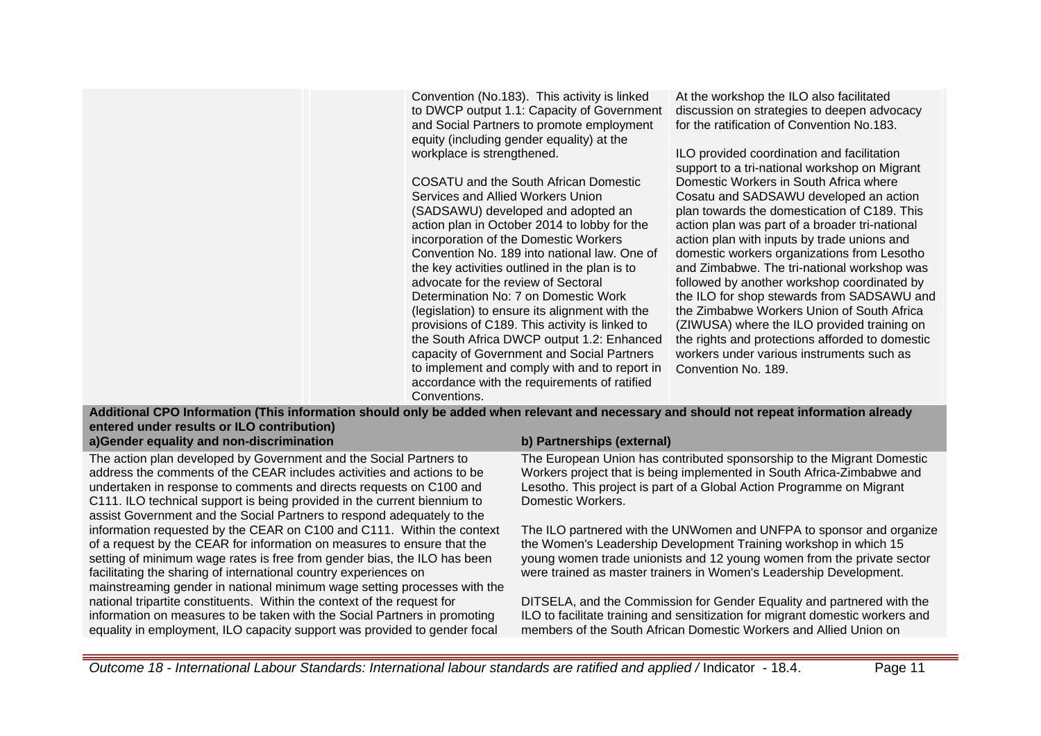Convention (No.183). This activity is linked to DWCP output 1.1: Capacity of Government and Social Partners to promote employment equity (including gender equality) at the workplace is strengthened.

COSATU and the South African Domestic Services and Allied Workers Union (SADSAWU) developed and adopted an action plan in October 2014 to lobby for the incorporation of the Domestic Workers Convention No. 189 into national law. One of the key activities outlined in the plan is to advocate for the review of Sectoral Determination No: 7 on Domestic Work (legislation) to ensure its alignment with the provisions of C189. This activity is linked to the South Africa DWCP output 1.2: Enhanced capacity of Government and Social Partners to implement and comply with and to report in accordance with the requirements of ratified Conventions.

At the workshop the ILO also facilitated discussion on strategies to deepen advocacy for the ratification of Convention No.183.

ILO provided coordination and facilitation support to a tri-national workshop on Migrant Domestic Workers in South Africa where Cosatu and SADSAWU developed an action plan towards the domestication of C189. This action plan was part of a broader tri-national action plan with inputs by trade unions and domestic workers organizations from Lesotho and Zimbabwe. The tri-national workshop was followed by another workshop coordinated by the ILO for shop stewards from SADSAWU and the Zimbabwe Workers Union of South Africa (ZIWUSA) where the ILO provided training on the rights and protections afforded to domestic workers under various instruments such as Convention No. 189.

**Additional CPO Information (This information should only be added when relevant and necessary and should not repeat information already entered under results or ILO contribution)**

The action plan developed by Government and the Social Partners to address the comments of the CEAR includes activities and actions to be undertaken in response to comments and directs requests on C100 and C111. ILO technical support is being provided in the current biennium to assist Government and the Social Partners to respond adequately to the information requested by the CEAR on C100 and C111. Within the context of a request by the CEAR for information on measures to ensure that the setting of minimum wage rates is free from gender bias, the ILO has been facilitating the sharing of international country experiences on mainstreaming gender in national minimum wage setting processes with the national tripartite constituents. Within the context of the request for information on measures to be taken with the Social Partners in promoting equality in employment, ILO capacity support was provided to gender focal

## **a)Gender equality and non-discrimination b) Partnerships (external)**

The European Union has contributed sponsorship to the Migrant Domestic Workers project that is being implemented in South Africa-Zimbabwe and Lesotho. This project is part of a Global Action Programme on Migrant Domestic Workers.

The ILO partnered with the UNWomen and UNFPA to sponsor and organize the Women's Leadership Development Training workshop in which 15 young women trade unionists and 12 young women from the private sector were trained as master trainers in Women's Leadership Development.

DITSELA, and the Commission for Gender Equality and partnered with the ILO to facilitate training and sensitization for migrant domestic workers and members of the South African Domestic Workers and Allied Union on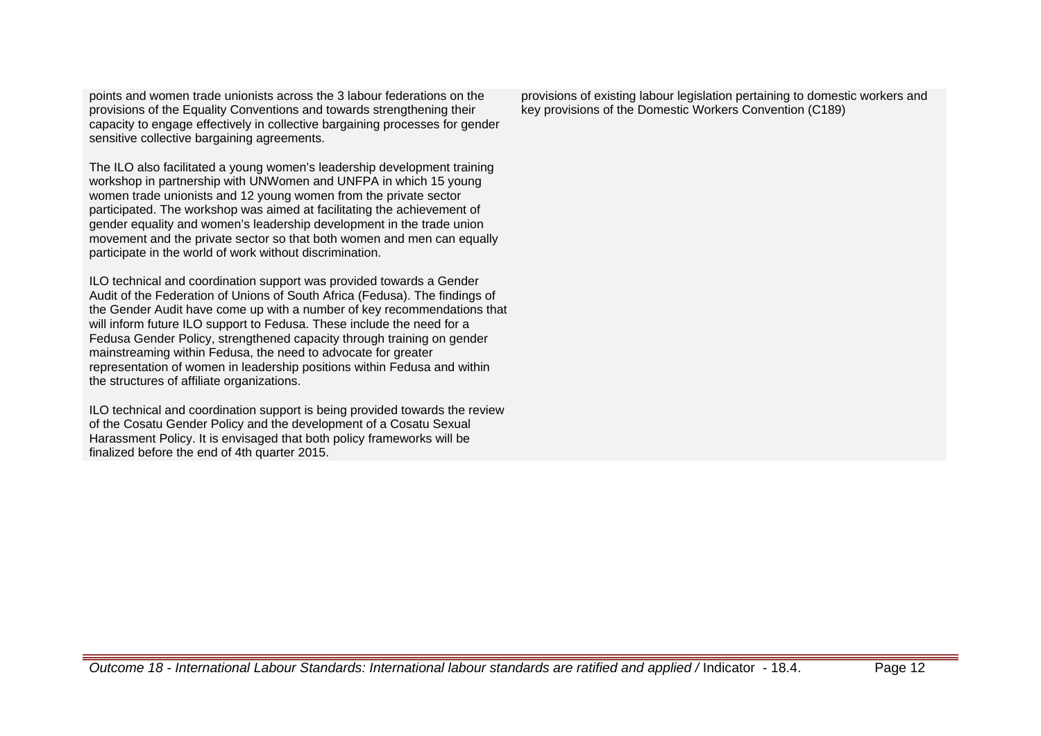points and women trade unionists across the 3 labour federations on the provisions of the Equality Conventions and towards strengthening their capacity to engage effectively in collective bargaining processes for gender sensitive collective bargaining agreements.

The ILO also facilitated a young women's leadership development training workshop in partnership with UNWomen and UNFPA in which 15 young women trade unionists and 12 young women from the private sector participated. The workshop was aimed at facilitating the achievement of gender equality and women's leadership development in the trade union movement and the private sector so that both women and men can equally participate in the world of work without discrimination.

ILO technical and coordination support was provided towards a Gender Audit of the Federation of Unions of South Africa (Fedusa). The findings of the Gender Audit have come up with a number of key recommendations that will inform future ILO support to Fedusa. These include the need for a Fedusa Gender Policy, strengthened capacity through training on gender mainstreaming within Fedusa, the need to advocate for greater representation of women in leadership positions within Fedusa and within the structures of affiliate organizations.

ILO technical and coordination support is being provided towards the review of the Cosatu Gender Policy and the development of a Cosatu Sexual Harassment Policy. It is envisaged that both policy frameworks will be finalized before the end of 4th quarter 2015.

provisions of existing labour legislation pertaining to domestic workers and key provisions of the Domestic Workers Convention (C189)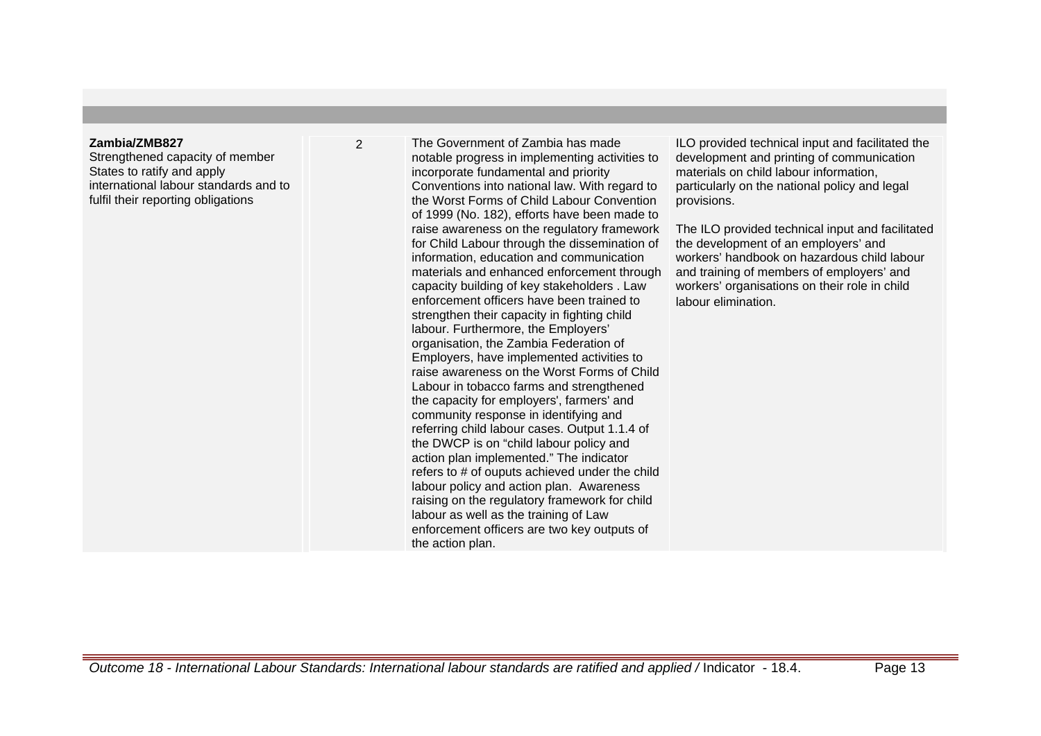### **Zambia/ZMB827**

Strengthened capacity of member States to ratify and apply international labour standards and to fulfil their reporting obligations

2 The Government of Zambia has made notable progress in implementing activities to incorporate fundamental and priority Conventions into national law. With regard to the Worst Forms of Child Labour Convention of 1999 (No. 182), efforts have been made to raise awareness on the regulatory framework for Child Labour through the dissemination of information, education and communication materials and enhanced enforcement through capacity building of key stakeholders . Law enforcement officers have been trained to strengthen their capacity in fighting child labour. Furthermore, the Employers' organisation, the Zambia Federation of Employers, have implemented activities to raise awareness on the Worst Forms of Child Labour in tobacco farms and strengthened the capacity for employers', farmers' and community response in identifying and referring child labour cases. Output 1.1.4 of the DWCP is on "child labour policy and action plan implemented." The indicator refers to # of ouputs achieved under the child labour policy and action plan. Awareness raising on the regulatory framework for child labour as well as the training of Law enforcement officers are two key outputs of the action plan.

ILO provided technical input and facilitated the development and printing of communication materials on child labour information, particularly on the national policy and legal provisions.

The ILO provided technical input and facilitated the development of an employers' and workers' handbook on hazardous child labour and training of members of employers' and workers' organisations on their role in child labour elimination.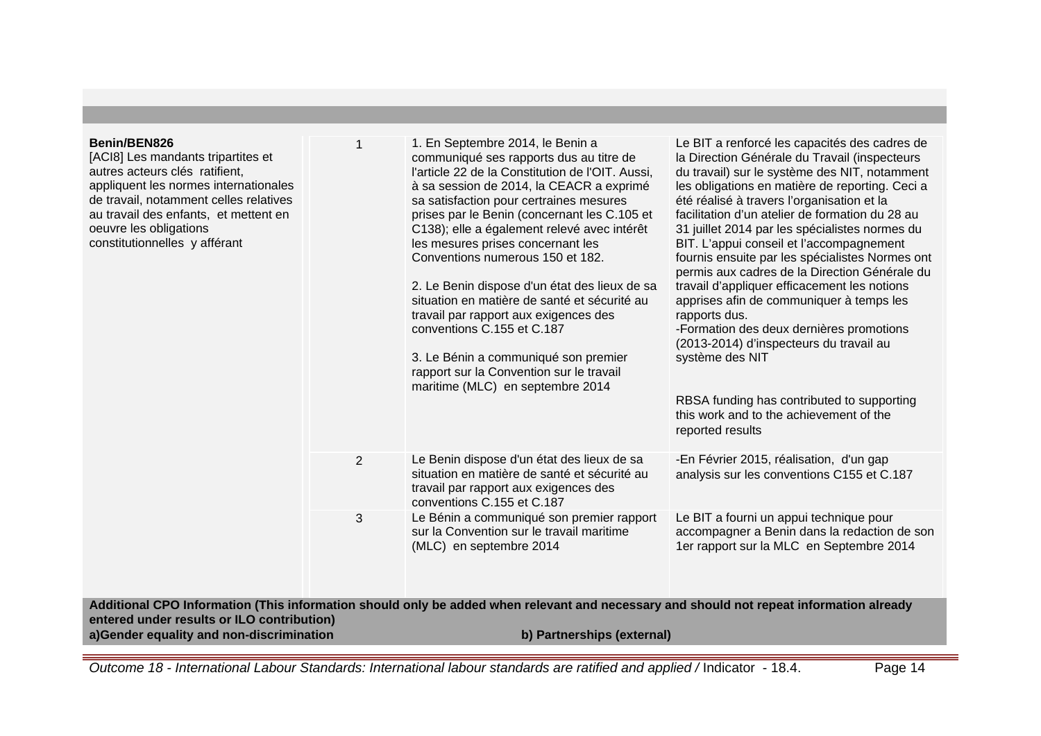| Benin/BEN826<br>[ACI8] Les mandants tripartites et<br>autres acteurs clés ratifient,<br>appliquent les normes internationales<br>de travail, notamment celles relatives<br>au travail des enfants, et mettent en<br>oeuvre les obligations<br>constitutionnelles y afférant | 1              | 1. En Septembre 2014, le Benin a<br>communiqué ses rapports dus au titre de<br>l'article 22 de la Constitution de l'OIT. Aussi,<br>à sa session de 2014, la CEACR a exprimé<br>sa satisfaction pour certraines mesures<br>prises par le Benin (concernant les C.105 et<br>C138); elle a également relevé avec intérêt<br>les mesures prises concernant les<br>Conventions numerous 150 et 182.<br>2. Le Benin dispose d'un état des lieux de sa<br>situation en matière de santé et sécurité au<br>travail par rapport aux exigences des<br>conventions C.155 et C.187<br>3. Le Bénin a communiqué son premier<br>rapport sur la Convention sur le travail<br>maritime (MLC) en septembre 2014 | Le BIT a renforcé les capacités des cadres de<br>la Direction Générale du Travail (inspecteurs<br>du travail) sur le système des NIT, notamment<br>les obligations en matière de reporting. Ceci a<br>été réalisé à travers l'organisation et la<br>facilitation d'un atelier de formation du 28 au<br>31 juillet 2014 par les spécialistes normes du<br>BIT. L'appui conseil et l'accompagnement<br>fournis ensuite par les spécialistes Normes ont<br>permis aux cadres de la Direction Générale du<br>travail d'appliquer efficacement les notions<br>apprises afin de communiquer à temps les<br>rapports dus.<br>-Formation des deux dernières promotions<br>(2013-2014) d'inspecteurs du travail au<br>système des NIT<br>RBSA funding has contributed to supporting<br>this work and to the achievement of the<br>reported results |
|-----------------------------------------------------------------------------------------------------------------------------------------------------------------------------------------------------------------------------------------------------------------------------|----------------|------------------------------------------------------------------------------------------------------------------------------------------------------------------------------------------------------------------------------------------------------------------------------------------------------------------------------------------------------------------------------------------------------------------------------------------------------------------------------------------------------------------------------------------------------------------------------------------------------------------------------------------------------------------------------------------------|-------------------------------------------------------------------------------------------------------------------------------------------------------------------------------------------------------------------------------------------------------------------------------------------------------------------------------------------------------------------------------------------------------------------------------------------------------------------------------------------------------------------------------------------------------------------------------------------------------------------------------------------------------------------------------------------------------------------------------------------------------------------------------------------------------------------------------------------|
|                                                                                                                                                                                                                                                                             | $\overline{2}$ | Le Benin dispose d'un état des lieux de sa<br>situation en matière de santé et sécurité au<br>travail par rapport aux exigences des<br>conventions C.155 et C.187                                                                                                                                                                                                                                                                                                                                                                                                                                                                                                                              | -En Février 2015, réalisation, d'un gap<br>analysis sur les conventions C155 et C.187                                                                                                                                                                                                                                                                                                                                                                                                                                                                                                                                                                                                                                                                                                                                                     |
|                                                                                                                                                                                                                                                                             | 3              | Le Bénin a communiqué son premier rapport<br>sur la Convention sur le travail maritime<br>(MLC) en septembre 2014                                                                                                                                                                                                                                                                                                                                                                                                                                                                                                                                                                              | Le BIT a fourni un appui technique pour<br>accompagner a Benin dans la redaction de son<br>1er rapport sur la MLC en Septembre 2014                                                                                                                                                                                                                                                                                                                                                                                                                                                                                                                                                                                                                                                                                                       |
| entered under results or ILO contribution)<br>a)Gender equality and non-discrimination                                                                                                                                                                                      |                | Additional CPO Information (This information should only be added when relevant and necessary and should not repeat information already<br>b) Partnerships (external)                                                                                                                                                                                                                                                                                                                                                                                                                                                                                                                          |                                                                                                                                                                                                                                                                                                                                                                                                                                                                                                                                                                                                                                                                                                                                                                                                                                           |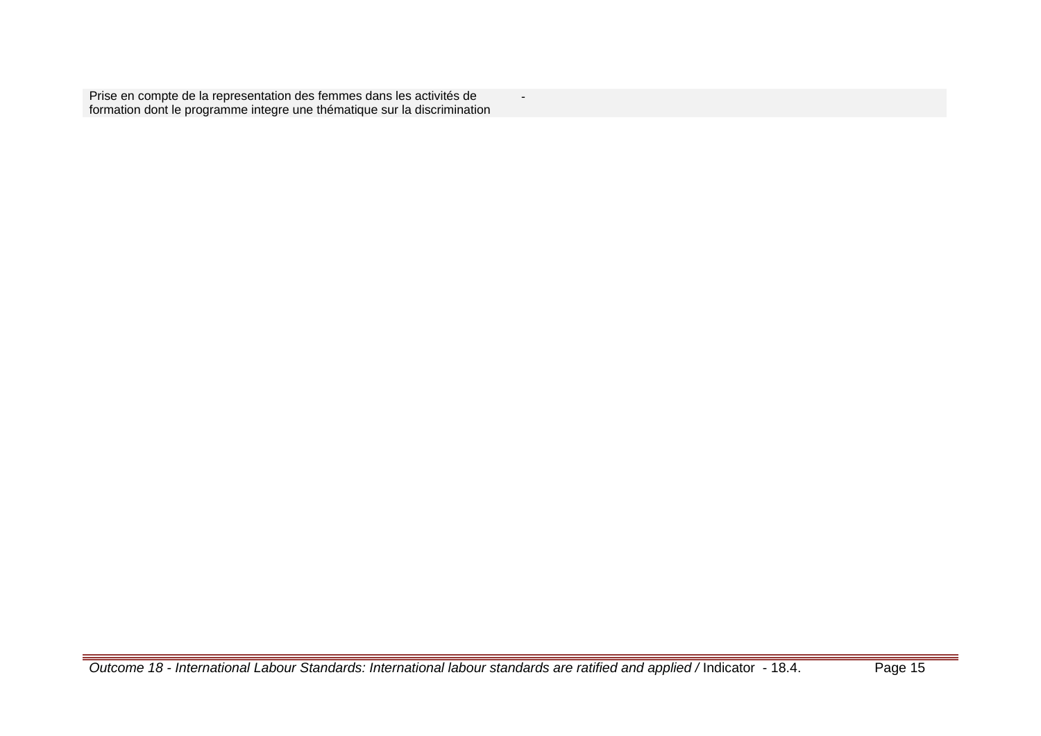Prise en compte de la representation des femmes dans les activités de formation dont le programme integre une thématique sur la discrimination

-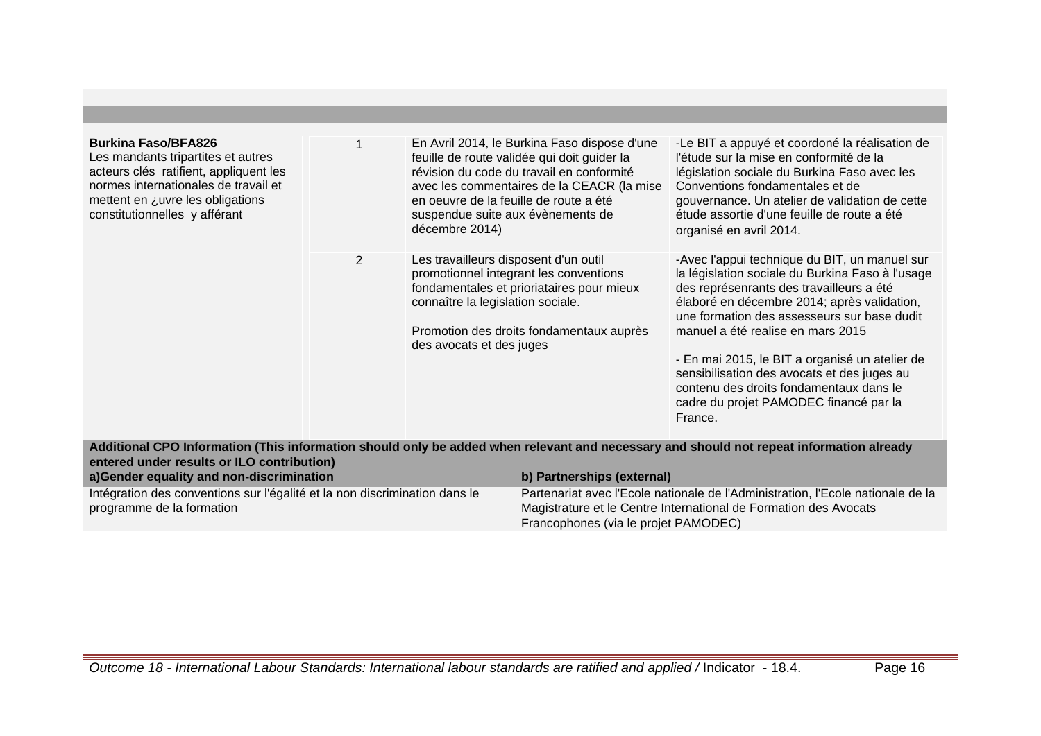| <b>Burkina Faso/BFA826</b><br>Les mandants tripartites et autres<br>acteurs clés ratifient, appliquent les<br>normes internationales de travail et<br>mettent en ¿uvre les obligations<br>constitutionnelles y afférant |                | en oeuvre de la feuille de route a été<br>suspendue suite aux évènements de<br>décembre 2014)          | En Avril 2014, le Burkina Faso dispose d'une<br>feuille de route validée qui doit guider la<br>révision du code du travail en conformité<br>avec les commentaires de la CEACR (la mise | -Le BIT a appuyé et coordoné la réalisation de<br>l'étude sur la mise en conformité de la<br>législation sociale du Burkina Faso avec les<br>Conventions fondamentales et de<br>gouvernance. Un atelier de validation de cette<br>étude assortie d'une feuille de route a été<br>organisé en avril 2014.                                                                                                                                                                          |
|-------------------------------------------------------------------------------------------------------------------------------------------------------------------------------------------------------------------------|----------------|--------------------------------------------------------------------------------------------------------|----------------------------------------------------------------------------------------------------------------------------------------------------------------------------------------|-----------------------------------------------------------------------------------------------------------------------------------------------------------------------------------------------------------------------------------------------------------------------------------------------------------------------------------------------------------------------------------------------------------------------------------------------------------------------------------|
|                                                                                                                                                                                                                         | $\overline{2}$ | Les travailleurs disposent d'un outil<br>connaître la legislation sociale.<br>des avocats et des juges | promotionnel integrant les conventions<br>fondamentales et prioriataires pour mieux<br>Promotion des droits fondamentaux auprès                                                        | -Avec l'appui technique du BIT, un manuel sur<br>la législation sociale du Burkina Faso à l'usage<br>des représenrants des travailleurs a été<br>élaboré en décembre 2014; après validation,<br>une formation des assesseurs sur base dudit<br>manuel a été realise en mars 2015<br>- En mai 2015, le BIT a organisé un atelier de<br>sensibilisation des avocats et des juges au<br>contenu des droits fondamentaux dans le<br>cadre du projet PAMODEC financé par la<br>France. |
| entered under results or ILO contribution)<br>a)Gender equality and non-discrimination                                                                                                                                  |                |                                                                                                        | b) Partnerships (external)                                                                                                                                                             | Additional CPO Information (This information should only be added when relevant and necessary and should not repeat information already                                                                                                                                                                                                                                                                                                                                           |
| Intégration des conventions sur l'égalité et la non discrimination dans le<br>programme de la formation                                                                                                                 |                |                                                                                                        |                                                                                                                                                                                        | Partenariat avec l'Ecole nationale de l'Administration, l'Ecole nationale de la<br>Magistrature et le Centre International de Formation des Avocats                                                                                                                                                                                                                                                                                                                               |
|                                                                                                                                                                                                                         |                |                                                                                                        | Francophones (via le projet PAMODEC)                                                                                                                                                   |                                                                                                                                                                                                                                                                                                                                                                                                                                                                                   |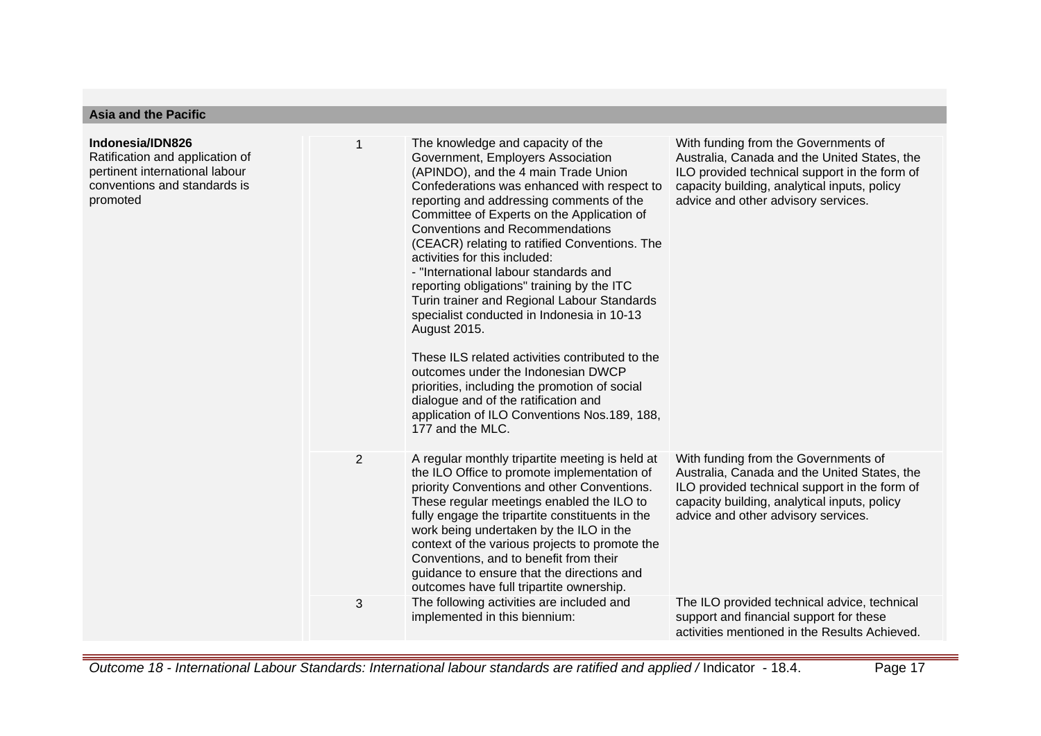| <b>Asia and the Pacific</b>                                                                                                       |                |                                                                                                                                                                                                                                                                                                                                                                                                                                                                                                                                                                                                                                                                                                                                                                                                                                               |                                                                                                                                                                                                                              |  |
|-----------------------------------------------------------------------------------------------------------------------------------|----------------|-----------------------------------------------------------------------------------------------------------------------------------------------------------------------------------------------------------------------------------------------------------------------------------------------------------------------------------------------------------------------------------------------------------------------------------------------------------------------------------------------------------------------------------------------------------------------------------------------------------------------------------------------------------------------------------------------------------------------------------------------------------------------------------------------------------------------------------------------|------------------------------------------------------------------------------------------------------------------------------------------------------------------------------------------------------------------------------|--|
| Indonesia/IDN826<br>Ratification and application of<br>pertinent international labour<br>conventions and standards is<br>promoted |                | The knowledge and capacity of the<br>Government, Employers Association<br>(APINDO), and the 4 main Trade Union<br>Confederations was enhanced with respect to<br>reporting and addressing comments of the<br>Committee of Experts on the Application of<br><b>Conventions and Recommendations</b><br>(CEACR) relating to ratified Conventions. The<br>activities for this included:<br>- "International labour standards and<br>reporting obligations" training by the ITC<br>Turin trainer and Regional Labour Standards<br>specialist conducted in Indonesia in 10-13<br>August 2015.<br>These ILS related activities contributed to the<br>outcomes under the Indonesian DWCP<br>priorities, including the promotion of social<br>dialogue and of the ratification and<br>application of ILO Conventions Nos.189, 188,<br>177 and the MLC. | With funding from the Governments of<br>Australia, Canada and the United States, the<br>ILO provided technical support in the form of<br>capacity building, analytical inputs, policy<br>advice and other advisory services. |  |
|                                                                                                                                   | $\overline{2}$ | A regular monthly tripartite meeting is held at<br>the ILO Office to promote implementation of<br>priority Conventions and other Conventions.<br>These regular meetings enabled the ILO to<br>fully engage the tripartite constituents in the<br>work being undertaken by the ILO in the<br>context of the various projects to promote the<br>Conventions, and to benefit from their<br>guidance to ensure that the directions and<br>outcomes have full tripartite ownership.                                                                                                                                                                                                                                                                                                                                                                | With funding from the Governments of<br>Australia, Canada and the United States, the<br>ILO provided technical support in the form of<br>capacity building, analytical inputs, policy<br>advice and other advisory services. |  |
|                                                                                                                                   | 3              | The following activities are included and<br>implemented in this biennium:                                                                                                                                                                                                                                                                                                                                                                                                                                                                                                                                                                                                                                                                                                                                                                    | The ILO provided technical advice, technical<br>support and financial support for these<br>activities mentioned in the Results Achieved.                                                                                     |  |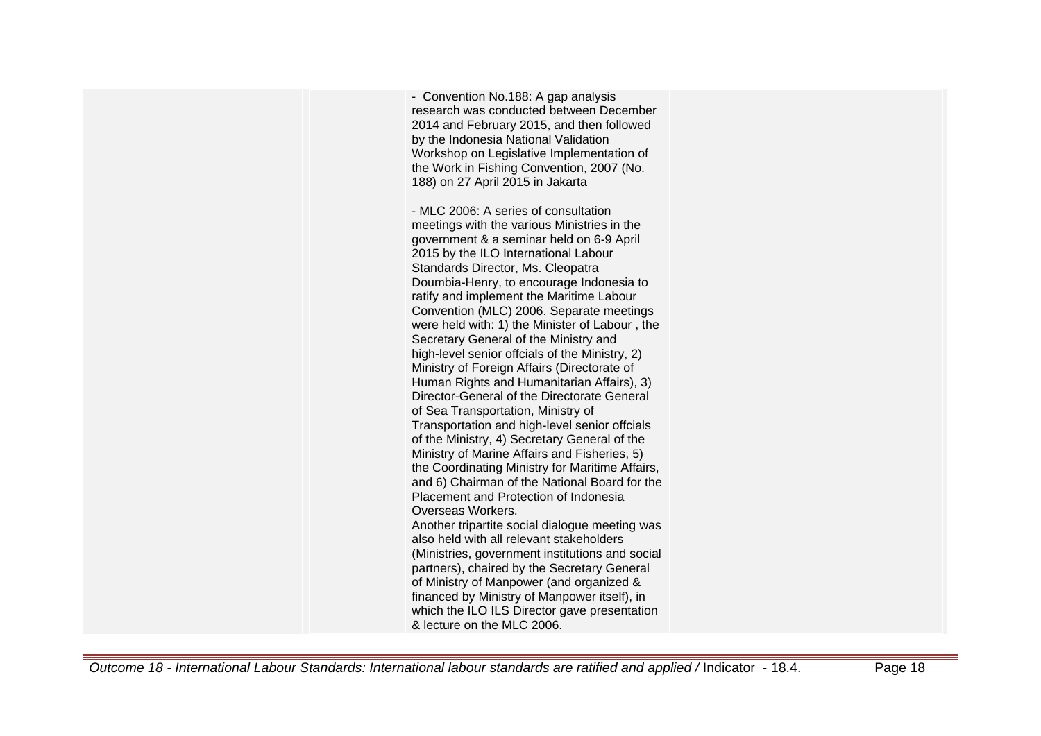- Convention No.188: A gap analysis research was conducted between December 2014 and February 2015, and then followed by the Indonesia National Validation Workshop on Legislative Implementation of the Work in Fishing Convention, 2007 (No. 188) on 27 April 2015 in Jakarta - MLC 2006: A series of consultation meetings with the various Ministries in the government & a seminar held on 6-9 April 2015 by the ILO International Labour Standards Director, Ms. Cleopatra Doumbia-Henry, to encourage Indonesia to ratify and implement the Maritime Labour Convention (MLC) 2006. Separate meetings were held with: 1) the Minister of Labour , the Secretary General of the Ministry and high-level senior offcials of the Ministry, 2) Ministry of Foreign Affairs (Directorate of Human Rights and Humanitarian Affairs), 3) Director-General of the Directorate General of Sea Transportation, Ministry of Transportation and high-level senior offcials of the Ministry, 4) Secretary General of the Ministry of Marine Affairs and Fisheries, 5) the Coordinating Ministry for Maritime Affairs, and 6) Chairman of the National Board for the Placement and Protection of Indonesia Overseas Workers. Another tripartite social dialogue meeting was also held with all relevant stakeholders (Ministries, government institutions and social partners), chaired by the Secretary General of Ministry of Manpower (and organized & financed by Ministry of Manpower itself), in which the ILO ILS Director gave presentation & lecture on the MLC 2006.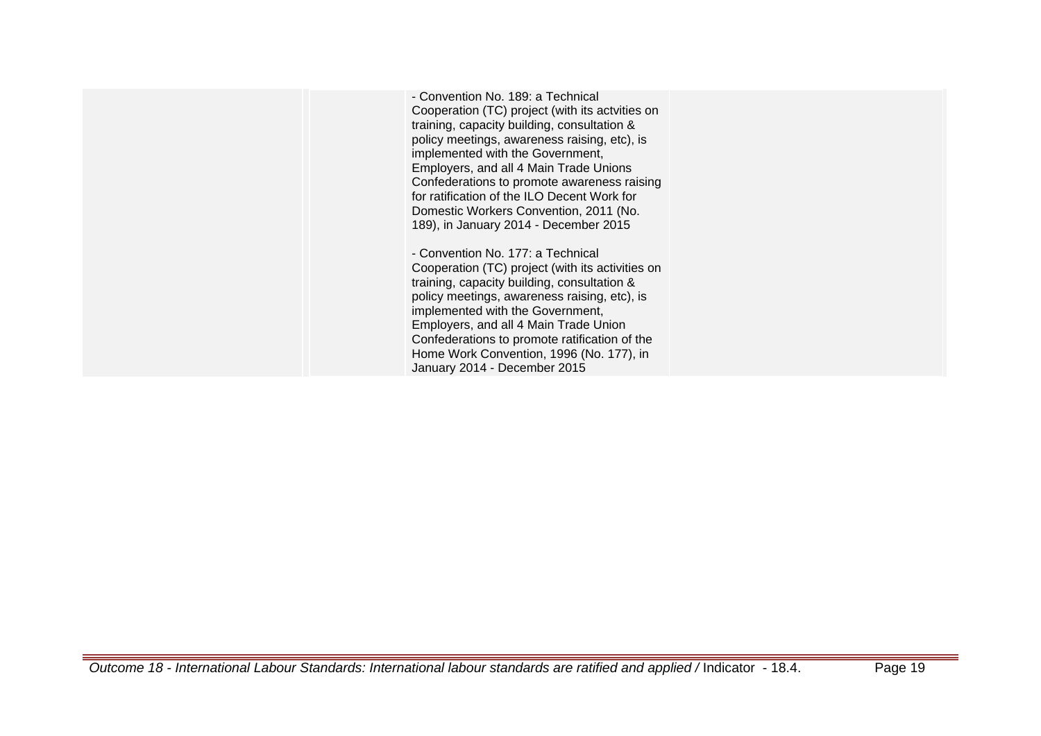- Convention No. 189: a Technical Cooperation (TC) project (with its actvities on training, capacity building, consultation & policy meetings, awareness raising, etc), is implemented with the Government, Employers, and all 4 Main Trade Unions Confederations to promote awareness raising for ratification of the ILO Decent Work for Domestic Workers Convention, 2011 (No. 189), in January 2014 - December 2015

- Convention No. 177: a Technical Cooperation (TC) project (with its activities on training, capacity building, consultation & policy meetings, awareness raising, etc), is implemented with the Government, Employers, and all 4 Main Trade Union Confederations to promote ratification of the Home Work Convention, 1996 (No. 177), in January 2014 - December 2015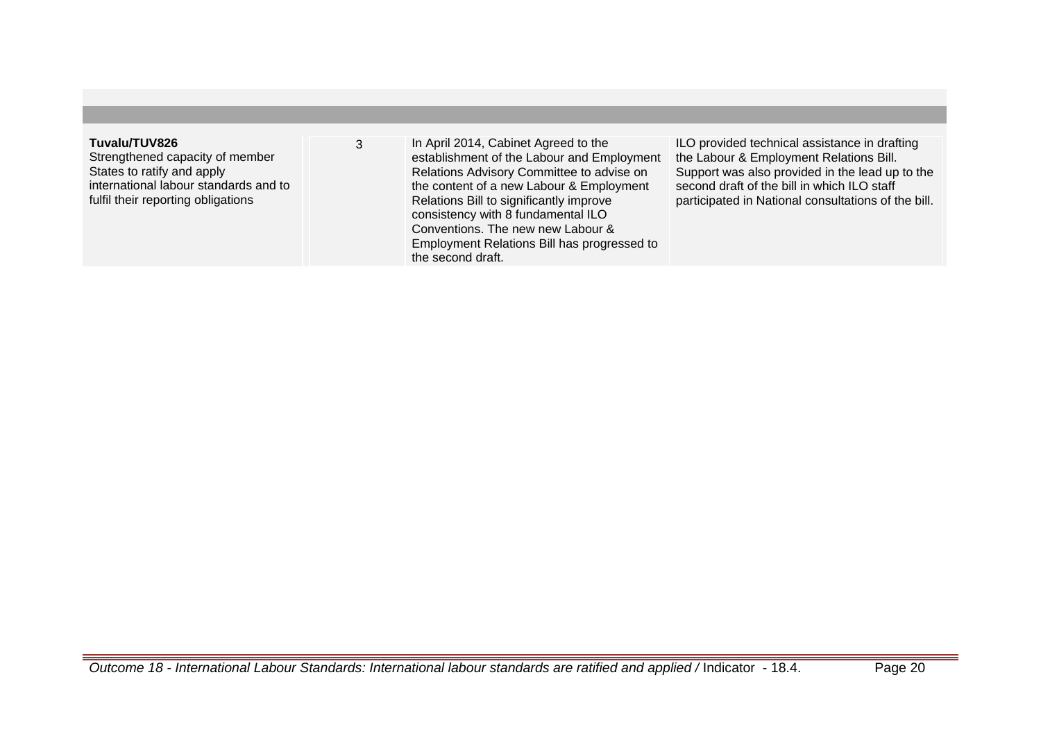| Tuvalu/TUV826<br>Strengthened capacity of member<br>States to ratify and apply<br>international labour standards and to<br>fulfil their reporting obligations | In April 2014, Cabinet Agreed to the<br>establishment of the Labour and Employment<br>Relations Advisory Committee to advise on<br>the content of a new Labour & Employment<br>Relations Bill to significantly improve<br>consistency with 8 fundamental ILO<br>Conventions. The new new Labour &<br>Employment Relations Bill has progressed to<br>the second draft. | ILO provided technical assistance in drafting<br>the Labour & Employment Relations Bill.<br>Support was also provided in the lead up to the<br>second draft of the bill in which ILO staff<br>participated in National consultations of the bill. |
|---------------------------------------------------------------------------------------------------------------------------------------------------------------|-----------------------------------------------------------------------------------------------------------------------------------------------------------------------------------------------------------------------------------------------------------------------------------------------------------------------------------------------------------------------|---------------------------------------------------------------------------------------------------------------------------------------------------------------------------------------------------------------------------------------------------|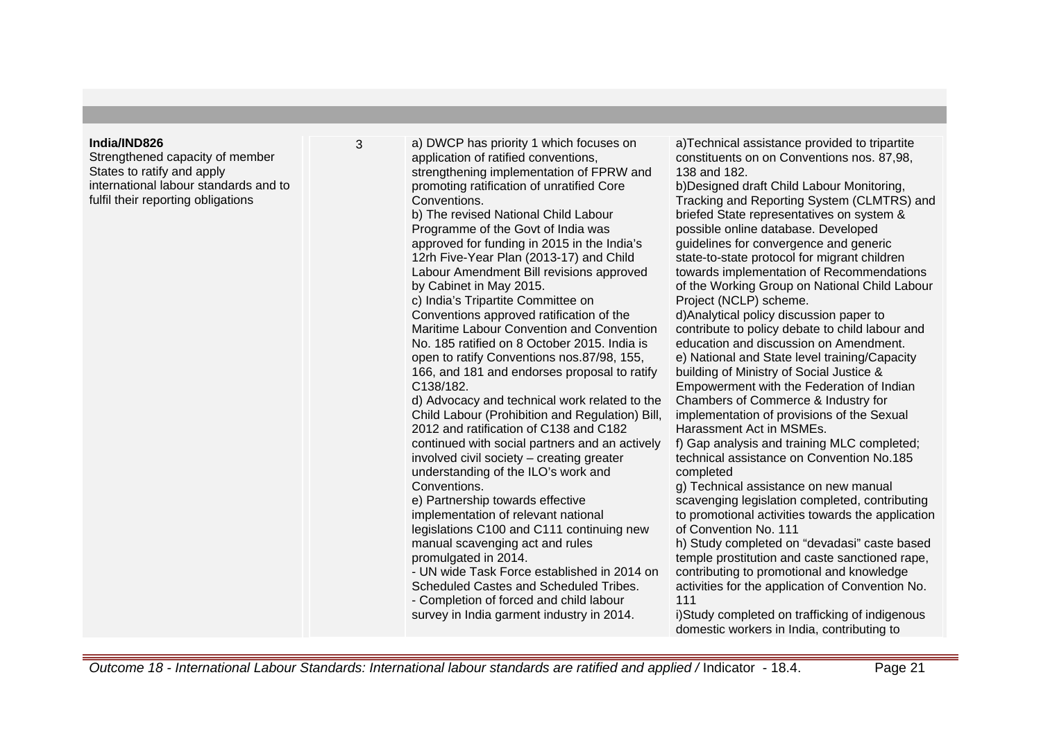## **India/IND826**

Strengthened capacity of member States to ratify and apply international labour standards and to fulfil their reporting obligations

3 a) DWCP has priority 1 which focuses on application of ratified conventions, strengthening implementation of FPRW and promoting ratification of unratified Core **Conventions** b) The revised National Child Labour Programme of the Govt of India was approved for funding in 2015 in the India's 12rh Five-Year Plan (2013-17) and Child Labour Amendment Bill revisions approved by Cabinet in May 2015. c) India's Tripartite Committee on Conventions approved ratification of the Maritime Labour Convention and Convention No. 185 ratified on 8 October 2015. India is open to ratify Conventions nos.87/98, 155, 166, and 181 and endorses proposal to ratify C138/182. d) Advocacy and technical work related to the Child Labour (Prohibition and Regulation) Bill, 2012 and ratification of C138 and C182 continued with social partners and an actively involved civil society – creating greater understanding of the ILO's work and **Conventions** e) Partnership towards effective implementation of relevant national legislations C100 and C111 continuing new manual scavenging act and rules promulgated in 2014. - UN wide Task Force established in 2014 on Scheduled Castes and Scheduled Tribes. - Completion of forced and child labour survey in India garment industry in 2014. 111

a)Technical assistance provided to tripartite constituents on on Conventions nos. 87,98, 138 and 182.

b)Designed draft Child Labour Monitoring, Tracking and Reporting System (CLMTRS) and briefed State representatives on system & possible online database. Developed guidelines for convergence and generic state-to-state protocol for migrant children towards implementation of Recommendations of the Working Group on National Child Labour Project (NCLP) scheme. d)Analytical policy discussion paper to

contribute to policy debate to child labour and education and discussion on Amendment. e) National and State level training/Capacity building of Ministry of Social Justice & Empowerment with the Federation of Indian Chambers of Commerce & Industry for implementation of provisions of the Sexual Harassment Act in MSMEs.

f) Gap analysis and training MLC completed; technical assistance on Convention No.185 completed

g) Technical assistance on new manual scavenging legislation completed, contributing to promotional activities towards the application of Convention No. 111

h) Study completed on "devadasi" caste based temple prostitution and caste sanctioned rape, contributing to promotional and knowledge activities for the application of Convention No.

i)Study completed on trafficking of indigenous domestic workers in India, contributing to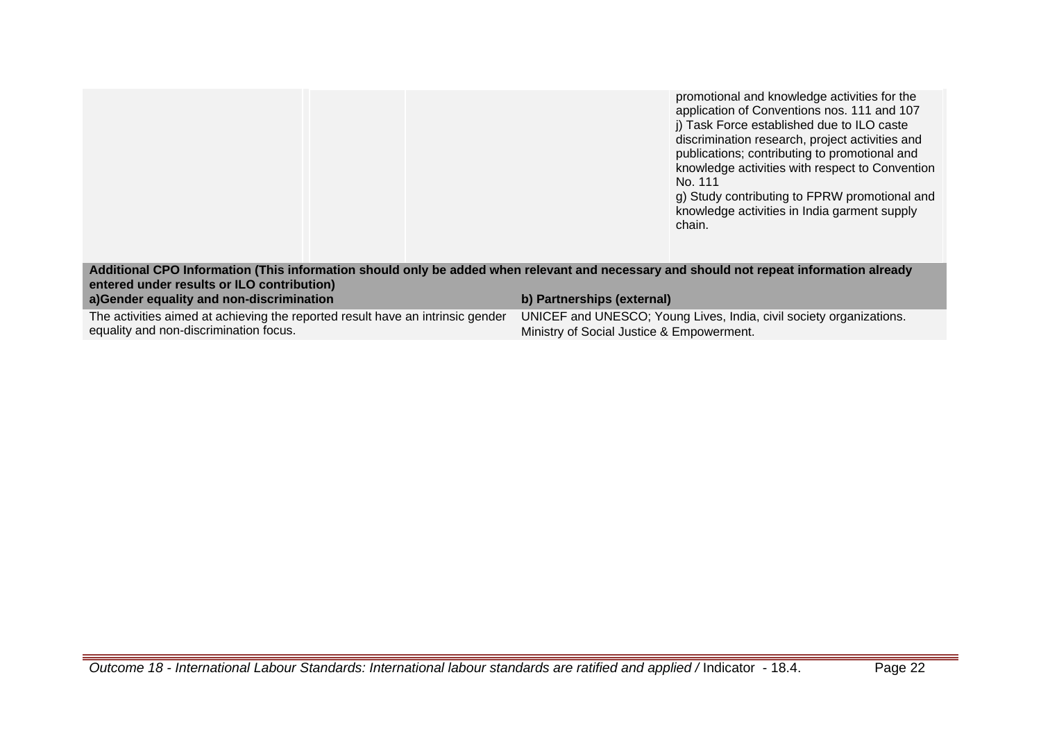|                                                                                                                                                                                       |                                           | promotional and knowledge activities for the<br>application of Conventions nos. 111 and 107<br>i) Task Force established due to ILO caste<br>discrimination research, project activities and<br>publications; contributing to promotional and<br>knowledge activities with respect to Convention<br>No. 111<br>g) Study contributing to FPRW promotional and<br>knowledge activities in India garment supply<br>chain. |
|---------------------------------------------------------------------------------------------------------------------------------------------------------------------------------------|-------------------------------------------|------------------------------------------------------------------------------------------------------------------------------------------------------------------------------------------------------------------------------------------------------------------------------------------------------------------------------------------------------------------------------------------------------------------------|
| Additional CPO Information (This information should only be added when relevant and necessary and should not repeat information already<br>entered under results or ILO contribution) |                                           |                                                                                                                                                                                                                                                                                                                                                                                                                        |
| a)Gender equality and non-discrimination                                                                                                                                              | b) Partnerships (external)                |                                                                                                                                                                                                                                                                                                                                                                                                                        |
| The activities aimed at achieving the reported result have an intrinsic gender<br>equality and non-discrimination focus.                                                              | Ministry of Social Justice & Empowerment. | UNICEF and UNESCO; Young Lives, India, civil society organizations.                                                                                                                                                                                                                                                                                                                                                    |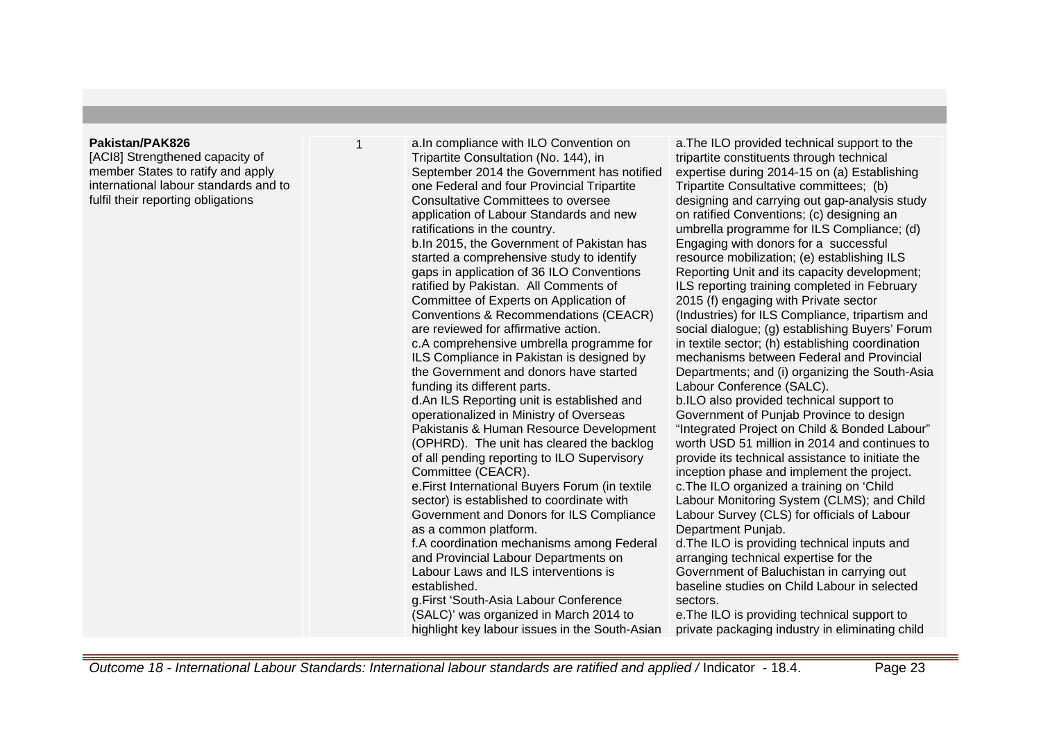### **Pakistan/PAK826**

[ACI8] Strengthened capacity of member States to ratify and apply international labour standards and to fulfil their reporting obligations

1 **a. In compliance with ILO Convention on** Tripartite Consultation (No. 144), in September 2014 the Government has notified one Federal and four Provincial Tripartite Consultative Committees to oversee application of Labour Standards and new ratifications in the country. b. In 2015, the Government of Pakistan has started a comprehensive study to identify gaps in application of 36 ILO Conventions ratified by Pakistan. All Comments of Committee of Experts on Application of Conventions & Recommendations (CEACR) are reviewed for affirmative action. c. A comprehensive umbrella programme for ILS Compliance in Pakistan is designed by the Government and donors have started funding its different parts. d. An ILS Reporting unit is established and operationalized in Ministry of Overseas Pakistanis & Human Resource Development (OPHRD). The unit has cleared the backlog of all pending reporting to ILO Supervisory Committee (CEACR). e. First International Buyers Forum (in textile sector) is established to coordinate with Government and Donors for ILS Compliance as a common platform. f. A coordination mechanisms among Federal and Provincial Labour Departments on Labour Laws and ILS interventions is established. g. First 'South-Asia Labour Conference (SALC)' was organized in March 2014 to highlight key labour issues in the South-Asian

a. The ILO provided technical support to the tripartite constituents through technical expertise during 2014-15 on (a) Establishing Tripartite Consultative committees; (b) designing and carrying out gap-analysis study on ratified Conventions; (c) designing an umbrella programme for ILS Compliance; (d) Engaging with donors for a successful resource mobilization; (e) establishing ILS Reporting Unit and its capacity development; ILS reporting training completed in February 2015 (f) engaging with Private sector (Industries) for ILS Compliance, tripartism and social dialogue; (g) establishing Buyers' Forum in textile sector; (h) establishing coordination mechanisms between Federal and Provincial Departments; and (i) organizing the South-Asia Labour Conference (SALC). b. ILO also provided technical support to

Government of Punjab Province to design "Integrated Project on Child & Bonded Labour" worth USD 51 million in 2014 and continues to provide its technical assistance to initiate the inception phase and implement the project. c. The ILO organized a training on 'Child Labour Monitoring System (CLMS); and Child Labour Survey (CLS) for officials of Labour Department Punjab.

d. The ILO is providing technical inputs and arranging technical expertise for the Government of Baluchistan in carrying out baseline studies on Child Labour in selected sectors.

e. The ILO is providing technical support to private packaging industry in eliminating child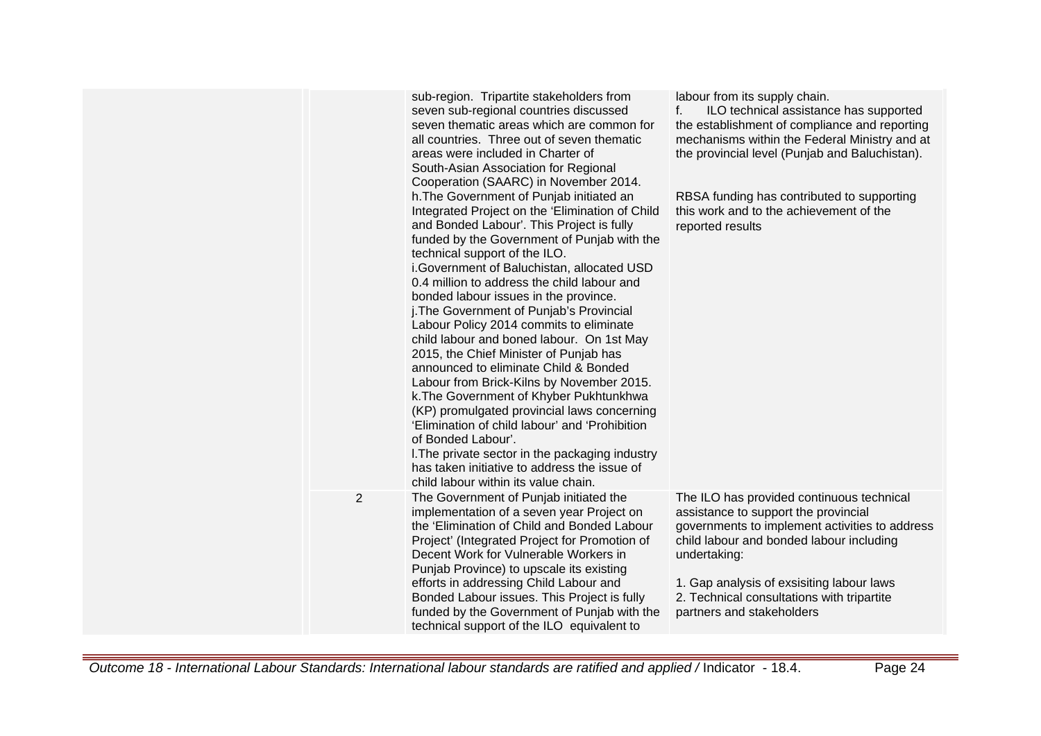|                | sub-region. Tripartite stakeholders from<br>seven sub-regional countries discussed<br>seven thematic areas which are common for<br>all countries. Three out of seven thematic<br>areas were included in Charter of<br>South-Asian Association for Regional<br>Cooperation (SAARC) in November 2014.<br>h. The Government of Punjab initiated an<br>Integrated Project on the 'Elimination of Child<br>and Bonded Labour'. This Project is fully<br>funded by the Government of Punjab with the<br>technical support of the ILO.<br>i. Government of Baluchistan, allocated USD<br>0.4 million to address the child labour and<br>bonded labour issues in the province.<br>j. The Government of Punjab's Provincial<br>Labour Policy 2014 commits to eliminate<br>child labour and boned labour. On 1st May<br>2015, the Chief Minister of Punjab has<br>announced to eliminate Child & Bonded<br>Labour from Brick-Kilns by November 2015.<br>k. The Government of Khyber Pukhtunkhwa<br>(KP) promulgated provincial laws concerning<br>'Elimination of child labour' and 'Prohibition<br>of Bonded Labour'.<br>I. The private sector in the packaging industry<br>has taken initiative to address the issue of<br>child labour within its value chain. | labour from its supply chain.<br>f.<br>ILO technical assistance has supported<br>the establishment of compliance and reporting<br>mechanisms within the Federal Ministry and at<br>the provincial level (Punjab and Baluchistan).<br>RBSA funding has contributed to supporting<br>this work and to the achievement of the<br>reported results |
|----------------|---------------------------------------------------------------------------------------------------------------------------------------------------------------------------------------------------------------------------------------------------------------------------------------------------------------------------------------------------------------------------------------------------------------------------------------------------------------------------------------------------------------------------------------------------------------------------------------------------------------------------------------------------------------------------------------------------------------------------------------------------------------------------------------------------------------------------------------------------------------------------------------------------------------------------------------------------------------------------------------------------------------------------------------------------------------------------------------------------------------------------------------------------------------------------------------------------------------------------------------------------------|------------------------------------------------------------------------------------------------------------------------------------------------------------------------------------------------------------------------------------------------------------------------------------------------------------------------------------------------|
| $\overline{2}$ | The Government of Punjab initiated the<br>implementation of a seven year Project on<br>the 'Elimination of Child and Bonded Labour<br>Project' (Integrated Project for Promotion of<br>Decent Work for Vulnerable Workers in<br>Punjab Province) to upscale its existing<br>efforts in addressing Child Labour and<br>Bonded Labour issues. This Project is fully<br>funded by the Government of Punjab with the<br>technical support of the ILO equivalent to                                                                                                                                                                                                                                                                                                                                                                                                                                                                                                                                                                                                                                                                                                                                                                                          | The ILO has provided continuous technical<br>assistance to support the provincial<br>governments to implement activities to address<br>child labour and bonded labour including<br>undertaking:<br>1. Gap analysis of exsisiting labour laws<br>2. Technical consultations with tripartite<br>partners and stakeholders                        |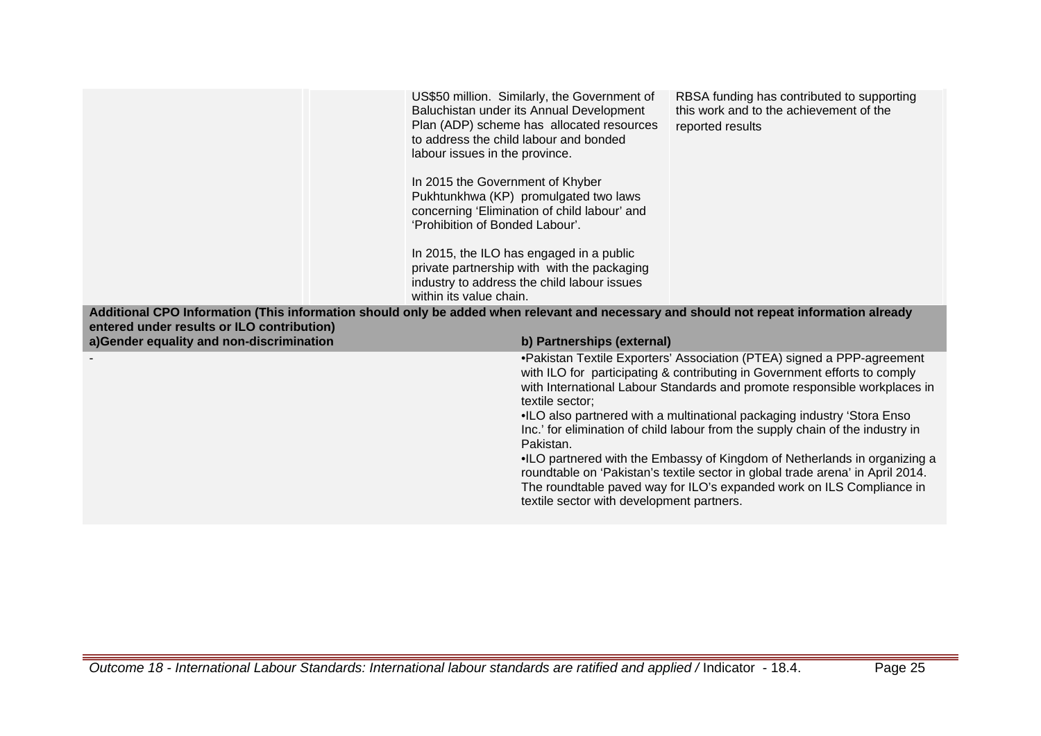|                                                                                                                                                                                                                                                                 | US\$50 million. Similarly, the Government of<br>Baluchistan under its Annual Development<br>Plan (ADP) scheme has allocated resources<br>to address the child labour and bonded<br>labour issues in the province.<br>In 2015 the Government of Khyber<br>Pukhtunkhwa (KP) promulgated two laws<br>concerning 'Elimination of child labour' and<br>'Prohibition of Bonded Labour'.<br>In 2015, the ILO has engaged in a public<br>private partnership with with the packaging<br>industry to address the child labour issues<br>within its value chain. | RBSA funding has contributed to supporting<br>this work and to the achievement of the<br>reported results                                                                                                                                                                                                                                                                                                                                                                                                                                                                                                                                                                             |  |
|-----------------------------------------------------------------------------------------------------------------------------------------------------------------------------------------------------------------------------------------------------------------|--------------------------------------------------------------------------------------------------------------------------------------------------------------------------------------------------------------------------------------------------------------------------------------------------------------------------------------------------------------------------------------------------------------------------------------------------------------------------------------------------------------------------------------------------------|---------------------------------------------------------------------------------------------------------------------------------------------------------------------------------------------------------------------------------------------------------------------------------------------------------------------------------------------------------------------------------------------------------------------------------------------------------------------------------------------------------------------------------------------------------------------------------------------------------------------------------------------------------------------------------------|--|
| Additional CPO Information (This information should only be added when relevant and necessary and should not repeat information already<br>entered under results or ILO contribution)<br>a)Gender equality and non-discrimination<br>b) Partnerships (external) |                                                                                                                                                                                                                                                                                                                                                                                                                                                                                                                                                        |                                                                                                                                                                                                                                                                                                                                                                                                                                                                                                                                                                                                                                                                                       |  |
|                                                                                                                                                                                                                                                                 | textile sector;<br>Pakistan.                                                                                                                                                                                                                                                                                                                                                                                                                                                                                                                           | • Pakistan Textile Exporters' Association (PTEA) signed a PPP-agreement<br>with ILO for participating & contributing in Government efforts to comply<br>with International Labour Standards and promote responsible workplaces in<br>. ILO also partnered with a multinational packaging industry 'Stora Enso<br>Inc.' for elimination of child labour from the supply chain of the industry in<br>. ILO partnered with the Embassy of Kingdom of Netherlands in organizing a<br>roundtable on 'Pakistan's textile sector in global trade arena' in April 2014.<br>The roundtable paved way for ILO's expanded work on ILS Compliance in<br>textile sector with development partners. |  |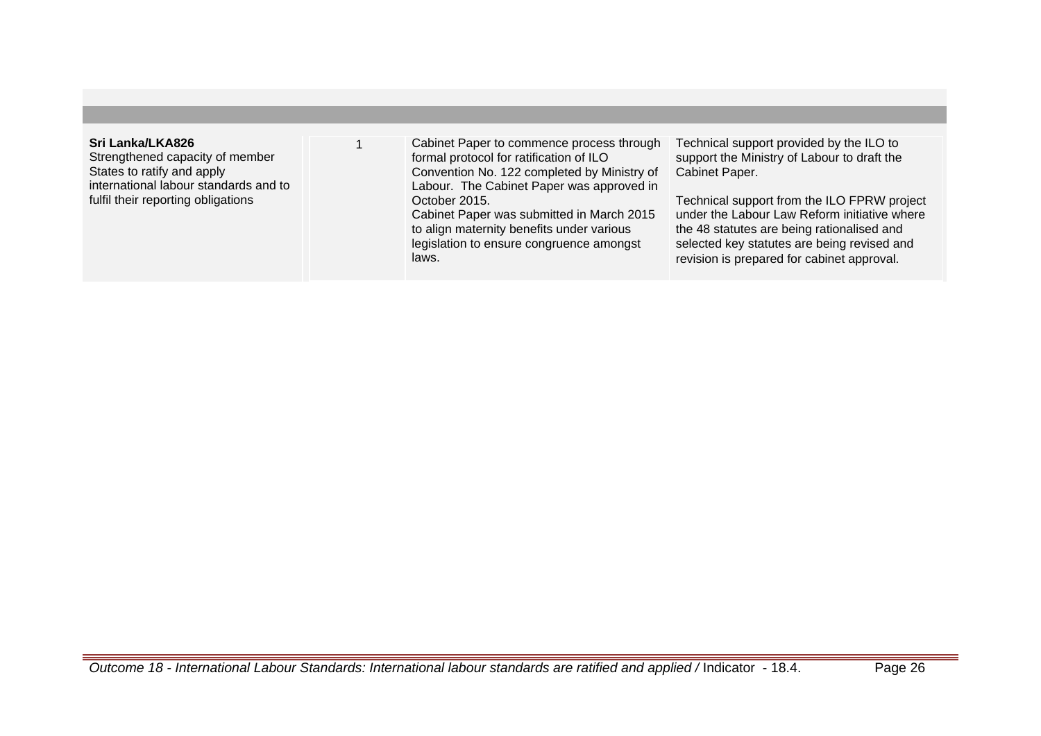# **Sri Lanka/LKA826**

Strengthened capacity of member States to ratify and apply international labour standards and to fulfil their reporting obligations

1 Cabinet Paper to commence process through formal protocol for ratification of ILO Convention No. 122 completed by Ministry of Labour. The Cabinet Paper was approved in October 2015. Cabinet Paper was submitted in March 2015 to align maternity benefits under various legislation to ensure congruence amongst

Technical support provided by the ILO to support the Ministry of Labour to draft the Cabinet Paper.

Technical support from the ILO FPRW project under the Labour Law Reform initiative where the 48 statutes are being rationalised and selected key statutes are being revised and revision is prepared for cabinet approval.

laws.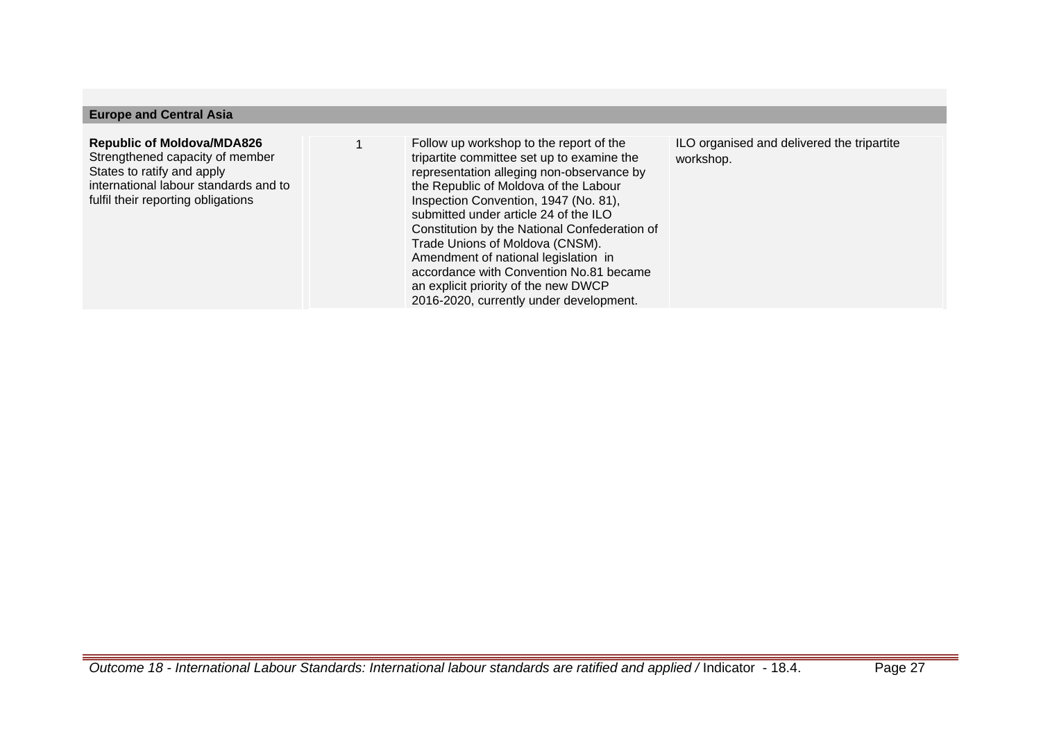## **Europe and Central Asia**

## **Republic of Moldova/MDA826** Strengthened capacity of member States to ratify and apply international labour standards and to fulfil their reporting obligations

1 Follow up workshop to the report of the tripartite committee set up to examine the representation alleging non-observance by the Republic of Moldova of the Labour Inspection Convention, 1947 (No. 81), submitted under article 24 of the ILO Constitution by the National Confederation of Trade Unions of Moldova (CNSM). Amendment of national legislation in accordance with Convention No.81 became an explicit priority of the new DWCP 2016-2020, currently under development.

ILO organised and delivered the tripartite workshop.